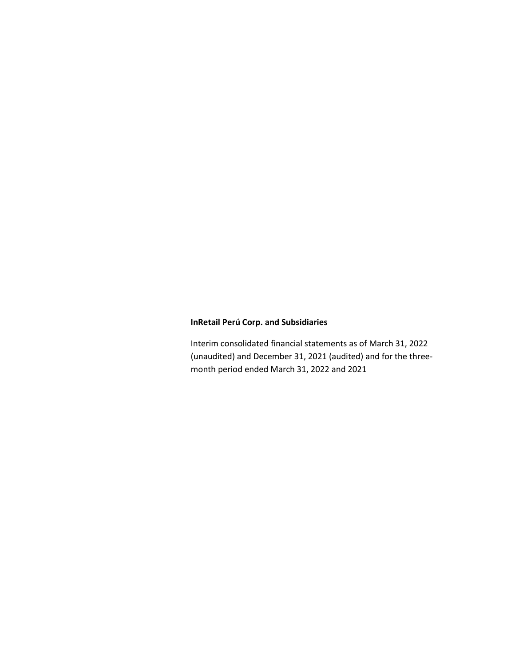Interim consolidated financial statements as of March 31, 2022 (unaudited) and December 31, 2021 (audited) and for the threemonth period ended March 31, 2022 and 2021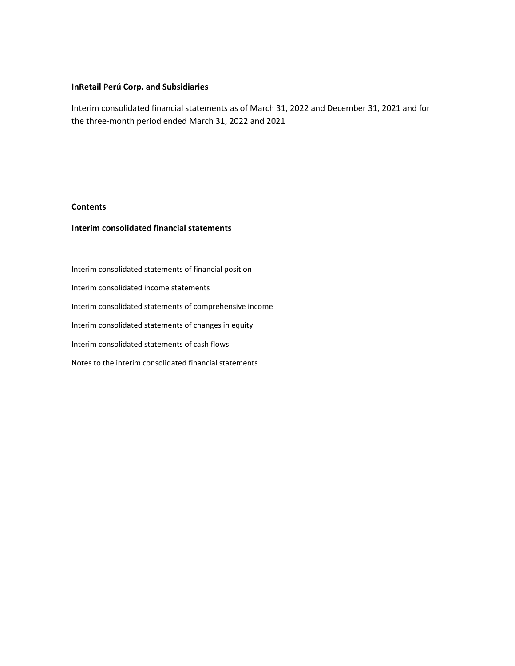Interim consolidated financial statements as of March 31, 2022 and December 31, 2021 and for the three-month period ended March 31, 2022 and 2021

### **Contents**

# **Interim consolidated financial statements**

Interim consolidated statements of financial position Interim consolidated income statements Interim consolidated statements of comprehensive income Interim consolidated statements of changes in equity Interim consolidated statements of cash flows Notes to the interim consolidated financial statements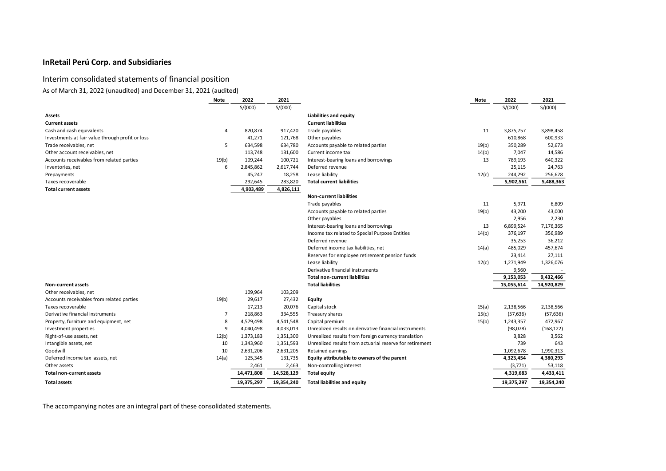# Interim consolidated statements of financial position

# As of March 31, 2022 (unaudited) and December 31, 2021 (audited)

| <b>Note</b>                                      |       | 2022       | 2021       |                                                          | Note  | 2022       | 2021       |
|--------------------------------------------------|-------|------------|------------|----------------------------------------------------------|-------|------------|------------|
|                                                  |       | S/(000)    | S/(000)    |                                                          |       | S/(000)    | S/(000)    |
| <b>Assets</b>                                    |       |            |            | <b>Liabilities and equity</b>                            |       |            |            |
| <b>Current assets</b>                            |       |            |            | <b>Current liabilities</b>                               |       |            |            |
| Cash and cash equivalents                        | 4     | 820,874    | 917,420    | Trade payables                                           | 11    | 3,875,757  | 3,898,458  |
| Investments at fair value through profit or loss |       | 41,271     | 121,768    | Other payables                                           |       | 610,868    | 600,933    |
| Trade receivables, net                           | 5     | 634,598    | 634,780    | Accounts payable to related parties                      | 19(b) | 350,289    | 52,673     |
| Other account receivables, net                   |       | 113,748    | 131,600    | Current income tax                                       | 14(b) | 7,047      | 14,586     |
| Accounts receivables from related parties        | 19(b) | 109,244    | 100,721    | Interest-bearing loans and borrowings                    | 13    | 789,193    | 640,322    |
| Inventories, net                                 | 6     | 2,845,862  | 2,617,744  | Deferred revenue                                         |       | 25,115     | 24,763     |
| Prepayments                                      |       | 45,247     | 18,258     | Lease liability                                          | 12(c) | 244,292    | 256,628    |
| Taxes recoverable                                |       | 292,645    | 283,820    | <b>Total current liabilities</b>                         |       | 5,902,561  | 5,488,363  |
| <b>Total current assets</b>                      |       | 4,903,489  | 4,826,111  |                                                          |       |            |            |
|                                                  |       |            |            | <b>Non-current liabilities</b>                           |       |            |            |
|                                                  |       |            |            | Trade payables                                           | 11    | 5,971      | 6,809      |
|                                                  |       |            |            | Accounts payable to related parties                      | 19(b) | 43,200     | 43,000     |
|                                                  |       |            |            | Other payables                                           |       | 2,956      | 2,230      |
|                                                  |       |            |            | Interest-bearing loans and borrowings                    | 13    | 6,899,524  | 7,176,365  |
|                                                  |       |            |            | Income tax related to Special Purpose Entities           | 14(b) | 376,197    | 356,989    |
|                                                  |       |            |            | Deferred revenue                                         |       | 35,253     | 36,212     |
|                                                  |       |            |            | Deferred income tax liabilities, net                     | 14(a) | 485,029    | 457,674    |
|                                                  |       |            |            | Reserves for employee retirement pension funds           |       | 23,414     | 27,111     |
|                                                  |       |            |            | Lease liability                                          | 12(c) | 1,271,949  | 1,326,076  |
|                                                  |       |            |            | Derivative financial instruments                         |       | 9,560      |            |
|                                                  |       |            |            | <b>Total non-current liabilities</b>                     |       | 9,153,053  | 9,432,466  |
| <b>Non-current assets</b>                        |       |            |            | <b>Total liabilities</b>                                 |       | 15,055,614 | 14,920,829 |
| Other receivables, net                           |       | 109,964    | 103,209    |                                                          |       |            |            |
| Accounts receivables from related parties        | 19(b) | 29,617     | 27,432     | Equity                                                   |       |            |            |
| Taxes recoverable                                |       | 17,213     | 20,076     | Capital stock                                            | 15(a) | 2,138,566  | 2,138,566  |
| Derivative financial instruments                 | 7     | 218,863    | 334,555    | Treasury shares                                          | 15(c) | (57, 636)  | (57, 636)  |
| Property, furniture and equipment, net           | 8     | 4,579,498  | 4,541,548  | Capital premium                                          | 15(b) | 1,243,357  | 472,967    |
| Investment properties                            | 9     | 4,040,498  | 4,033,013  | Unrealized results on derivative financial instruments   |       | (98,078)   | (168, 122) |
| Right-of-use assets, net                         | 12(b) | 1,373,183  | 1,351,300  | Unrealized results from foreign currency translation     |       | 3,828      | 3,562      |
| Intangible assets, net                           | 10    | 1,343,960  | 1,351,593  | Unrealized results from actuarial reserve for retirement |       | 739        | 643        |
| Goodwill                                         | 10    | 2,631,206  | 2,631,205  | Retained earnings                                        |       | 1,092,678  | 1,990,313  |
| Deferred income tax assets, net                  | 14(a) | 125,345    | 131,735    | Equity attributable to owners of the parent              |       | 4,323,454  | 4,380,293  |
| Other assets                                     |       | 2,461      | 2,463      | Non-controlling interest                                 |       | (3, 771)   | 53,118     |
| <b>Total non-current assets</b>                  |       | 14,471,808 | 14,528,129 | <b>Total equity</b>                                      |       | 4,319,683  | 4,433,411  |
| <b>Total assets</b>                              |       | 19,375,297 | 19,354,240 | <b>Total liabilities and equity</b>                      |       | 19,375,297 | 19,354,240 |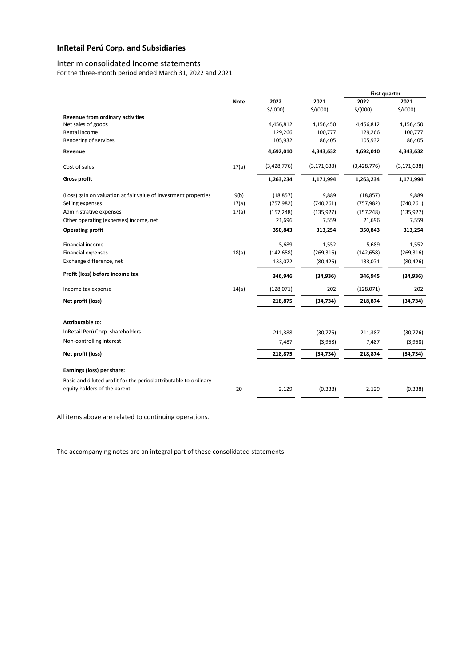# Interim consolidated Income statements

For the three-month period ended March 31, 2022 and 2021

|                                                                  |             |             |               | <b>First quarter</b> |               |
|------------------------------------------------------------------|-------------|-------------|---------------|----------------------|---------------|
|                                                                  | <b>Note</b> | 2022        | 2021          | 2022                 | 2021          |
|                                                                  |             | S/(000)     | S/(000)       | S/(000)              | S/(000)       |
| Revenue from ordinary activities                                 |             |             |               |                      |               |
| Net sales of goods                                               |             | 4,456,812   | 4,156,450     | 4,456,812            | 4,156,450     |
| Rental income                                                    |             | 129,266     | 100,777       | 129,266              | 100,777       |
| Rendering of services                                            |             | 105,932     | 86,405        | 105,932              | 86,405        |
| Revenue                                                          |             | 4,692,010   | 4,343,632     | 4,692,010            | 4,343,632     |
| Cost of sales                                                    | 17(a)       | (3,428,776) | (3, 171, 638) | (3,428,776)          | (3, 171, 638) |
| <b>Gross profit</b>                                              |             | 1,263,234   | 1,171,994     | 1,263,234            | 1,171,994     |
| (Loss) gain on valuation at fair value of investment properties  | 9(b)        | (18, 857)   | 9,889         | (18, 857)            | 9,889         |
| Selling expenses                                                 | 17(a)       | (757, 982)  | (740, 261)    | (757, 982)           | (740, 261)    |
| Administrative expenses                                          | 17(a)       | (157, 248)  | (135, 927)    | (157, 248)           | (135, 927)    |
| Other operating (expenses) income, net                           |             | 21,696      | 7,559         | 21,696               | 7,559         |
| <b>Operating profit</b>                                          |             | 350,843     | 313,254       | 350,843              | 313,254       |
| Financial income                                                 |             | 5,689       | 1,552         | 5,689                | 1,552         |
| Financial expenses                                               | 18(a)       | (142, 658)  | (269, 316)    | (142, 658)           | (269, 316)    |
| Exchange difference, net                                         |             | 133,072     | (80, 426)     | 133,071              | (80, 426)     |
| Profit (loss) before income tax                                  |             | 346,946     | (34, 936)     | 346,945              | (34, 936)     |
| Income tax expense                                               | 14(a)       | (128,071)   | 202           | (128,071)            | 202           |
| Net profit (loss)                                                |             | 218,875     | (34, 734)     | 218,874              | (34, 734)     |
|                                                                  |             |             |               |                      |               |
| <b>Attributable to:</b>                                          |             |             |               |                      |               |
| InRetail Perú Corp. shareholders                                 |             | 211,388     | (30, 776)     | 211,387              | (30, 776)     |
| Non-controlling interest                                         |             | 7,487       | (3,958)       | 7,487                | (3,958)       |
| Net profit (loss)                                                |             | 218,875     | (34, 734)     | 218,874              | (34, 734)     |
| Earnings (loss) per share:                                       |             |             |               |                      |               |
| Basic and diluted profit for the period attributable to ordinary |             |             |               |                      |               |
| equity holders of the parent                                     | 20          | 2.129       | (0.338)       | 2.129                | (0.338)       |
|                                                                  |             |             |               |                      |               |

All items above are related to continuing operations.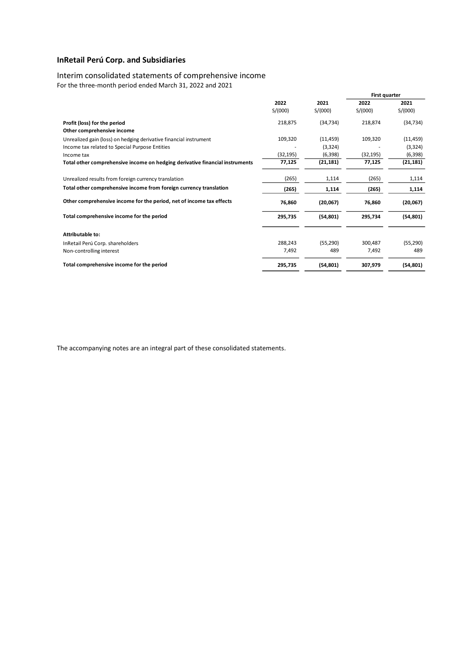# Interim consolidated statements of comprehensive income

For the three-month period ended March 31, 2022 and 2021

|                                                                              |           |           | First quarter |           |
|------------------------------------------------------------------------------|-----------|-----------|---------------|-----------|
|                                                                              | 2022      | 2021      | 2022          | 2021      |
|                                                                              | S/(000)   | S/(000)   | S/(000)       | S/(000)   |
| Profit (loss) for the period                                                 | 218,875   | (34, 734) | 218,874       | (34, 734) |
| Other comprehensive income                                                   |           |           |               |           |
| Unrealized gain (loss) on hedging derivative financial instrument            | 109,320   | (11, 459) | 109,320       | (11, 459) |
| Income tax related to Special Purpose Entities                               |           | (3,324)   |               | (3, 324)  |
| Income tax                                                                   | (32, 195) | (6,398)   | (32, 195)     | (6, 398)  |
| Total other comprehensive income on hedging derivative financial instruments | 77,125    | (21, 181) | 77,125        | (21,181)  |
| Unrealized results from foreign currency translation                         | (265)     | 1,114     | (265)         | 1,114     |
| Total other comprehensive income from foreign currency translation           | (265)     | 1,114     | (265)         | 1,114     |
| Other comprehensive income for the period, net of income tax effects         | 76,860    | (20,067)  | 76,860        | (20,067)  |
| Total comprehensive income for the period                                    | 295,735   | (54, 801) | 295,734       | (54, 801) |
| <b>Attributable to:</b>                                                      |           |           |               |           |
| InRetail Perú Corp. shareholders                                             | 288,243   | (55, 290) | 300,487       | (55, 290) |
| Non-controlling interest                                                     | 7,492     | 489       | 7,492         | 489       |
| Total comprehensive income for the period                                    | 295,735   | (54, 801) | 307,979       | (54, 801) |
|                                                                              |           |           |               |           |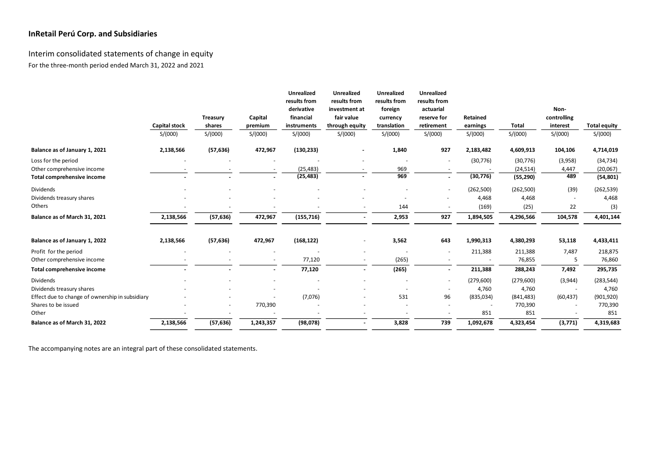# Interim consolidated statements of change in equity For the three-month period ended March 31, 2022 and 2021

|                                                 |                      |           |           | <b>Unrealized</b><br>results from | <b>Unrealized</b><br>results from | <b>Unrealized</b><br>results from | <b>Unrealized</b><br>results from |           |              |                     |                     |
|-------------------------------------------------|----------------------|-----------|-----------|-----------------------------------|-----------------------------------|-----------------------------------|-----------------------------------|-----------|--------------|---------------------|---------------------|
|                                                 |                      | Treasury  | Capital   | derivative<br>financial           | investment at<br>fair value       | foreign<br>currency               | actuarial<br>reserve for          | Retained  |              | Non-<br>controlling |                     |
|                                                 | <b>Capital stock</b> | shares    | premium   | instruments                       | through equity                    | translation                       | retirement                        | earnings  | <b>Total</b> | interest            | <b>Total equity</b> |
|                                                 | S/(000)              | S/(000)   | S/(000)   | S/(000)                           | S/(000)                           | S/(000)                           | S/(000)                           | S/(000)   | S/(000)      | S/(000)             | S/(000)             |
| Balance as of January 1, 2021                   | 2,138,566            | (57, 636) | 472,967   | (130, 233)                        |                                   | 1,840                             | 927                               | 2,183,482 | 4,609,913    | 104,106             | 4,714,019           |
| Loss for the period                             |                      |           |           |                                   |                                   |                                   |                                   | (30, 776) | (30, 776)    | (3,958)             | (34, 734)           |
| Other comprehensive income                      |                      |           |           | (25, 483)                         |                                   | 969                               |                                   |           | (24, 514)    | 4,447               | (20,067)            |
| Total comprehensive income                      |                      |           |           | (25, 483)                         |                                   | 969                               |                                   | (30, 776) | (55, 290)    | 489                 | (54, 801)           |
| <b>Dividends</b>                                |                      |           |           |                                   |                                   |                                   |                                   | (262,500) | (262,500)    | (39)                | (262, 539)          |
| Dividends treasury shares                       |                      |           |           |                                   |                                   |                                   |                                   | 4,468     | 4,468        |                     | 4,468               |
| Others                                          |                      |           |           |                                   |                                   | 144                               |                                   | (169)     | (25)         | 22                  | (3)                 |
| Balance as of March 31, 2021                    | 2,138,566            | (57, 636) | 472,967   | (155, 716)                        | $\overline{\phantom{a}}$          | 2,953                             | 927                               | 1,894,505 | 4,296,566    | 104,578             | 4,401,144           |
| Balance as of January 1, 2022                   | 2,138,566            | (57, 636) | 472,967   | (168, 122)                        |                                   | 3,562                             | 643                               | 1,990,313 | 4,380,293    | 53,118              | 4,433,411           |
| Profit for the period                           |                      |           |           |                                   |                                   |                                   |                                   | 211,388   | 211,388      | 7,487               | 218,875             |
| Other comprehensive income                      |                      |           |           | 77,120                            |                                   | (265)                             |                                   |           | 76,855       | 5                   | 76,860              |
| Total comprehensive income                      |                      |           |           | 77,120                            | $\blacksquare$                    | (265)                             |                                   | 211,388   | 288,243      | 7,492               | 295,735             |
| Dividends                                       |                      |           |           |                                   |                                   |                                   |                                   | (279,600) | (279, 600)   | (3,944)             | (283, 544)          |
| Dividends treasury shares                       |                      |           |           |                                   |                                   |                                   |                                   | 4,760     | 4,760        |                     | 4,760               |
| Effect due to change of ownership in subsidiary |                      |           |           | (7,076)                           |                                   | 531                               | 96                                | (835,034) | (841, 483)   | (60, 437)           | (901, 920)          |
| Shares to be issued                             |                      |           | 770,390   |                                   |                                   |                                   |                                   |           | 770,390      |                     | 770,390             |
| Other                                           |                      |           |           |                                   |                                   |                                   |                                   | 851       | 851          |                     | 851                 |
| Balance as of March 31, 2022                    | 2,138,566            | (57, 636) | 1,243,357 | (98,078)                          | $\overline{\phantom{a}}$          | 3,828                             | 739                               | 1,092,678 | 4,323,454    | (3, 771)            | 4,319,683           |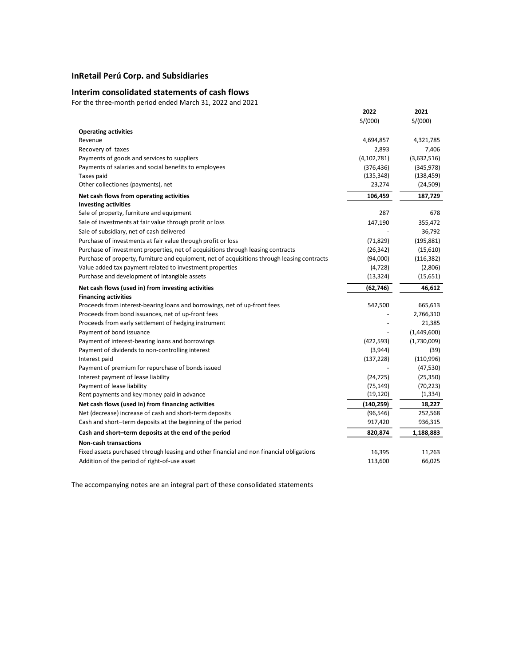### **Interim consolidated statements of cash flows**

For the three-month period ended March 31, 2022 and 2021

|                                                                                              | 2022          | 2021        |
|----------------------------------------------------------------------------------------------|---------------|-------------|
|                                                                                              | S/(000)       | S/(000)     |
| <b>Operating activities</b>                                                                  |               |             |
| Revenue                                                                                      | 4,694,857     | 4,321,785   |
| Recovery of taxes                                                                            | 2,893         | 7,406       |
| Payments of goods and services to suppliers                                                  | (4, 102, 781) | (3,632,516) |
| Payments of salaries and social benefits to employees                                        | (376, 436)    | (345, 978)  |
| Taxes paid                                                                                   | (135, 348)    | (138, 459)  |
| Other collectiones (payments), net                                                           | 23,274        | (24, 509)   |
| Net cash flows from operating activities                                                     | 106,459       | 187,729     |
| <b>Investing activities</b>                                                                  |               |             |
| Sale of property, furniture and equipment                                                    | 287           | 678         |
| Sale of investments at fair value through profit or loss                                     | 147,190       | 355,472     |
| Sale of subsidiary, net of cash delivered                                                    |               | 36,792      |
| Purchase of investments at fair value through profit or loss                                 | (71, 829)     | (195, 881)  |
| Purchase of investment properties, net of acquisitions through leasing contracts             | (26, 342)     | (15,610)    |
| Purchase of property, furniture and equipment, net of acquisitions through leasing contracts | (94,000)      | (116, 382)  |
| Value added tax payment related to investment properties                                     | (4, 728)      | (2,806)     |
| Purchase and development of intangible assets                                                | (13, 324)     | (15,651)    |
|                                                                                              |               |             |
| Net cash flows (used in) from investing activities                                           | (62,746)      | 46,612      |
| <b>Financing activities</b>                                                                  |               |             |
| Proceeds from interest-bearing loans and borrowings, net of up-front fees                    | 542,500       | 665,613     |
| Proceeds from bond issuances, net of up-front fees                                           |               | 2,766,310   |
| Proceeds from early settlement of hedging instrument                                         |               | 21,385      |
| Payment of bond issuance                                                                     |               | (1,449,600) |
| Payment of interest-bearing loans and borrowings                                             | (422, 593)    | (1,730,009) |
| Payment of dividends to non-controlling interest                                             | (3,944)       | (39)        |
| Interest paid                                                                                | (137, 228)    | (110,996)   |
| Payment of premium for repurchase of bonds issued                                            |               | (47, 530)   |
| Interest payment of lease liability                                                          | (24, 725)     | (25, 350)   |
| Payment of lease liability                                                                   | (75, 149)     | (70, 223)   |
| Rent payments and key money paid in advance                                                  | (19, 120)     | (1, 334)    |
| Net cash flows (used in) from financing activities                                           | (140,259)     | 18,227      |
| Net (decrease) increase of cash and short-term deposits                                      | (96, 546)     | 252,568     |
| Cash and short-term deposits at the beginning of the period                                  | 917,420       | 936,315     |
| Cash and short-term deposits at the end of the period                                        | 820,874       | 1,188,883   |
| <b>Non-cash transactions</b>                                                                 |               |             |
| Fixed assets purchased through leasing and other financial and non financial obligations     | 16,395        | 11,263      |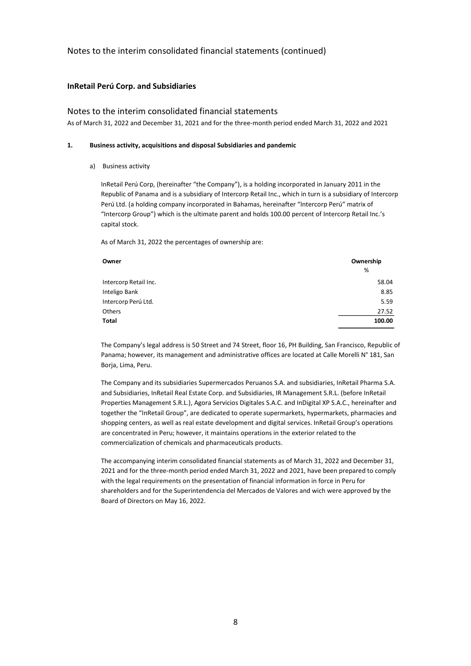### **InRetail Perú Corp. and Subsidiaries**

### Notes to the interim consolidated financial statements

As of March 31, 2022 and December 31, 2021 and for the three-month period ended March 31, 2022 and 2021

#### **1. Business activity, acquisitions and disposal Subsidiaries and pandemic**

#### a) Business activity

InRetail Perú Corp, (hereinafter "the Company"), is a holding incorporated in January 2011 in the Republic of Panama and is a subsidiary of Intercorp Retail Inc., which in turn is a subsidiary of Intercorp Perú Ltd. (a holding company incorporated in Bahamas, hereinafter "Intercorp Perú" matrix of "Intercorp Group") which is the ultimate parent and holds 100.00 percent of Intercorp Retail Inc.'s capital stock.

As of March 31, 2022 the percentages of ownership are:

| Owner                 | Ownership |
|-----------------------|-----------|
|                       | %         |
| Intercorp Retail Inc. | 58.04     |
| Inteligo Bank         | 8.85      |
| Intercorp Perú Ltd.   | 5.59      |
| Others                | 27.52     |
| <b>Total</b>          | 100.00    |

The Company's legal address is 50 Street and 74 Street, floor 16, PH Building, San Francisco, Republic of Panama; however, its management and administrative offices are located at Calle Morelli N° 181, San Borja, Lima, Peru.

The Company and its subsidiaries Supermercados Peruanos S.A. and subsidiaries, InRetail Pharma S.A. and Subsidiaries, InRetail Real Estate Corp. and Subsidiaries, IR Management S.R.L. (before InRetail Properties Management S.R.L.), Agora Servicios Digitales S.A.C. and InDigital XP S.A.C., hereinafter and together the "InRetail Group", are dedicated to operate supermarkets, hypermarkets, pharmacies and shopping centers, as well as real estate development and digital services. InRetail Group's operations are concentrated in Peru; however, it maintains operations in the exterior related to the commercialization of chemicals and pharmaceuticals products.

The accompanying interim consolidated financial statements as of March 31, 2022 and December 31, 2021 and for the three-month period ended March 31, 2022 and 2021, have been prepared to comply with the legal requirements on the presentation of financial information in force in Peru for shareholders and for the Superintendencia del Mercados de Valores and wich were approved by the Board of Directors on May 16, 2022.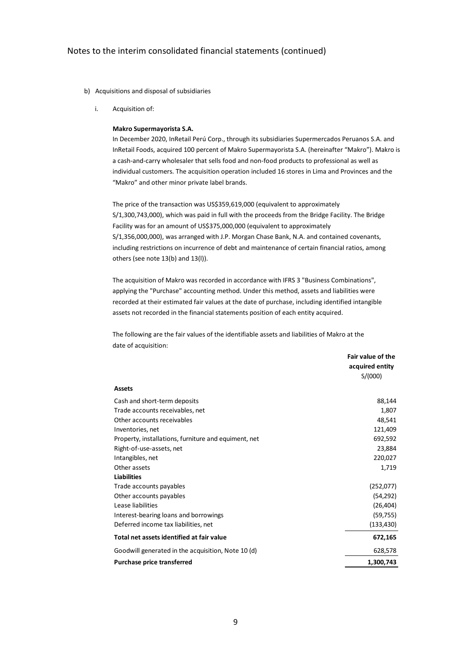- b) Acquisitions and disposal of subsidiaries
	- i. Acquisition of:

#### **Makro Supermayorista S.A.**

In December 2020, InRetail Perú Corp., through its subsidiaries Supermercados Peruanos S.A. and InRetail Foods, acquired 100 percent of Makro Supermayorista S.A. (hereinafter "Makro"). Makro is a cash-and-carry wholesaler that sells food and non-food products to professional as well as individual customers. The acquisition operation included 16 stores in Lima and Provinces and the "Makro" and other minor private label brands.

The price of the transaction was US\$359,619,000 (equivalent to approximately S/1,300,743,000), which was paid in full with the proceeds from the Bridge Facility. The Bridge Facility was for an amount of US\$375,000,000 (equivalent to approximately S/1,356,000,000), was arranged with J.P. Morgan Chase Bank, N.A. and contained covenants, including restrictions on incurrence of debt and maintenance of certain financial ratios, among others (see note 13(b) and 13(l)).

The acquisition of Makro was recorded in accordance with IFRS 3 "Business Combinations", applying the "Purchase" accounting method. Under this method, assets and liabilities were recorded at their estimated fair values at the date of purchase, including identified intangible assets not recorded in the financial statements position of each entity acquired.

The following are the fair values of the identifiable assets and liabilities of Makro at the date of acquisition:

|                                                      | Fair value of the<br>acquired entity<br>S/(000) |
|------------------------------------------------------|-------------------------------------------------|
|                                                      |                                                 |
| <b>Assets</b>                                        |                                                 |
| Cash and short-term deposits                         | 88,144                                          |
| Trade accounts receivables, net                      | 1,807                                           |
| Other accounts receivables                           | 48.541                                          |
| Inventories, net                                     | 121,409                                         |
| Property, installations, furniture and equiment, net | 692,592                                         |
| Right-of-use-assets, net                             | 23,884                                          |
| Intangibles, net                                     | 220,027                                         |
| Other assets                                         | 1,719                                           |
| <b>Liabilities</b>                                   |                                                 |
| Trade accounts payables                              | (252,077)                                       |
| Other accounts payables                              | (54, 292)                                       |
| Lease liabilities                                    | (26, 404)                                       |
| Interest-bearing loans and borrowings                | (59, 755)                                       |
| Deferred income tax liabilities, net                 | (133, 430)                                      |
| Total net assets identified at fair value            | 672,165                                         |
| Goodwill generated in the acquisition, Note 10 (d)   | 628,578                                         |
| <b>Purchase price transferred</b>                    | 1,300,743                                       |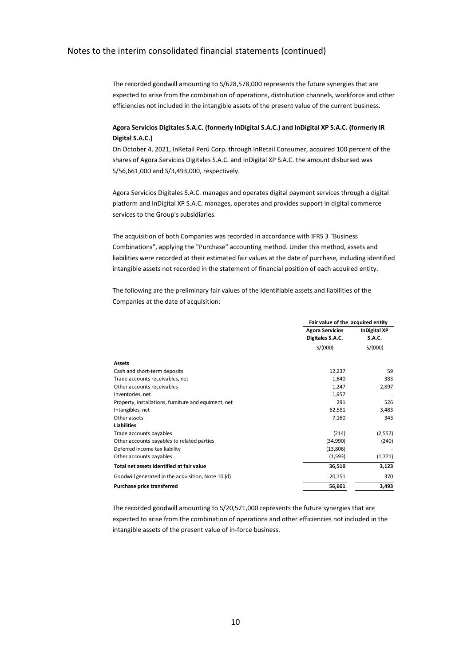The recorded goodwill amounting to S/628,578,000 represents the future synergies that are expected to arise from the combination of operations, distribution channels, workforce and other efficiencies not included in the intangible assets of the present value of the current business.

# **Agora Servicios Digitales S.A.C. (formerly InDigital S.A.C.) and InDigital XP S.A.C. (formerly IR Digital S.A.C.)**

On October 4, 2021, InRetail Perú Corp. through InRetail Consumer, acquired 100 percent of the shares of Agora Servicios Digitales S.A.C. and InDigital XP S.A.C. the amount disbursed was S/56,661,000 and S/3,493,000, respectively.

Agora Servicios Digitales S.A.C. manages and operates digital payment services through a digital platform and InDigital XP S.A.C. manages, operates and provides support in digital commerce services to the Group's subsidiaries.

The acquisition of both Companies was recorded in accordance with IFRS 3 "Business Combinations", applying the "Purchase" accounting method. Under this method, assets and liabilities were recorded at their estimated fair values at the date of purchase, including identified intangible assets not recorded in the statement of financial position of each acquired entity.

The following are the preliminary fair values of the identifiable assets and liabilities of the Companies at the date of acquisition:

|                                                      | Fair value of the acquired entity |                     |  |
|------------------------------------------------------|-----------------------------------|---------------------|--|
|                                                      | <b>Agora Servicios</b>            | <b>InDigital XP</b> |  |
|                                                      | Digitales S.A.C.                  | <b>S.A.C.</b>       |  |
|                                                      | S/(000)                           | S/(000)             |  |
| <b>Assets</b>                                        |                                   |                     |  |
| Cash and short-term deposits                         | 12,237                            | 59                  |  |
| Trade accounts receivables, net                      | 1,640                             | 383                 |  |
| Other accounts receivables                           | 1,247                             | 2,897               |  |
| Inventories, net                                     | 1,957                             |                     |  |
| Property, installations, furniture and equiment, net | 291                               | 526                 |  |
| Intangibles, net                                     | 62,581                            | 3,483               |  |
| Other assets                                         | 7,160                             | 343                 |  |
| <b>Liabilities</b>                                   |                                   |                     |  |
| Trade accounts payables                              | (214)                             | (2,557)             |  |
| Other accounts payables to related parties           | (34,990)                          | (240)               |  |
| Deferred income tax liability                        | (13,806)                          |                     |  |
| Other accounts payables                              | (1,593)                           | (1,771)             |  |
| Total net assets identified at fair value            | 36,510                            | 3,123               |  |
| Goodwill generated in the acquisition, Note 10 (d)   | 20,151                            | 370                 |  |
| Purchase price transferred                           | 56,661                            | 3,493               |  |

The recorded goodwill amounting to S/20,521,000 represents the future synergies that are expected to arise from the combination of operations and other efficiencies not included in the intangible assets of the present value of in-force business.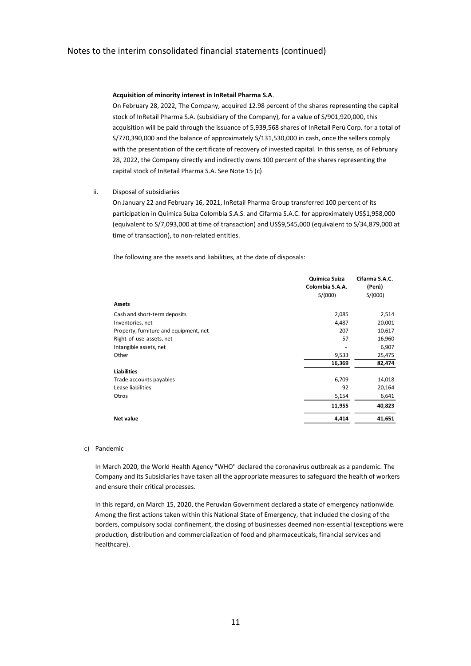#### **Acquisition of minority interest in InRetail Pharma S.A**.

On February 28, 2022, The Company, acquired 12.98 percent of the shares representing the capital stock of InRetail Pharma S.A. (subsidiary of the Company), for a value of S/901,920,000, this acquisition will be paid through the issuance of 5,939,568 shares of InRetail Perú Corp. for a total of S/770,390,000 and the balance of approximately S/131,530,000 in cash, once the sellers comply with the presentation of the certificate of recovery of invested capital. In this sense, as of February 28, 2022, the Company directly and indirectly owns 100 percent of the shares representing the capital stock of InRetail Pharma S.A. See Note 15 (c)

ii. Disposal of subsidiaries

On January 22 and February 16, 2021, InRetail Pharma Group transferred 100 percent of its participation in Química Suiza Colombia S.A.S. and Cifarma S.A.C. for approximately US\$1,958,000 (equivalent to S/7,093,000 at time of transaction) and US\$9,545,000 (equivalent to S/34,879,000 at time of transaction), to non-related entities.

The following are the assets and liabilities, at the date of disposals:

|                                        | Quimica Suiza   | Cifarma S.A.C. |
|----------------------------------------|-----------------|----------------|
|                                        | Colombia S.A.A. | (Perú)         |
|                                        | S/(000)         | S/(000)        |
| Assets                                 |                 |                |
| Cash and short-term deposits           | 2,085           | 2,514          |
| Inventories, net                       | 4,487           | 20,001         |
| Property, furniture and equipment, net | 207             | 10,617         |
| Right-of-use-assets, net               | 57              | 16,960         |
| Intangible assets, net                 |                 | 6,907          |
| Other                                  | 9,533           | 25,475         |
|                                        | 16,369          | 82,474         |
| <b>Liabilities</b>                     |                 |                |
| Trade accounts payables                | 6,709           | 14,018         |
| Lease liabilities                      | 92              | 20,164         |
| Otros                                  | 5,154           | 6,641          |
|                                        | 11,955          | 40,823         |
| <b>Net value</b>                       | 4,414           | 41,651         |

#### c) Pandemic

In March 2020, the World Health Agency "WHO" declared the coronavirus outbreak as a pandemic. The Company and its Subsidiaries have taken all the appropriate measures to safeguard the health of workers and ensure their critical processes.

In this regard, on March 15, 2020, the Peruvian Government declared a state of emergency nationwide. Among the first actions taken within this National State of Emergency, that included the closing of the borders, compulsory social confinement, the closing of businesses deemed non-essential (exceptions were production, distribution and commercialization of food and pharmaceuticals, financial services and healthcare).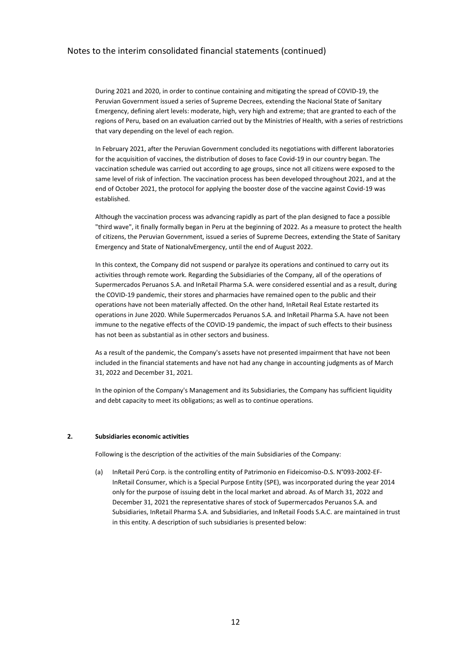During 2021 and 2020, in order to continue containing and mitigating the spread of COVID-19, the Peruvian Government issued a series of Supreme Decrees, extending the Nacional State of Sanitary Emergency, defining alert levels: moderate, high, very high and extreme; that are granted to each of the regions of Peru, based on an evaluation carried out by the Ministries of Health, with a series of restrictions that vary depending on the level of each region.

In February 2021, after the Peruvian Government concluded its negotiations with different laboratories for the acquisition of vaccines, the distribution of doses to face Covid-19 in our country began. The vaccination schedule was carried out according to age groups, since not all citizens were exposed to the same level of risk of infection. The vaccination process has been developed throughout 2021, and at the end of October 2021, the protocol for applying the booster dose of the vaccine against Covid-19 was established.

Although the vaccination process was advancing rapidly as part of the plan designed to face a possible "third wave", it finally formally began in Peru at the beginning of 2022. As a measure to protect the health of citizens, the Peruvian Government, issued a series of Supreme Decrees, extending the State of Sanitary Emergency and State of NationalvEmergency, until the end of August 2022.

In this context, the Company did not suspend or paralyze its operations and continued to carry out its activities through remote work. Regarding the Subsidiaries of the Company, all of the operations of Supermercados Peruanos S.A. and InRetail Pharma S.A. were considered essential and as a result, during the COVID-19 pandemic, their stores and pharmacies have remained open to the public and their operations have not been materially affected. On the other hand, InRetail Real Estate restarted its operations in June 2020. While Supermercados Peruanos S.A. and InRetail Pharma S.A. have not been immune to the negative effects of the COVID-19 pandemic, the impact of such effects to their business has not been as substantial as in other sectors and business.

As a result of the pandemic, the Company's assets have not presented impairment that have not been included in the financial statements and have not had any change in accounting judgments as of March 31, 2022 and December 31, 2021.

In the opinion of the Company's Management and its Subsidiaries, the Company has sufficient liquidity and debt capacity to meet its obligations; as well as to continue operations.

#### **2. Subsidiaries economic activities**

Following is the description of the activities of the main Subsidiaries of the Company:

(a) InRetail Perú Corp. is the controlling entity of Patrimonio en Fideicomiso-D.S. N°093-2002-EF-InRetail Consumer, which is a Special Purpose Entity (SPE), was incorporated during the year 2014 only for the purpose of issuing debt in the local market and abroad. As of March 31, 2022 and December 31, 2021 the representative shares of stock of Supermercados Peruanos S.A. and Subsidiaries, InRetail Pharma S.A. and Subsidiaries, and InRetail Foods S.A.C. are maintained in trust in this entity. A description of such subsidiaries is presented below: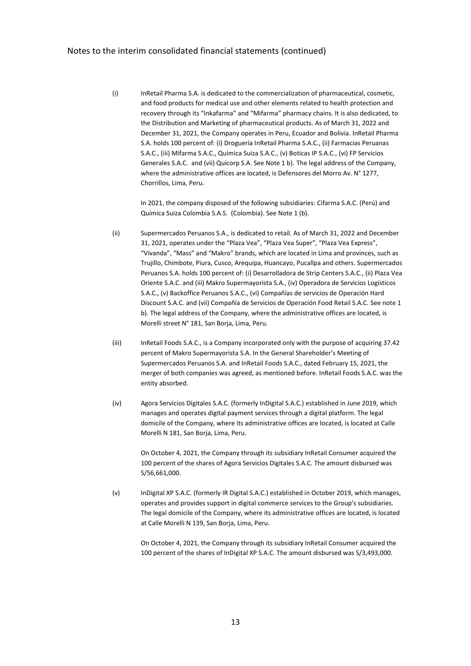(i) InRetail Pharma S.A. is dedicated to the commercialization of pharmaceutical, cosmetic, and food products for medical use and other elements related to health protection and recovery through its "Inkafarma" and "Mifarma" pharmacy chains. It is also dedicated, to the Distribution and Marketing of pharmaceutical products. As of March 31, 2022 and December 31, 2021, the Company operates in Peru, Ecuador and Bolivia. InRetail Pharma S.A. holds 100 percent of: (i) Droguería InRetail Pharma S.A.C., (ii) Farmacias Peruanas S.A.C., (iii) Mifarma S.A.C., Química Suiza S.A.C., (v) Boticas IP S.A.C., (vi) FP Servicios Generales S.A.C. and (vii) Quicorp S.A. See Note 1 b). The legal address of the Company, where the administrative offices are located, is Defensores del Morro Av. N° 1277, Chorrillos, Lima, Peru.

In 2021, the company disposed of the following subsidiaries: Cifarma S.A.C. (Perú) and Química Suiza Colombia S.A.S. (Colombia). See Note 1 (b).

- (ii) Supermercados Peruanos S.A., is dedicated to retail. As of March 31, 2022 and December 31, 2021, operates under the "Plaza Vea", "Plaza Vea Super", "Plaza Vea Express", "Vivanda", "Mass" and "Makro" brands, which are located in Lima and provinces, such as Trujillo, Chimbote, Piura, Cusco, Arequipa, Huancayo, Pucallpa and others. Supermercados Peruanos S.A. holds 100 percent of: (i) Desarrolladora de Strip Centers S.A.C., (ii) Plaza Vea Oriente S.A.C. and (iii) Makro Supermayorista S.A., (iv) Operadora de Servicios Logísticos S.A.C., (v) Backoffice Peruanos S.A.C., (vi) Compañías de servicios de Operación Hard Discount S.A.C. and (vii) Compañía de Servicios de Operación Food Retail S.A.C. See note 1 b). The legal address of the Company, where the administrative offices are located, is Morelli street N° 181, San Borja, Lima, Peru.
- (iii) InRetail Foods S.A.C., is a Company incorporated only with the purpose of acquiring 37.42 percent of Makro Supermayorista S.A. In the General Shareholder's Meeting of Supermercados Peruanos S.A. and InRetail Foods S.A.C., dated February 15, 2021, the merger of both companies was agreed, as mentioned before. InRetail Foods S.A.C. was the entity absorbed.
- (iv) Agora Servicios Digitales S.A.C. (formerly InDigital S.A.C.) established in June 2019, which manages and operates digital payment services through a digital platform. The legal domicile of the Company, where its administrative offices are located, is located at Calle Morelli N 181, San Borja, Lima, Peru.

On October 4, 2021, the Company through its subsidiary InRetail Consumer acquired the 100 percent of the shares of Agora Servicios Digitales S.A.C. The amount disbursed was S/56,661,000.

(v) InDigital XP S.A.C. (formerly IR Digital S.A.C.) established in October 2019, which manages, operates and provides support in digital commerce services to the Group's subsidiaries. The legal domicile of the Company, where its administrative offices are located, is located at Calle Morelli N 139, San Borja, Lima, Peru.

> On October 4, 2021, the Company through its subsidiary InRetail Consumer acquired the 100 percent of the shares of InDigital XP S.A.C. The amount disbursed was S/3,493,000.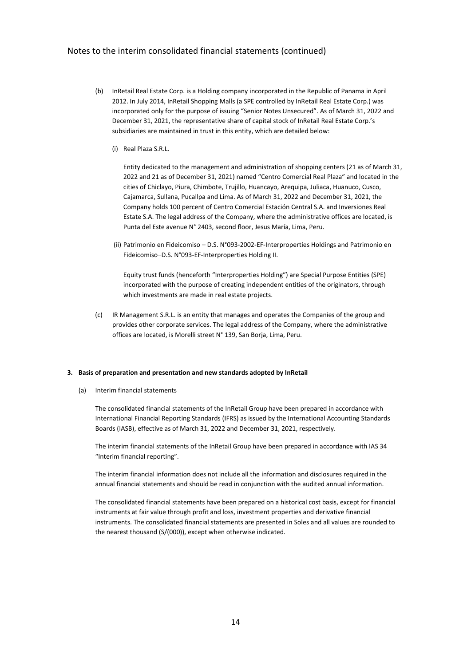- (b) InRetail Real Estate Corp. is a Holding company incorporated in the Republic of Panama in April 2012. In July 2014, InRetail Shopping Malls (a SPE controlled by InRetail Real Estate Corp.) was incorporated only for the purpose of issuing "Senior Notes Unsecured". As of March 31, 2022 and December 31, 2021, the representative share of capital stock of InRetail Real Estate Corp.'s subsidiaries are maintained in trust in this entity, which are detailed below:
	- (i) Real Plaza S.R.L.

Entity dedicated to the management and administration of shopping centers (21 as of March 31, 2022 and 21 as of December 31, 2021) named "Centro Comercial Real Plaza" and located in the cities of Chiclayo, Piura, Chimbote, Trujillo, Huancayo, Arequipa, Juliaca, Huanuco, Cusco, Cajamarca, Sullana, Pucallpa and Lima. As of March 31, 2022 and December 31, 2021, the Company holds 100 percent of Centro Comercial Estación Central S.A. and Inversiones Real Estate S.A. The legal address of the Company, where the administrative offices are located, is Punta del Este avenue N° 2403, second floor, Jesus María, Lima, Peru.

(ii) Patrimonio en Fideicomiso – D.S. N°093-2002-EF-Interproperties Holdings and Patrimonio en Fideicomiso–D.S. N°093-EF-Interproperties Holding II.

Equity trust funds (henceforth "Interproperties Holding") are Special Purpose Entities (SPE) incorporated with the purpose of creating independent entities of the originators, through which investments are made in real estate projects.

(c) IR Management S.R.L. is an entity that manages and operates the Companies of the group and provides other corporate services. The legal address of the Company, where the administrative offices are located, is Morelli street N° 139, San Borja, Lima, Peru.

#### **3. Basis of preparation and presentation and new standards adopted by InRetail**

(a) Interim financial statements

The consolidated financial statements of the InRetail Group have been prepared in accordance with International Financial Reporting Standards (IFRS) as issued by the International Accounting Standards Boards (IASB), effective as of March 31, 2022 and December 31, 2021, respectively.

The interim financial statements of the InRetail Group have been prepared in accordance with IAS 34 "Interim financial reporting".

The interim financial information does not include all the information and disclosures required in the annual financial statements and should be read in conjunction with the audited annual information.

The consolidated financial statements have been prepared on a historical cost basis, except for financial instruments at fair value through profit and loss, investment properties and derivative financial instruments. The consolidated financial statements are presented in Soles and all values are rounded to the nearest thousand (S/(000)), except when otherwise indicated.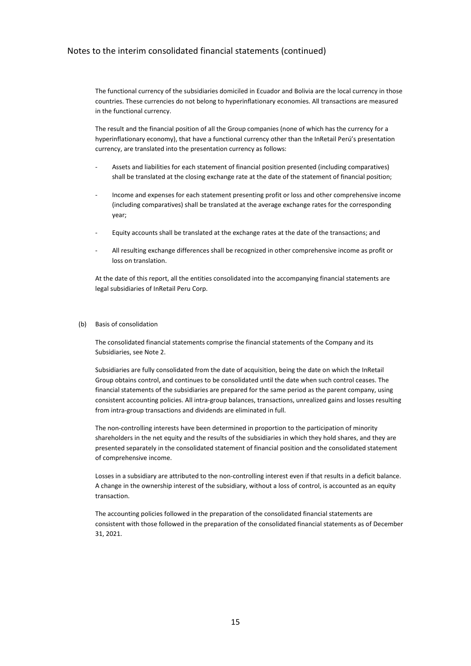The functional currency of the subsidiaries domiciled in Ecuador and Bolivia are the local currency in those countries. These currencies do not belong to hyperinflationary economies. All transactions are measured in the functional currency.

The result and the financial position of all the Group companies (none of which has the currency for a hyperinflationary economy), that have a functional currency other than the InRetail Perú's presentation currency, are translated into the presentation currency as follows:

- Assets and liabilities for each statement of financial position presented (including comparatives) shall be translated at the closing exchange rate at the date of the statement of financial position;
- Income and expenses for each statement presenting profit or loss and other comprehensive income (including comparatives) shall be translated at the average exchange rates for the corresponding year;
- Equity accounts shall be translated at the exchange rates at the date of the transactions; and
- All resulting exchange differences shall be recognized in other comprehensive income as profit or loss on translation.

At the date of this report, all the entities consolidated into the accompanying financial statements are legal subsidiaries of InRetail Peru Corp.

#### (b) Basis of consolidation

The consolidated financial statements comprise the financial statements of the Company and its Subsidiaries, see Note 2.

Subsidiaries are fully consolidated from the date of acquisition, being the date on which the InRetail Group obtains control, and continues to be consolidated until the date when such control ceases. The financial statements of the subsidiaries are prepared for the same period as the parent company, using consistent accounting policies. All intra-group balances, transactions, unrealized gains and losses resulting from intra-group transactions and dividends are eliminated in full.

The non-controlling interests have been determined in proportion to the participation of minority shareholders in the net equity and the results of the subsidiaries in which they hold shares, and they are presented separately in the consolidated statement of financial position and the consolidated statement of comprehensive income.

Losses in a subsidiary are attributed to the non-controlling interest even if that results in a deficit balance. A change in the ownership interest of the subsidiary, without a loss of control, is accounted as an equity transaction.

The accounting policies followed in the preparation of the consolidated financial statements are consistent with those followed in the preparation of the consolidated financial statements as of December 31, 2021.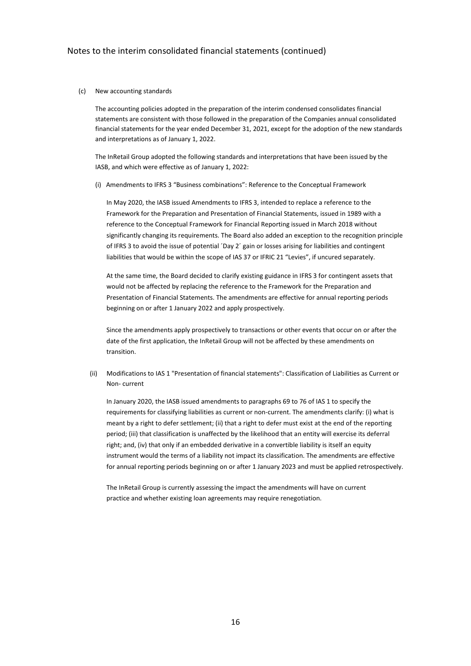#### (c) New accounting standards

The accounting policies adopted in the preparation of the interim condensed consolidates financial statements are consistent with those followed in the preparation of the Companies annual consolidated financial statements for the year ended December 31, 2021, except for the adoption of the new standards and interpretations as of January 1, 2022.

The InRetail Group adopted the following standards and interpretations that have been issued by the IASB, and which were effective as of January 1, 2022:

(i) Amendments to IFRS 3 "Business combinations": Reference to the Conceptual Framework

In May 2020, the IASB issued Amendments to IFRS 3, intended to replace a reference to the Framework for the Preparation and Presentation of Financial Statements, issued in 1989 with a reference to the Conceptual Framework for Financial Reporting issued in March 2018 without significantly changing its requirements. The Board also added an exception to the recognition principle of IFRS 3 to avoid the issue of potential ´Day 2´ gain or losses arising for liabilities and contingent liabilities that would be within the scope of IAS 37 or IFRIC 21 "Levies", if uncured separately.

At the same time, the Board decided to clarify existing guidance in IFRS 3 for contingent assets that would not be affected by replacing the reference to the Framework for the Preparation and Presentation of Financial Statements. The amendments are effective for annual reporting periods beginning on or after 1 January 2022 and apply prospectively.

Since the amendments apply prospectively to transactions or other events that occur on or after the date of the first application, the InRetail Group will not be affected by these amendments on transition.

(ii) Modifications to IAS 1 "Presentation of financial statements": Classification of Liabilities as Current or Non- current

In January 2020, the IASB issued amendments to paragraphs 69 to 76 of IAS 1 to specify the requirements for classifying liabilities as current or non-current. The amendments clarify: (i) what is meant by a right to defer settlement; (ii) that a right to defer must exist at the end of the reporting period; (iii) that classification is unaffected by the likelihood that an entity will exercise its deferral right; and, (iv) that only if an embedded derivative in a convertible liability is itself an equity instrument would the terms of a liability not impact its classification. The amendments are effective for annual reporting periods beginning on or after 1 January 2023 and must be applied retrospectively.

The InRetail Group is currently assessing the impact the amendments will have on current practice and whether existing loan agreements may require renegotiation.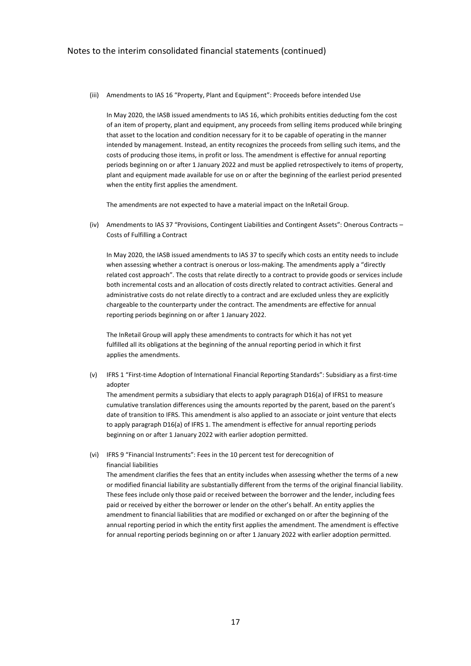(iii) Amendments to IAS 16 "Property, Plant and Equipment": Proceeds before intended Use

In May 2020, the IASB issued amendments to IAS 16, which prohibits entities deducting fom the cost of an item of property, plant and equipment, any proceeds from selling items produced while bringing that asset to the location and condition necessary for it to be capable of operating in the manner intended by management. Instead, an entity recognizes the proceeds from selling such items, and the costs of producing those items, in profit or loss. The amendment is effective for annual reporting periods beginning on or after 1 January 2022 and must be applied retrospectively to items of property, plant and equipment made available for use on or after the beginning of the earliest period presented when the entity first applies the amendment.

The amendments are not expected to have a material impact on the InRetail Group.

(iv) Amendments to IAS 37 "Provisions, Contingent Liabilities and Contingent Assets": Onerous Contracts – Costs of Fulfilling a Contract

In May 2020, the IASB issued amendments to IAS 37 to specify which costs an entity needs to include when assessing whether a contract is onerous or loss-making. The amendments apply a "directly related cost approach". The costs that relate directly to a contract to provide goods or services include both incremental costs and an allocation of costs directly related to contract activities. General and administrative costs do not relate directly to a contract and are excluded unless they are explicitly chargeable to the counterparty under the contract. The amendments are effective for annual reporting periods beginning on or after 1 January 2022.

The InRetail Group will apply these amendments to contracts for which it has not yet fulfilled all its obligations at the beginning of the annual reporting period in which it first applies the amendments.

(v) IFRS 1 "First-time Adoption of International Financial Reporting Standards": Subsidiary as a first-time adopter

The amendment permits a subsidiary that elects to apply paragraph D16(a) of IFRS1 to measure cumulative translation differences using the amounts reported by the parent, based on the parent's date of transition to IFRS. This amendment is also applied to an associate or joint venture that elects to apply paragraph D16(a) of IFRS 1. The amendment is effective for annual reporting periods beginning on or after 1 January 2022 with earlier adoption permitted.

(vi) IFRS 9 "Financial Instruments": Fees in the 10 percent test for derecognition of financial liabilities

The amendment clarifies the fees that an entity includes when assessing whether the terms of a new or modified financial liability are substantially different from the terms of the original financial liability. These fees include only those paid or received between the borrower and the lender, including fees paid or received by either the borrower or lender on the other's behalf. An entity applies the amendment to financial liabilities that are modified or exchanged on or after the beginning of the annual reporting period in which the entity first applies the amendment. The amendment is effective for annual reporting periods beginning on or after 1 January 2022 with earlier adoption permitted.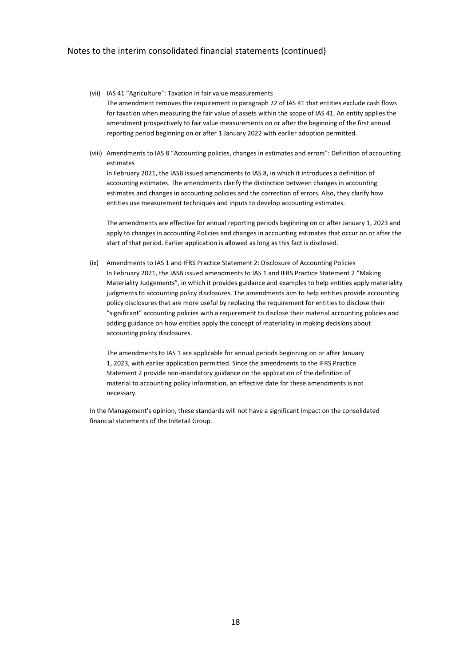- (vii) IAS 41 "Agriculture": Taxation in fair value measurements The amendment removes the requirement in paragraph 22 of IAS 41 that entities exclude cash flows for taxation when measuring the fair value of assets within the scope of IAS 41. An entity applies the amendment prospectively to fair value measurements on or after the beginning of the first annual reporting period beginning on or after 1 January 2022 with earlier adoption permitted.
- (viii) Amendments to IAS 8 "Accounting policies, changes in estimates and errors": Definition of accounting estimates

In February 2021, the IASB issued amendments to IAS 8, in which it introduces a definition of accounting estimates. The amendments clarify the distinction between changes in accounting estimates and changes in accounting policies and the correction of errors. Also, they clarify how entities use measurement techniques and inputs to develop accounting estimates.

The amendments are effective for annual reporting periods beginning on or after January 1, 2023 and apply to changes in accounting Policies and changes in accounting estimates that occur on or after the start of that period. Earlier application is allowed as long as this fact is disclosed.

(ix) Amendments to IAS 1 and IFRS Practice Statement 2: Disclosure of Accounting Policies In February 2021, the IASB issued amendments to IAS 1 and IFRS Practice Statement 2 "Making Materiality Judgements", in which it provides guidance and examples to help entities apply materiality judgments to accounting policy disclosures. The amendments aim to help entities provide accounting policy disclosures that are more useful by replacing the requirement for entities to disclose their "significant" accounting policies with a requirement to disclose their material accounting policies and adding guidance on how entities apply the concept of materiality in making decisions about accounting policy disclosures.

The amendments to IAS 1 are applicable for annual periods beginning on or after January 1, 2023, with earlier application permitted. Since the amendments to the IFRS Practice Statement 2 provide non-mandatory guidance on the application of the definition of material to accounting policy information, an effective date for these amendments is not necessary.

In the Management's opinion, these standards will not have a significant impact on the consolidated financial statements of the InRetail Group.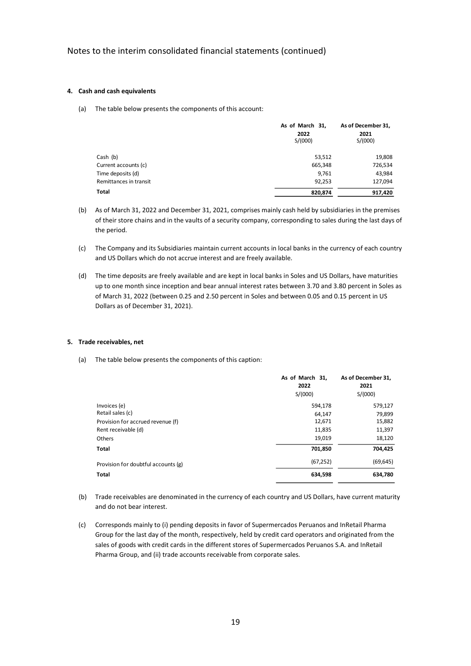### **4. Cash and cash equivalents**

(a) The table below presents the components of this account:

|                        | As of March 31,<br>2022<br>S/(000) | As of December 31,<br>2021<br>S/(000) |
|------------------------|------------------------------------|---------------------------------------|
| Cash (b)               | 53,512                             | 19,808                                |
| Current accounts (c)   | 665,348                            | 726,534                               |
| Time deposits (d)      | 9,761                              | 43,984                                |
| Remittances in transit | 92,253                             | 127,094                               |
| Total                  | 820,874                            | 917,420                               |

- (b) As of March 31, 2022 and December 31, 2021, comprises mainly cash held by subsidiaries in the premises of their store chains and in the vaults of a security company, corresponding to sales during the last days of the period.
- (c) The Company and its Subsidiaries maintain current accounts in local banks in the currency of each country and US Dollars which do not accrue interest and are freely available.
- (d) The time deposits are freely available and are kept in local banks in Soles and US Dollars, have maturities up to one month since inception and bear annual interest rates between 3.70 and 3.80 percent in Soles as of March 31, 2022 (between 0.25 and 2.50 percent in Soles and between 0.05 and 0.15 percent in US Dollars as of December 31, 2021).

#### **5. Trade receivables, net**

(a) The table below presents the components of this caption:

|                                     | As of March 31,<br>2022<br>S/(000) | As of December 31,<br>2021<br>S/(000) |
|-------------------------------------|------------------------------------|---------------------------------------|
| Invoices (e)                        | 594,178                            | 579,127                               |
| Retail sales (c)                    | 64,147                             | 79,899                                |
| Provision for accrued revenue (f)   | 12,671                             | 15,882                                |
| Rent receivable (d)                 | 11,835                             | 11,397                                |
| Others                              | 19,019                             | 18,120                                |
| <b>Total</b>                        | 701,850                            | 704,425                               |
| Provision for doubtful accounts (g) | (67, 252)                          | (69, 645)                             |
| <b>Total</b>                        | 634,598                            | 634,780                               |

- (b) Trade receivables are denominated in the currency of each country and US Dollars, have current maturity and do not bear interest.
- (c) Corresponds mainly to (i) pending deposits in favor of Supermercados Peruanos and InRetail Pharma Group for the last day of the month, respectively, held by credit card operators and originated from the sales of goods with credit cards in the different stores of Supermercados Peruanos S.A. and InRetail Pharma Group, and (ii) trade accounts receivable from corporate sales.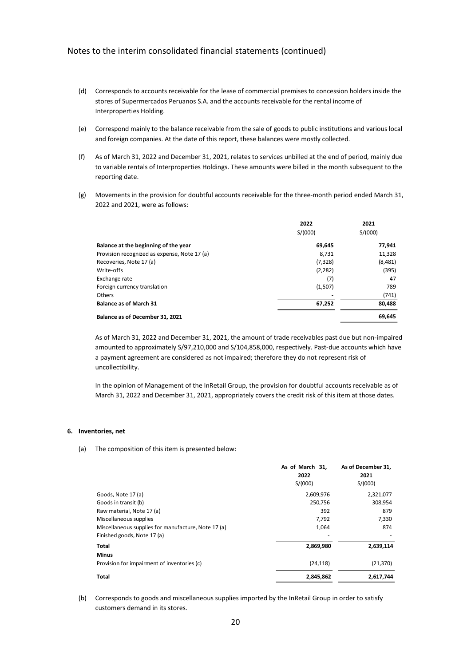- (d) Corresponds to accounts receivable for the lease of commercial premises to concession holders inside the stores of Supermercados Peruanos S.A. and the accounts receivable for the rental income of Interproperties Holding.
- (e) Correspond mainly to the balance receivable from the sale of goods to public institutions and various local and foreign companies. At the date of this report, these balances were mostly collected.
- (f) As of March 31, 2022 and December 31, 2021, relates to services unbilled at the end of period, mainly due to variable rentals of Interproperties Holdings. These amounts were billed in the month subsequent to the reporting date.
- (g) Movements in the provision for doubtful accounts receivable for the three-month period ended March 31, 2022 and 2021, were as follows:

|                                              | 2022     | 2021    |
|----------------------------------------------|----------|---------|
|                                              | S/(000)  | S/(000) |
| Balance at the beginning of the year         | 69,645   | 77,941  |
| Provision recognized as expense, Note 17 (a) | 8.731    | 11,328  |
| Recoveries, Note 17 (a)                      | (7, 328) | (8,481) |
| Write-offs                                   | (2,282)  | (395)   |
| Exchange rate                                | (7)      | 47      |
| Foreign currency translation                 | (1,507)  | 789     |
| <b>Others</b>                                |          | (741)   |
| <b>Balance as of March 31</b>                | 67,252   | 80,488  |
| Balance as of December 31, 2021              |          | 69.645  |
|                                              |          |         |

As of March 31, 2022 and December 31, 2021, the amount of trade receivables past due but non-impaired amounted to approximately S/97,210,000 and S/104,858,000, respectively. Past-due accounts which have a payment agreement are considered as not impaired; therefore they do not represent risk of uncollectibility.

In the opinion of Management of the InRetail Group, the provision for doubtful accounts receivable as of March 31, 2022 and December 31, 2021, appropriately covers the credit risk of this item at those dates.

#### **6. Inventories, net**

(a) The composition of this item is presented below:

|                                                     | As of March 31, | As of December 31, |
|-----------------------------------------------------|-----------------|--------------------|
|                                                     | 2022            | 2021               |
|                                                     | S/(000)         | S/(000)            |
| Goods, Note 17 (a)                                  | 2,609,976       | 2,321,077          |
| Goods in transit (b)                                | 250,756         | 308,954            |
| Raw material, Note 17 (a)                           | 392             | 879                |
| Miscellaneous supplies                              | 7,792           | 7,330              |
| Miscellaneous supplies for manufacture, Note 17 (a) | 1,064           | 874                |
| Finished goods, Note 17 (a)                         |                 |                    |
| Total                                               | 2,869,980       | 2,639,114          |
| <b>Minus</b>                                        |                 |                    |
| Provision for impairment of inventories (c)         | (24, 118)       | (21, 370)          |
| Total                                               | 2,845,862       | 2,617,744          |
|                                                     |                 |                    |

(b) Corresponds to goods and miscellaneous supplies imported by the InRetail Group in order to satisfy customers demand in its stores.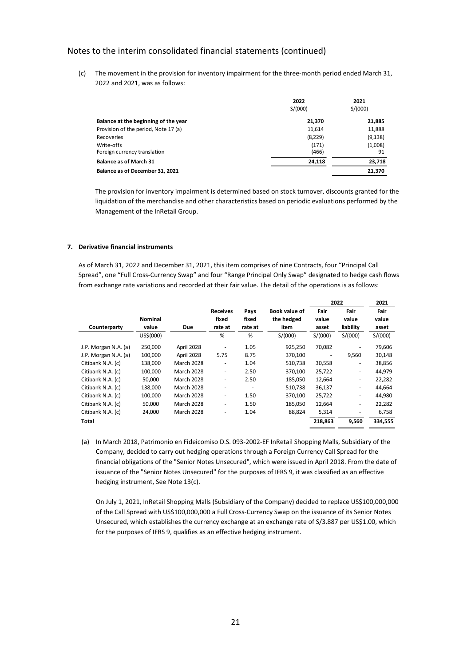(c) The movement in the provision for inventory impairment for the three-month period ended March 31, 2022 and 2021, was as follows:

|                                            | 2022<br>S/(000) | 2021<br>S/(000) |
|--------------------------------------------|-----------------|-----------------|
| Balance at the beginning of the year       | 21,370          | 21,885          |
| Provision of the period, Note 17 (a)       | 11,614          | 11,888          |
| Recoveries                                 | (8,229)         | (9, 138)        |
| Write-offs<br>Foreign currency translation | (171)<br>(466)  | (1,008)<br>91   |
| <b>Balance as of March 31</b>              | 24.118          | 23,718          |
| Balance as of December 31, 2021            |                 | 21,370          |

The provision for inventory impairment is determined based on stock turnover, discounts granted for the liquidation of the merchandise and other characteristics based on periodic evaluations performed by the Management of the InRetail Group.

### **7. Derivative financial instruments**

As of March 31, 2022 and December 31, 2021, this item comprises of nine Contracts, four "Principal Call Spread", one "Full Cross-Currency Swap" and four "Range Principal Only Swap" designated to hedge cash flows from exchange rate variations and recorded at their fair value. The detail of the operations is as follows:

|                      |                |                   |                          |                          |               |         | 2022                     | 2021    |
|----------------------|----------------|-------------------|--------------------------|--------------------------|---------------|---------|--------------------------|---------|
|                      |                |                   | <b>Receives</b>          | Pays                     | Book value of | Fair    | Fair                     | Fair    |
|                      | <b>Nominal</b> |                   | fixed                    | fixed                    | the hedged    | value   | value                    | value   |
| Counterparty         | value          | <b>Due</b>        | rate at                  | rate at                  | item          | asset   | liability                | asset   |
|                      | US\$(000)      |                   | %                        | %                        | S/(000)       | S/(000) | S/(000)                  | S/(000) |
| J.P. Morgan N.A. (a) | 250,000        | April 2028        | $\overline{\phantom{a}}$ | 1.05                     | 925,250       | 70,082  | ٠                        | 79,606  |
| J.P. Morgan N.A. (a) | 100,000        | April 2028        | 5.75                     | 8.75                     | 370,100       | ٠       | 9,560                    | 30,148  |
| Citibank N.A. (c)    | 138.000        | <b>March 2028</b> | $\overline{\phantom{a}}$ | 1.04                     | 510,738       | 30,558  | $\overline{\phantom{a}}$ | 38,856  |
| Citibank N.A. (c)    | 100,000        | March 2028        | $\overline{\phantom{a}}$ | 2.50                     | 370,100       | 25,722  | $\overline{\phantom{a}}$ | 44,979  |
| Citibank N.A. (c)    | 50,000         | <b>March 2028</b> | $\overline{\phantom{a}}$ | 2.50                     | 185,050       | 12,664  | $\overline{\phantom{a}}$ | 22,282  |
| Citibank N.A. (c)    | 138,000        | <b>March 2028</b> | $\overline{\phantom{a}}$ | $\overline{\phantom{a}}$ | 510,738       | 36,137  | $\overline{\phantom{a}}$ | 44,664  |
| Citibank N.A. (c)    | 100,000        | March 2028        | $\overline{\phantom{a}}$ | 1.50                     | 370,100       | 25,722  | $\overline{\phantom{a}}$ | 44,980  |
| Citibank N.A. (c)    | 50,000         | <b>March 2028</b> | $\overline{\phantom{a}}$ | 1.50                     | 185,050       | 12,664  | $\overline{\phantom{a}}$ | 22,282  |
| Citibank N.A. (c)    | 24,000         | <b>March 2028</b> | ٠                        | 1.04                     | 88,824        | 5,314   | ٠                        | 6,758   |
| Total                |                |                   |                          |                          |               | 218,863 | 9,560                    | 334,555 |

(a) In March 2018, Patrimonio en Fideicomiso D.S. 093-2002-EF InRetail Shopping Malls, Subsidiary of the Company, decided to carry out hedging operations through a Foreign Currency Call Spread for the financial obligations of the "Senior Notes Unsecured", which were issued in April 2018. From the date of issuance of the "Senior Notes Unsecured" for the purposes of IFRS 9, it was classified as an effective hedging instrument, See Note 13(c).

On July 1, 2021, InRetail Shopping Malls (Subsidiary of the Company) decided to replace US\$100,000,000 of the Call Spread with US\$100,000,000 a Full Cross-Currency Swap on the issuance of its Senior Notes Unsecured, which establishes the currency exchange at an exchange rate of S/3.887 per US\$1.00, which for the purposes of IFRS 9, qualifies as an effective hedging instrument.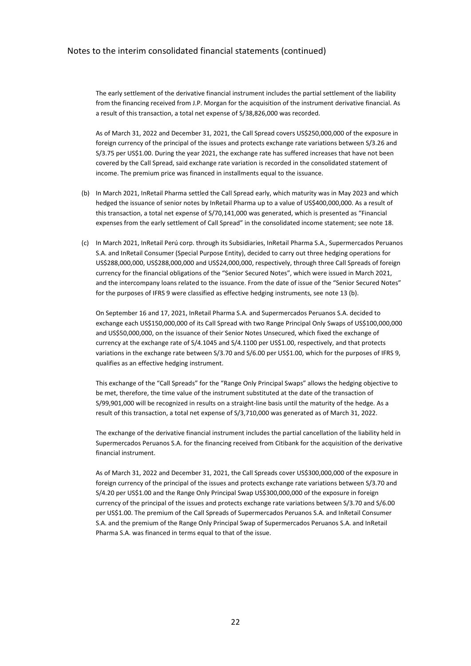The early settlement of the derivative financial instrument includes the partial settlement of the liability from the financing received from J.P. Morgan for the acquisition of the instrument derivative financial. As a result of this transaction, a total net expense of S/38,826,000 was recorded.

As of March 31, 2022 and December 31, 2021, the Call Spread covers US\$250,000,000 of the exposure in foreign currency of the principal of the issues and protects exchange rate variations between S/3.26 and S/3.75 per US\$1.00. During the year 2021, the exchange rate has suffered increases that have not been covered by the Call Spread, said exchange rate variation is recorded in the consolidated statement of income. The premium price was financed in installments equal to the issuance.

- (b) In March 2021, InRetail Pharma settled the Call Spread early, which maturity was in May 2023 and which hedged the issuance of senior notes by InRetail Pharma up to a value of US\$400,000,000. As a result of this transaction, a total net expense of S/70,141,000 was generated, which is presented as "Financial expenses from the early settlement of Call Spread" in the consolidated income statement; see note 18.
- (c) In March 2021, InRetail Perú corp. through its Subsidiaries, InRetail Pharma S.A., Supermercados Peruanos S.A. and InRetail Consumer (Special Purpose Entity), decided to carry out three hedging operations for US\$288,000,000, US\$288,000,000 and US\$24,000,000, respectively, through three Call Spreads of foreign currency for the financial obligations of the "Senior Secured Notes", which were issued in March 2021, and the intercompany loans related to the issuance. From the date of issue of the "Senior Secured Notes" for the purposes of IFRS 9 were classified as effective hedging instruments, see note 13 (b).

On September 16 and 17, 2021, InRetail Pharma S.A. and Supermercados Peruanos S.A. decided to exchange each US\$150,000,000 of its Call Spread with two Range Principal Only Swaps of US\$100,000,000 and US\$50,000,000, on the issuance of their Senior Notes Unsecured, which fixed the exchange of currency at the exchange rate of S/4.1045 and S/4.1100 per US\$1.00, respectively, and that protects variations in the exchange rate between S/3.70 and S/6.00 per US\$1.00, which for the purposes of IFRS 9, qualifies as an effective hedging instrument.

This exchange of the "Call Spreads" for the "Range Only Principal Swaps" allows the hedging objective to be met, therefore, the time value of the instrument substituted at the date of the transaction of S/99,901,000 will be recognized in results on a straight-line basis until the maturity of the hedge. As a result of this transaction, a total net expense of S/3,710,000 was generated as of March 31, 2022.

The exchange of the derivative financial instrument includes the partial cancellation of the liability held in Supermercados Peruanos S.A. for the financing received from Citibank for the acquisition of the derivative financial instrument.

As of March 31, 2022 and December 31, 2021, the Call Spreads cover US\$300,000,000 of the exposure in foreign currency of the principal of the issues and protects exchange rate variations between S/3.70 and S/4.20 per US\$1.00 and the Range Only Principal Swap US\$300,000,000 of the exposure in foreign currency of the principal of the issues and protects exchange rate variations between S/3.70 and S/6.00 per US\$1.00. The premium of the Call Spreads of Supermercados Peruanos S.A. and InRetail Consumer S.A. and the premium of the Range Only Principal Swap of Supermercados Peruanos S.A. and InRetail Pharma S.A. was financed in terms equal to that of the issue.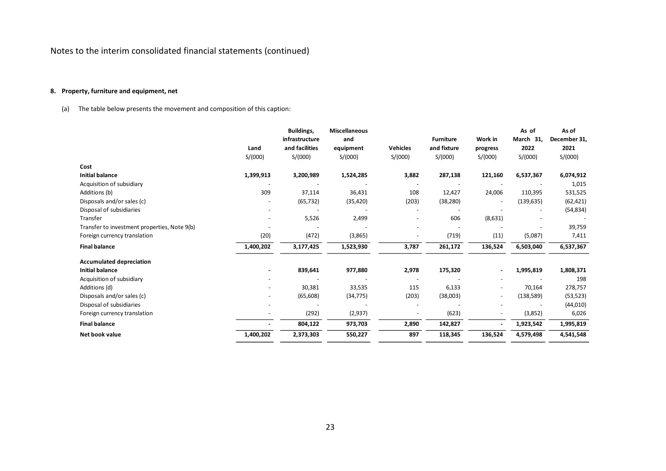# **8. Property, furniture and equipment, net**

(a) The table below presents the movement and composition of this caption:

|                                              |           | Buildings,     | <b>Miscellaneous</b> |                 |                  |          | As of      | As of        |
|----------------------------------------------|-----------|----------------|----------------------|-----------------|------------------|----------|------------|--------------|
|                                              |           | infrastructure | and                  |                 | <b>Furniture</b> | Work in  | March 31,  | December 31, |
|                                              | Land      | and facilities | equipment            | <b>Vehicles</b> | and fixture      | progress | 2022       | 2021         |
|                                              | S/(000)   | S/(000)        | S/(000)              | S/(000)         | S/(000)          | S/(000)  | S/(000)    | S/(000)      |
| Cost                                         |           |                |                      |                 |                  |          |            |              |
| <b>Initial balance</b>                       | 1,399,913 | 3,200,989      | 1,524,285            | 3,882           | 287,138          | 121,160  | 6,537,367  | 6,074,912    |
| Acquisition of subsidiary                    |           |                |                      |                 |                  |          |            | 1,015        |
| Additions (b)                                | 309       | 37,114         | 36,431               | 108             | 12,427           | 24,006   | 110,395    | 531,525      |
| Disposals and/or sales (c)                   |           | (65, 732)      | (35, 420)            | (203)           | (38, 280)        |          | (139, 635) | (62, 421)    |
| Disposal of subsidiaries                     |           |                |                      |                 |                  |          |            | (54, 834)    |
| Transfer                                     |           | 5,526          | 2,499                |                 | 606              | (8,631)  |            |              |
| Transfer to investment properties, Note 9(b) |           |                |                      |                 |                  |          |            | 39,759       |
| Foreign currency translation                 | (20)      | (472)          | (3,865)              |                 | (719)            | (11)     | (5,087)    | 7,411        |
| <b>Final balance</b>                         | 1,400,202 | 3,177,425      | 1,523,930            | 3,787           | 261,172          | 136,524  | 6,503,040  | 6,537,367    |
| <b>Accumulated depreciation</b>              |           |                |                      |                 |                  |          |            |              |
| <b>Initial balance</b>                       |           | 839,641        | 977,880              | 2,978           | 175,320          |          | 1,995,819  | 1,808,371    |
| Acquisition of subsidiary                    |           |                |                      |                 |                  |          |            | 198          |
| Additions (d)                                |           | 30,381         | 33,535               | 115             | 6,133            |          | 70,164     | 278,757      |
| Disposals and/or sales (c)                   |           | (65, 608)      | (34, 775)            | (203)           | (38,003)         |          | (138, 589) | (53, 523)    |
| Disposal of subsidiaries                     |           |                |                      |                 |                  |          |            | (44, 010)    |
| Foreign currency translation                 |           | (292)          | (2,937)              |                 | (623)            |          | (3,852)    | 6,026        |
| <b>Final balance</b>                         |           | 804,122        | 973,703              | 2,890           | 142,827          |          | 1,923,542  | 1,995,819    |
| Net book value                               | 1,400,202 | 2,373,303      | 550,227              | 897             | 118,345          | 136,524  | 4,579,498  | 4,541,548    |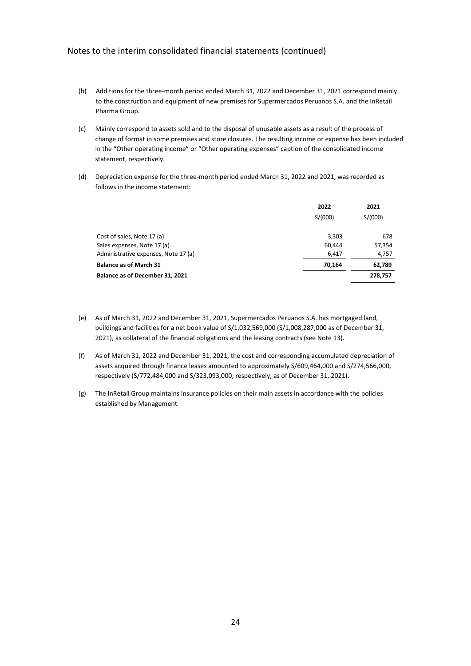- (b) Additions for the three-month period ended March 31, 2022 and December 31, 2021 correspond mainly to the construction and equipment of new premises for Supermercados Peruanos S.A. and the InRetail Pharma Group.
- (c) Mainly correspond to assets sold and to the disposal of unusable assets as a result of the process of change of format in some premises and store closures. The resulting income or expense has been included in the "Other operating income" or "Other operating expenses" caption of the consolidated income statement, respectively.
- (d) Depreciation expense for the three-month period ended March 31, 2022 and 2021, was recorded as follows in the income statement:

|                                      | 2022    | 2021    |
|--------------------------------------|---------|---------|
|                                      | S/(000) | S/(000) |
| Cost of sales, Note 17 (a)           | 3,303   | 678     |
| Sales expenses, Note 17 (a)          | 60.444  | 57,354  |
| Administrative expenses, Note 17 (a) | 6.417   | 4,757   |
| <b>Balance as of March 31</b>        | 70.164  | 62,789  |
| Balance as of December 31, 2021      |         | 278,757 |

- (e) As of March 31, 2022 and December 31, 2021, Supermercados Peruanos S.A. has mortgaged land, buildings and facilities for a net book value of S/1,032,569,000 (S/1,008,287,000 as of December 31, 2021), as collateral of the financial obligations and the leasing contracts (see Note 13).
- (f) As of March 31, 2022 and December 31, 2021, the cost and corresponding accumulated depreciation of assets acquired through finance leases amounted to approximately S/609,464,000 and S/274,566,000, respectively (S/772,484,000 and S/323,093,000, respectively, as of December 31, 2021).
- (g) The InRetail Group maintains insurance policies on their main assets in accordance with the policies established by Management.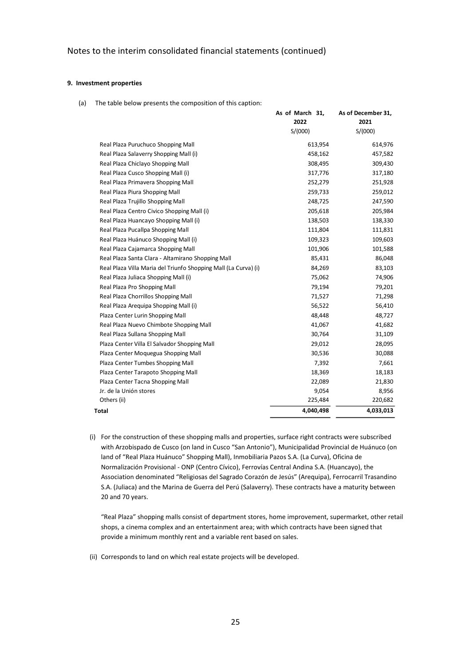### **9. Investment properties**

(a) The table below presents the composition of this caption:

| S/(000)<br>S/(000)<br>Real Plaza Puruchuco Shopping Mall<br>613,954<br>Real Plaza Salaverry Shopping Mall (i)<br>458,162<br>Real Plaza Chiclayo Shopping Mall<br>308,495<br>Real Plaza Cusco Shopping Mall (i)<br>317,776<br>Real Plaza Primavera Shopping Mall<br>252,279<br>Real Plaza Piura Shopping Mall<br>259,733<br>Real Plaza Trujillo Shopping Mall<br>248,725<br>Real Plaza Centro Civico Shopping Mall (i)<br>205,618<br>Real Plaza Huancayo Shopping Mall (i)<br>138,503<br>Real Plaza Pucallpa Shopping Mall<br>111,804<br>Real Plaza Huánuco Shopping Mall (i)<br>109,323<br>Real Plaza Cajamarca Shopping Mall<br>101,906<br>Real Plaza Santa Clara - Altamirano Shopping Mall<br>85,431<br>Real Plaza Villa Maria del Triunfo Shopping Mall (La Curva) (i)<br>84,269<br>Real Plaza Juliaca Shopping Mall (i)<br>75,062<br>Real Plaza Pro Shopping Mall<br>79,194<br>Real Plaza Chorrillos Shopping Mall<br>71,527<br>Real Plaza Arequipa Shopping Mall (i)<br>56,522<br>Plaza Center Lurin Shopping Mall<br>48,448<br>Real Plaza Nuevo Chimbote Shopping Mall<br>41,067<br>Real Plaza Sullana Shopping Mall<br>30,764<br>Plaza Center Villa El Salvador Shopping Mall<br>29,012<br>Plaza Center Moquegua Shopping Mall<br>30,536<br>Plaza Center Tumbes Shopping Mall<br>7,392<br>Plaza Center Tarapoto Shopping Mall<br>18,369<br>Plaza Center Tacna Shopping Mall<br>22,089<br>Jr. de la Unión stores<br>9,054<br>Others (ii)<br>225,484<br>4,040,498 | As of March 31,<br>2022 | As of December 31,<br>2021 |
|-------------------------------------------------------------------------------------------------------------------------------------------------------------------------------------------------------------------------------------------------------------------------------------------------------------------------------------------------------------------------------------------------------------------------------------------------------------------------------------------------------------------------------------------------------------------------------------------------------------------------------------------------------------------------------------------------------------------------------------------------------------------------------------------------------------------------------------------------------------------------------------------------------------------------------------------------------------------------------------------------------------------------------------------------------------------------------------------------------------------------------------------------------------------------------------------------------------------------------------------------------------------------------------------------------------------------------------------------------------------------------------------------------------------------------------------------------------------------|-------------------------|----------------------------|
|                                                                                                                                                                                                                                                                                                                                                                                                                                                                                                                                                                                                                                                                                                                                                                                                                                                                                                                                                                                                                                                                                                                                                                                                                                                                                                                                                                                                                                                                         |                         |                            |
|                                                                                                                                                                                                                                                                                                                                                                                                                                                                                                                                                                                                                                                                                                                                                                                                                                                                                                                                                                                                                                                                                                                                                                                                                                                                                                                                                                                                                                                                         |                         | 614,976                    |
|                                                                                                                                                                                                                                                                                                                                                                                                                                                                                                                                                                                                                                                                                                                                                                                                                                                                                                                                                                                                                                                                                                                                                                                                                                                                                                                                                                                                                                                                         |                         | 457,582                    |
|                                                                                                                                                                                                                                                                                                                                                                                                                                                                                                                                                                                                                                                                                                                                                                                                                                                                                                                                                                                                                                                                                                                                                                                                                                                                                                                                                                                                                                                                         |                         | 309,430                    |
|                                                                                                                                                                                                                                                                                                                                                                                                                                                                                                                                                                                                                                                                                                                                                                                                                                                                                                                                                                                                                                                                                                                                                                                                                                                                                                                                                                                                                                                                         |                         | 317,180                    |
|                                                                                                                                                                                                                                                                                                                                                                                                                                                                                                                                                                                                                                                                                                                                                                                                                                                                                                                                                                                                                                                                                                                                                                                                                                                                                                                                                                                                                                                                         |                         | 251,928                    |
|                                                                                                                                                                                                                                                                                                                                                                                                                                                                                                                                                                                                                                                                                                                                                                                                                                                                                                                                                                                                                                                                                                                                                                                                                                                                                                                                                                                                                                                                         |                         | 259,012                    |
|                                                                                                                                                                                                                                                                                                                                                                                                                                                                                                                                                                                                                                                                                                                                                                                                                                                                                                                                                                                                                                                                                                                                                                                                                                                                                                                                                                                                                                                                         |                         | 247,590                    |
|                                                                                                                                                                                                                                                                                                                                                                                                                                                                                                                                                                                                                                                                                                                                                                                                                                                                                                                                                                                                                                                                                                                                                                                                                                                                                                                                                                                                                                                                         |                         | 205,984                    |
|                                                                                                                                                                                                                                                                                                                                                                                                                                                                                                                                                                                                                                                                                                                                                                                                                                                                                                                                                                                                                                                                                                                                                                                                                                                                                                                                                                                                                                                                         |                         | 138,330                    |
|                                                                                                                                                                                                                                                                                                                                                                                                                                                                                                                                                                                                                                                                                                                                                                                                                                                                                                                                                                                                                                                                                                                                                                                                                                                                                                                                                                                                                                                                         |                         | 111,831                    |
|                                                                                                                                                                                                                                                                                                                                                                                                                                                                                                                                                                                                                                                                                                                                                                                                                                                                                                                                                                                                                                                                                                                                                                                                                                                                                                                                                                                                                                                                         |                         | 109,603                    |
|                                                                                                                                                                                                                                                                                                                                                                                                                                                                                                                                                                                                                                                                                                                                                                                                                                                                                                                                                                                                                                                                                                                                                                                                                                                                                                                                                                                                                                                                         |                         | 101,588                    |
|                                                                                                                                                                                                                                                                                                                                                                                                                                                                                                                                                                                                                                                                                                                                                                                                                                                                                                                                                                                                                                                                                                                                                                                                                                                                                                                                                                                                                                                                         |                         | 86,048                     |
|                                                                                                                                                                                                                                                                                                                                                                                                                                                                                                                                                                                                                                                                                                                                                                                                                                                                                                                                                                                                                                                                                                                                                                                                                                                                                                                                                                                                                                                                         |                         | 83,103                     |
|                                                                                                                                                                                                                                                                                                                                                                                                                                                                                                                                                                                                                                                                                                                                                                                                                                                                                                                                                                                                                                                                                                                                                                                                                                                                                                                                                                                                                                                                         |                         | 74,906                     |
|                                                                                                                                                                                                                                                                                                                                                                                                                                                                                                                                                                                                                                                                                                                                                                                                                                                                                                                                                                                                                                                                                                                                                                                                                                                                                                                                                                                                                                                                         |                         | 79,201                     |
| Total                                                                                                                                                                                                                                                                                                                                                                                                                                                                                                                                                                                                                                                                                                                                                                                                                                                                                                                                                                                                                                                                                                                                                                                                                                                                                                                                                                                                                                                                   |                         | 71,298                     |
|                                                                                                                                                                                                                                                                                                                                                                                                                                                                                                                                                                                                                                                                                                                                                                                                                                                                                                                                                                                                                                                                                                                                                                                                                                                                                                                                                                                                                                                                         |                         | 56,410                     |
|                                                                                                                                                                                                                                                                                                                                                                                                                                                                                                                                                                                                                                                                                                                                                                                                                                                                                                                                                                                                                                                                                                                                                                                                                                                                                                                                                                                                                                                                         |                         | 48,727                     |
|                                                                                                                                                                                                                                                                                                                                                                                                                                                                                                                                                                                                                                                                                                                                                                                                                                                                                                                                                                                                                                                                                                                                                                                                                                                                                                                                                                                                                                                                         |                         | 41,682                     |
|                                                                                                                                                                                                                                                                                                                                                                                                                                                                                                                                                                                                                                                                                                                                                                                                                                                                                                                                                                                                                                                                                                                                                                                                                                                                                                                                                                                                                                                                         |                         | 31,109                     |
|                                                                                                                                                                                                                                                                                                                                                                                                                                                                                                                                                                                                                                                                                                                                                                                                                                                                                                                                                                                                                                                                                                                                                                                                                                                                                                                                                                                                                                                                         |                         | 28,095                     |
|                                                                                                                                                                                                                                                                                                                                                                                                                                                                                                                                                                                                                                                                                                                                                                                                                                                                                                                                                                                                                                                                                                                                                                                                                                                                                                                                                                                                                                                                         |                         | 30,088                     |
|                                                                                                                                                                                                                                                                                                                                                                                                                                                                                                                                                                                                                                                                                                                                                                                                                                                                                                                                                                                                                                                                                                                                                                                                                                                                                                                                                                                                                                                                         |                         | 7,661                      |
|                                                                                                                                                                                                                                                                                                                                                                                                                                                                                                                                                                                                                                                                                                                                                                                                                                                                                                                                                                                                                                                                                                                                                                                                                                                                                                                                                                                                                                                                         |                         | 18,183                     |
|                                                                                                                                                                                                                                                                                                                                                                                                                                                                                                                                                                                                                                                                                                                                                                                                                                                                                                                                                                                                                                                                                                                                                                                                                                                                                                                                                                                                                                                                         |                         | 21,830                     |
|                                                                                                                                                                                                                                                                                                                                                                                                                                                                                                                                                                                                                                                                                                                                                                                                                                                                                                                                                                                                                                                                                                                                                                                                                                                                                                                                                                                                                                                                         |                         | 8,956                      |
|                                                                                                                                                                                                                                                                                                                                                                                                                                                                                                                                                                                                                                                                                                                                                                                                                                                                                                                                                                                                                                                                                                                                                                                                                                                                                                                                                                                                                                                                         |                         | 220,682                    |
|                                                                                                                                                                                                                                                                                                                                                                                                                                                                                                                                                                                                                                                                                                                                                                                                                                                                                                                                                                                                                                                                                                                                                                                                                                                                                                                                                                                                                                                                         |                         | 4,033,013                  |

(i) For the construction of these shopping malls and properties, surface right contracts were subscribed with Arzobispado de Cusco (on land in Cusco "San Antonio"), Municipalidad Provincial de Huánuco (on land of "Real Plaza Huánuco" Shopping Mall), Inmobiliaria Pazos S.A. (La Curva), Oficina de Normalización Provisional - ONP (Centro Cívico), Ferrovías Central Andina S.A. (Huancayo), the Association denominated "Religiosas del Sagrado Corazón de Jesús" (Arequipa), Ferrocarril Trasandino S.A. (Juliaca) and the Marina de Guerra del Perú (Salaverry). These contracts have a maturity between 20 and 70 years.

"Real Plaza" shopping malls consist of department stores, home improvement, supermarket, other retail shops, a cinema complex and an entertainment area; with which contracts have been signed that provide a minimum monthly rent and a variable rent based on sales.

(ii) Corresponds to land on which real estate projects will be developed.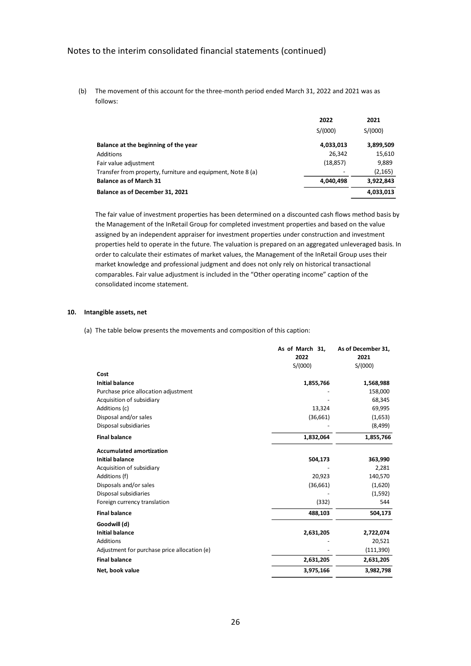(b) The movement of this account for the three-month period ended March 31, 2022 and 2021 was as follows:

|                                                             | 2022      | 2021      |
|-------------------------------------------------------------|-----------|-----------|
|                                                             | S/(000)   | S/(000)   |
| Balance at the beginning of the year                        | 4,033,013 | 3,899,509 |
| Additions                                                   | 26.342    | 15,610    |
| Fair value adjustment                                       | (18, 857) | 9,889     |
| Transfer from property, furniture and equipment, Note 8 (a) |           | (2, 165)  |
| <b>Balance as of March 31</b>                               | 4,040,498 | 3,922,843 |
| Balance as of December 31, 2021                             |           | 4,033,013 |

The fair value of investment properties has been determined on a discounted cash flows method basis by the Management of the InRetail Group for completed investment properties and based on the value assigned by an independent appraiser for investment properties under construction and investment properties held to operate in the future. The valuation is prepared on an aggregated unleveraged basis. In order to calculate their estimates of market values, the Management of the InRetail Group uses their market knowledge and professional judgment and does not only rely on historical transactional comparables. Fair value adjustment is included in the "Other operating income" caption of the consolidated income statement.

#### **10. Intangible assets, net**

(a) The table below presents the movements and composition of this caption:

|                                              | As of March 31, | As of December 31, |
|----------------------------------------------|-----------------|--------------------|
|                                              | 2022            | 2021               |
|                                              | S/(000)         | S/(000)            |
| Cost                                         |                 |                    |
| <b>Initial balance</b>                       | 1,855,766       | 1,568,988          |
| Purchase price allocation adjustment         |                 | 158,000            |
| Acquisition of subsidiary                    |                 | 68,345             |
| Additions (c)                                | 13,324          | 69,995             |
| Disposal and/or sales                        | (36,661)        | (1,653)            |
| Disposal subsidiaries                        |                 | (8, 499)           |
| <b>Final balance</b>                         | 1,832,064       | 1,855,766          |
| <b>Accumulated amortization</b>              |                 |                    |
| <b>Initial balance</b>                       | 504,173         | 363,990            |
| Acquisition of subsidiary                    |                 | 2,281              |
| Additions (f)                                | 20,923          | 140,570            |
| Disposals and/or sales                       | (36,661)        | (1,620)            |
| Disposal subsidiaries                        |                 | (1,592)            |
| Foreign currency translation                 | (332)           | 544                |
| <b>Final balance</b>                         | 488,103         | 504,173            |
| Goodwill (d)                                 |                 |                    |
| <b>Initial balance</b>                       | 2,631,205       | 2,722,074          |
| <b>Additions</b>                             |                 | 20,521             |
| Adjustment for purchase price allocation (e) |                 | (111,390)          |
| <b>Final balance</b>                         | 2,631,205       | 2,631,205          |
| Net, book value                              | 3,975,166       | 3,982,798          |
|                                              |                 |                    |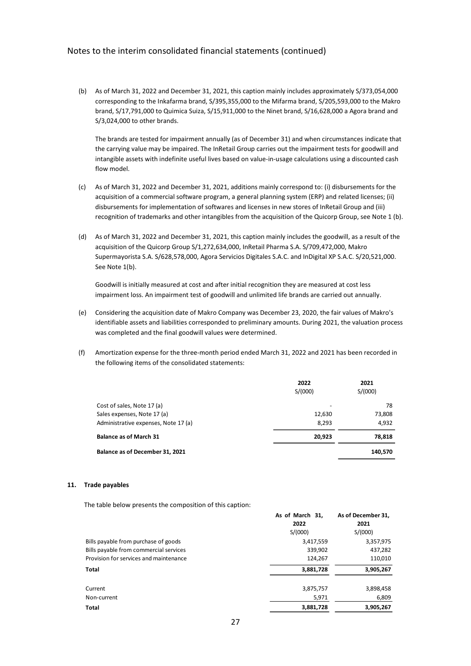(b) As of March 31, 2022 and December 31, 2021, this caption mainly includes approximately S/373,054,000 corresponding to the Inkafarma brand, S/395,355,000 to the Mifarma brand, S/205,593,000 to the Makro brand, S/17,791,000 to Quimica Suiza, S/15,911,000 to the Ninet brand, S/16,628,000 a Agora brand and S/3,024,000 to other brands.

The brands are tested for impairment annually (as of December 31) and when circumstances indicate that the carrying value may be impaired. The InRetail Group carries out the impairment tests for goodwill and intangible assets with indefinite useful lives based on value-in-usage calculations using a discounted cash flow model.

- (c) As of March 31, 2022 and December 31, 2021, additions mainly correspond to: (i) disbursements for the acquisition of a commercial software program, a general planning system (ERP) and related licenses; (ii) disbursements for implementation of softwares and licenses in new stores of InRetail Group and (iii) recognition of trademarks and other intangibles from the acquisition of the Quicorp Group, see Note 1 (b).
- (d) As of March 31, 2022 and December 31, 2021, this caption mainly includes the goodwill, as a result of the acquisition of the Quicorp Group S/1,272,634,000, InRetail Pharma S.A. S/709,472,000, Makro Supermayorista S.A. S/628,578,000, Agora Servicios Digitales S.A.C. and InDigital XP S.A.C. S/20,521,000. See Note 1(b).

Goodwill is initially measured at cost and after initial recognition they are measured at cost less impairment loss. An impairment test of goodwill and unlimited life brands are carried out annually.

- (e) Considering the acquisition date of Makro Company was December 23, 2020, the fair values of Makro's identifiable assets and liabilities corresponded to preliminary amounts. During 2021, the valuation process was completed and the final goodwill values were determined.
- (f) Amortization expense for the three-month period ended March 31, 2022 and 2021 has been recorded in the following items of the consolidated statements:

|                                      | 2022    | 2021    |
|--------------------------------------|---------|---------|
|                                      | S/(000) | S/(000) |
| Cost of sales, Note 17 (a)           | -       | 78      |
| Sales expenses, Note 17 (a)          | 12,630  | 73,808  |
| Administrative expenses, Note 17 (a) | 8.293   | 4,932   |
| <b>Balance as of March 31</b>        | 20,923  | 78,818  |
| Balance as of December 31, 2021      |         | 140,570 |

#### **11. Trade payables**

The table below presents the composition of this caption:

|                                        | As of March 31.<br>2022 | As of December 31,<br>2021 |
|----------------------------------------|-------------------------|----------------------------|
|                                        | S/(000)                 | S/(000)                    |
| Bills payable from purchase of goods   | 3,417,559               | 3,357,975                  |
| Bills payable from commercial services | 339,902                 | 437,282                    |
| Provision for services and maintenance | 124,267                 | 110,010                    |
| <b>Total</b>                           | 3,881,728               | 3,905,267                  |
| Current                                | 3,875,757               | 3,898,458                  |
| Non-current                            | 5,971                   | 6,809                      |
| <b>Total</b>                           | 3,881,728               | 3,905,267                  |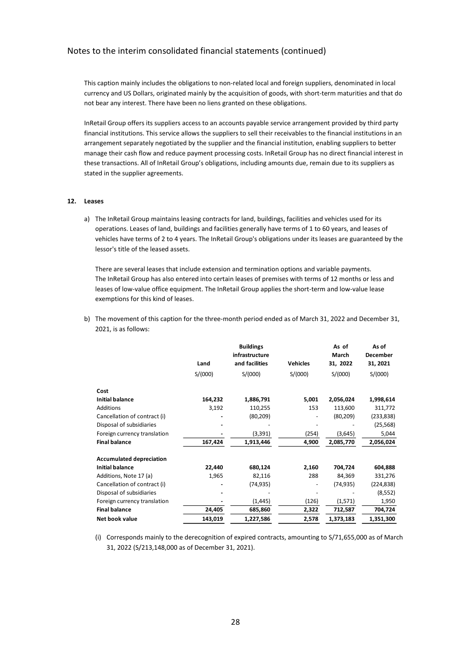This caption mainly includes the obligations to non-related local and foreign suppliers, denominated in local currency and US Dollars, originated mainly by the acquisition of goods, with short-term maturities and that do not bear any interest. There have been no liens granted on these obligations.

InRetail Group offers its suppliers access to an accounts payable service arrangement provided by third party financial institutions. This service allows the suppliers to sell their receivables to the financial institutions in an arrangement separately negotiated by the supplier and the financial institution, enabling suppliers to better manage their cash flow and reduce payment processing costs. InRetail Group has no direct financial interest in these transactions. All of InRetail Group's obligations, including amounts due, remain due to its suppliers as stated in the supplier agreements.

#### **12. Leases**

a) The InRetail Group maintains leasing contracts for land, buildings, facilities and vehicles used for its operations. Leases of land, buildings and facilities generally have terms of 1 to 60 years, and leases of vehicles have terms of 2 to 4 years. The InRetail Group's obligations under its leases are guaranteed by the lessor's title of the leased assets.

There are several leases that include extension and termination options and variable payments. The InRetail Group has also entered into certain leases of premises with terms of 12 months or less and leases of low-value office equipment. The InRetail Group applies the short-term and low-value lease exemptions for this kind of leases.

b) The movement of this caption for the three-month period ended as of March 31, 2022 and December 31, 2021, is as follows:

|                                 | Land    | <b>Buildings</b><br>infrastructure<br>and facilities | <b>Vehicles</b> | As of<br>March<br>31, 2022 | As of<br><b>December</b><br>31, 2021 |
|---------------------------------|---------|------------------------------------------------------|-----------------|----------------------------|--------------------------------------|
|                                 | S/(000) | S/(000)                                              | S/(000)         | S/(000)                    | S/(000)                              |
| Cost                            |         |                                                      |                 |                            |                                      |
| <b>Initial balance</b>          | 164,232 | 1,886,791                                            | 5,001           | 2,056,024                  | 1,998,614                            |
| Additions                       | 3,192   | 110,255                                              | 153             | 113,600                    | 311,772                              |
| Cancellation of contract (i)    |         | (80, 209)                                            |                 | (80, 209)                  | (233, 838)                           |
| Disposal of subsidiaries        |         |                                                      |                 |                            | (25, 568)                            |
| Foreign currency translation    |         | (3, 391)                                             | (254)           | (3,645)                    | 5,044                                |
| <b>Final balance</b>            | 167,424 | 1,913,446                                            | 4,900           | 2,085,770                  | 2,056,024                            |
| <b>Accumulated depreciation</b> |         |                                                      |                 |                            |                                      |
| <b>Initial balance</b>          | 22,440  | 680,124                                              | 2,160           | 704,724                    | 604,888                              |
| Additions, Note 17 (a)          | 1,965   | 82,116                                               | 288             | 84,369                     | 331,276                              |
| Cancellation of contract (i)    |         | (74, 935)                                            |                 | (74, 935)                  | (224, 838)                           |
| Disposal of subsidiaries        |         |                                                      |                 |                            | (8, 552)                             |
| Foreign currency translation    |         | (1, 445)                                             | (126)           | (1,571)                    | 1,950                                |
| <b>Final balance</b>            | 24,405  | 685,860                                              | 2,322           | 712,587                    | 704,724                              |
| Net book value                  | 143,019 | 1,227,586                                            | 2,578           | 1,373,183                  | 1,351,300                            |

(i) Corresponds mainly to the derecognition of expired contracts, amounting to S/71,655,000 as of March 31, 2022 (S/213,148,000 as of December 31, 2021).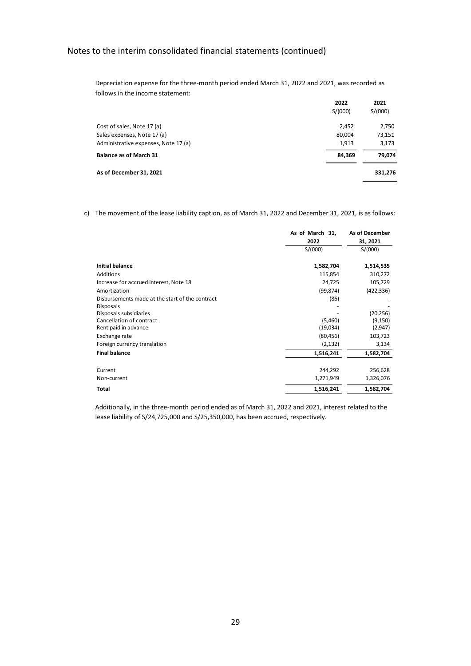Depreciation expense for the three-month period ended March 31, 2022 and 2021, was recorded as follows in the income statement:

|                                      | 2022    | 2021    |
|--------------------------------------|---------|---------|
|                                      | S/(000) | S/(000) |
| Cost of sales, Note 17 (a)           | 2,452   | 2,750   |
| Sales expenses, Note 17 (a)          | 80,004  | 73,151  |
| Administrative expenses, Note 17 (a) | 1,913   | 3,173   |
| <b>Balance as of March 31</b>        | 84,369  | 79,074  |
| As of December 31, 2021              |         | 331,276 |

c) The movement of the lease liability caption, as of March 31, 2022 and December 31, 2021, is as follows:

|                                                 | As of March 31, | As of December |
|-------------------------------------------------|-----------------|----------------|
|                                                 | 2022            | 31, 2021       |
|                                                 | S/(000)         | S/(000)        |
| <b>Initial balance</b>                          | 1,582,704       | 1,514,535      |
| Additions                                       | 115,854         | 310,272        |
| Increase for accrued interest, Note 18          | 24,725          | 105,729        |
| Amortization                                    | (99, 874)       | (422, 336)     |
| Disbursements made at the start of the contract | (86)            |                |
| <b>Disposals</b>                                |                 |                |
| Disposals subsidiaries                          |                 | (20, 256)      |
| Cancellation of contract                        | (5,460)         | (9, 150)       |
| Rent paid in advance                            | (19,034)        | (2,947)        |
| Exchange rate                                   | (80, 456)       | 103,723        |
| Foreign currency translation                    | (2, 132)        | 3,134          |
| <b>Final balance</b>                            | 1,516,241       | 1,582,704      |
|                                                 |                 |                |
| Current                                         | 244,292         | 256,628        |
| Non-current                                     | 1,271,949       | 1,326,076      |
| Total                                           | 1,516,241       | 1,582,704      |

Additionally, in the three-month period ended as of March 31, 2022 and 2021, interest related to the lease liability of S/24,725,000 and S/25,350,000, has been accrued, respectively.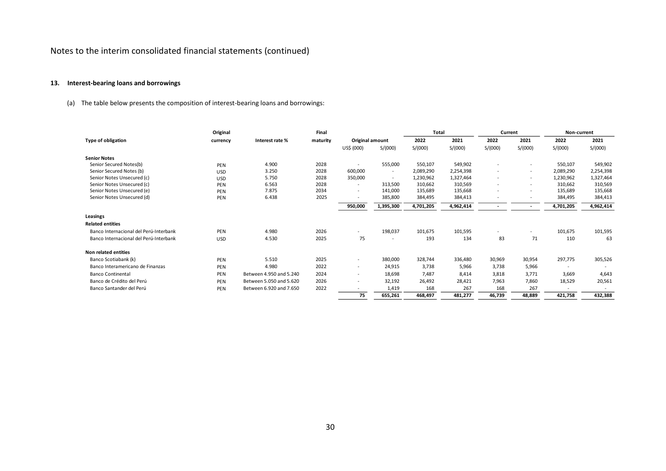# **13. Interest-bearing loans and borrowings**

(a) The table below presents the composition of interest-bearing loans and borrowings:

|                                        | Original   |                         | Final    |                          |                          | <b>Total</b> |           | Current                  |                          | Non-current              |           |
|----------------------------------------|------------|-------------------------|----------|--------------------------|--------------------------|--------------|-----------|--------------------------|--------------------------|--------------------------|-----------|
| <b>Type of obligation</b>              | currency   | Interest rate %         | maturity | Original amount          |                          | 2022         | 2021      | 2022                     | 2021                     | 2022                     | 2021      |
|                                        |            |                         |          | US\$ (000)               | S/(000)                  | S/(000)      | S/(000)   | S/(000)                  | S/(000)                  | S/(000)                  | S/(000)   |
| <b>Senior Notes</b>                    |            |                         |          |                          |                          |              |           |                          |                          |                          |           |
| Senior Secured Notes(b)                | PEN        | 4.900                   | 2028     |                          | 555,000                  | 550,107      | 549,902   | $\overline{\phantom{a}}$ |                          | 550,107                  | 549,902   |
| Senior Secured Notes (b)               | <b>USD</b> | 3.250                   | 2028     | 600,000                  | $\overline{\phantom{a}}$ | 2,089,290    | 2,254,398 | $\sim$                   | $\overline{\phantom{a}}$ | 2,089,290                | 2,254,398 |
| Senior Notes Unsecured (c)             | <b>USD</b> | 5.750                   | 2028     | 350,000                  | $\overline{\phantom{a}}$ | 1,230,962    | 1,327,464 | $\overline{\phantom{a}}$ | $\overline{\phantom{0}}$ | 1,230,962                | 1,327,464 |
| Senior Notes Unsecured (c)             | PEN        | 6.563                   | 2028     |                          | 313,500                  | 310,662      | 310,569   | $\overline{\phantom{a}}$ | $\overline{\phantom{a}}$ | 310,662                  | 310,569   |
| Senior Notes Unsecured (e)             | PEN        | 7.875                   | 2034     | $\overline{\phantom{a}}$ | 141,000                  | 135,689      | 135,668   | $\blacksquare$           | $\overline{\phantom{a}}$ | 135,689                  | 135,668   |
| Senior Notes Unsecured (d)             | PEN        | 6.438                   | 2025     | $\overline{\phantom{a}}$ | 385,800                  | 384,495      | 384,413   | $\overline{\phantom{a}}$ |                          | 384,495                  | 384,413   |
|                                        |            |                         |          | 950,000                  | 1,395,300                | 4,701,205    | 4,962,414 | $\overline{\phantom{a}}$ |                          | 4,701,205                | 4,962,414 |
| Leasings                               |            |                         |          |                          |                          |              |           |                          |                          |                          |           |
| <b>Related entities</b>                |            |                         |          |                          |                          |              |           |                          |                          |                          |           |
| Banco Internacional del Perú-Interbank | PEN        | 4.980                   | 2026     |                          | 198,037                  | 101,675      | 101,595   | $\overline{\phantom{a}}$ |                          | 101,675                  | 101,595   |
| Banco Internacional del Perú-Interbank | <b>USD</b> | 4.530                   | 2025     | 75                       | $\overline{\phantom{a}}$ | 193          | 134       | 83                       | 71                       | 110                      | 63        |
| Non related entities                   |            |                         |          |                          |                          |              |           |                          |                          |                          |           |
| Banco Scotiabank (k)                   | PEN        | 5.510                   | 2025     | $\overline{\phantom{a}}$ | 380,000                  | 328,744      | 336,480   | 30,969                   | 30,954                   | 297,775                  | 305,526   |
| Banco Interamericano de Finanzas       | PEN        | 4.980                   | 2022     | $\sim$                   | 24,915                   | 3,738        | 5,966     | 3,738                    | 5,966                    |                          |           |
| <b>Banco Continental</b>               | PEN        | Between 4.950 and 5.240 | 2024     | $\sim$                   | 18,698                   | 7,487        | 8,414     | 3,818                    | 3,771                    | 3,669                    | 4,643     |
| Banco de Crédito del Perú              | PEN        | Between 5.050 and 5.620 | 2026     | $\overline{\phantom{a}}$ | 32,192                   | 26,492       | 28,421    | 7,963                    | 7,860                    | 18,529                   | 20,561    |
| Banco Santander del Perú               | PEN        | Between 6.920 and 7.650 | 2022     |                          | 1,419                    | 168          | 267       | 168                      | 267                      | $\overline{\phantom{a}}$ |           |
|                                        |            |                         |          | 75                       | 655,261                  | 468,497      | 481,277   | 46,739                   | 48,889                   | 421,758                  | 432,388   |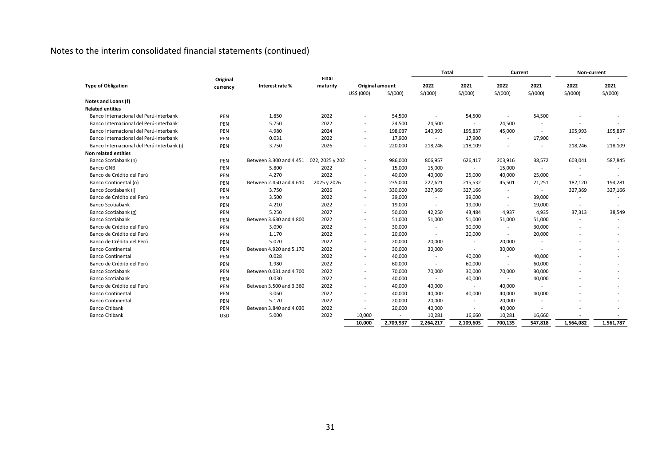|                                            |                      |                                         | Final       |                          |           | Total                    |                          | Current                  |                          | Non-current              |           |
|--------------------------------------------|----------------------|-----------------------------------------|-------------|--------------------------|-----------|--------------------------|--------------------------|--------------------------|--------------------------|--------------------------|-----------|
| <b>Type of Obligation</b>                  | Original<br>currency | Interest rate %                         | maturity    | Original amount          |           | 2022                     | 2021                     | 2022                     | 2021                     | 2022                     | 2021      |
|                                            |                      |                                         |             | US\$ (000)               | S/(000)   | S/(000)                  | S/(000)                  | S/(000)                  | S/(000)                  | S/(000)                  | S/(000)   |
| Notes and Loans (f)                        |                      |                                         |             |                          |           |                          |                          |                          |                          |                          |           |
| <b>Related entities</b>                    |                      |                                         |             |                          |           |                          |                          |                          |                          |                          |           |
| Banco Internacional del Perú-Interbank     | PEN                  | 1.850                                   | 2022        |                          | 54,500    | $\overline{\phantom{a}}$ | 54,500                   |                          | 54,500                   |                          |           |
| Banco Internacional del Perú-Interbank     | PEN                  | 5.750                                   | 2022        | $\overline{\phantom{a}}$ | 24,500    | 24,500                   | $\overline{\phantom{a}}$ | 24,500                   | $\overline{\phantom{a}}$ |                          |           |
| Banco Internacional del Perú-Interbank     | PEN                  | 4.980                                   | 2024        |                          | 198,037   | 240,993                  | 195,837                  | 45,000                   | $\overline{\phantom{a}}$ | 195,993                  | 195,837   |
| Banco Internacional del Perú-Interbank     | PEN                  | 0.031                                   | 2022        | $\overline{\phantom{a}}$ | 17,900    | $\overline{\phantom{a}}$ | 17,900                   | $\overline{\phantom{a}}$ | 17,900                   |                          |           |
| Banco Internacional del Perú-Interbank (i) | PEN                  | 3.750                                   | 2026        | $\overline{\phantom{a}}$ | 220,000   | 218,246                  | 218,109                  | $\overline{\phantom{a}}$ | $\overline{\phantom{a}}$ | 218,246                  | 218,109   |
| Non related entities                       |                      |                                         |             |                          |           |                          |                          |                          |                          |                          |           |
| Banco Scotiabank (n)                       | PEN                  | Between 3.300 and 4.451 022, 2025 y 202 |             | $\overline{\phantom{a}}$ | 986,000   | 806,957                  | 626,417                  | 203,916                  | 38,572                   | 603,041                  | 587,845   |
| <b>Banco GNB</b>                           | PEN                  | 5.800                                   | 2022        | $\overline{\phantom{a}}$ | 15,000    | 15,000                   | $\sim$                   | 15,000                   | $\sim$                   |                          |           |
| Banco de Crédito del Perú                  | PEN                  | 4.270                                   | 2022        |                          | 40,000    | 40,000                   | 25,000                   | 40,000                   | 25,000                   |                          |           |
| Banco Continental (o)                      | PEN                  | Between 2.450 and 4.610                 | 2025 y 2026 | $\overline{\phantom{a}}$ | 235,000   | 227,621                  | 215,532                  | 45,501                   | 21,251                   | 182,120                  | 194,281   |
| Banco Scotiabank (i)                       | PEN                  | 3.750                                   | 2026        | $\overline{\phantom{a}}$ | 330,000   | 327,369                  | 327,166                  | $\overline{\phantom{a}}$ | $\sim$                   | 327,369                  | 327,166   |
| Banco de Crédito del Perú                  | PEN                  | 3.500                                   | 2022        | $\overline{\phantom{a}}$ | 39,000    | $\sim$                   | 39,000                   | $\overline{\phantom{a}}$ | 39,000                   | $\overline{\phantom{a}}$ |           |
| Banco Scotiabank                           | PEN                  | 4.210                                   | 2022        | $\overline{\phantom{a}}$ | 19,000    | $\sim$                   | 19,000                   | $\overline{\phantom{a}}$ | 19,000                   | $\overline{\phantom{a}}$ |           |
| Banco Scotiabank (g)                       | PEN                  | 5.250                                   | 2027        | $\overline{\phantom{a}}$ | 50,000    | 42,250                   | 43,484                   | 4,937                    | 4,935                    | 37,313                   | 38,549    |
| <b>Banco Scotiabank</b>                    | PEN                  | Between 3.630 and 4.800                 | 2022        | $\overline{\phantom{a}}$ | 51,000    | 51,000                   | 51,000                   | 51,000                   | 51,000                   | $\overline{\phantom{a}}$ |           |
| Banco de Crédito del Perú                  | PEN                  | 3.090                                   | 2022        |                          | 30,000    | $\overline{a}$           | 30,000                   | $\overline{\phantom{a}}$ | 30,000                   |                          |           |
| Banco de Crédito del Perú                  | PEN                  | 1.170                                   | 2022        | $\overline{\phantom{a}}$ | 20,000    | $\overline{\phantom{a}}$ | 20,000                   | $\overline{\phantom{a}}$ | 20,000                   |                          |           |
| Banco de Crédito del Perú                  | PEN                  | 5.020                                   | 2022        | $\overline{\phantom{a}}$ | 20,000    | 20,000                   | $\sim$                   | 20,000                   | $\overline{\phantom{a}}$ | $\overline{\phantom{a}}$ |           |
| <b>Banco Continental</b>                   | PEN                  | Between 4.920 and 5.170                 | 2022        | $\overline{\phantom{a}}$ | 30,000    | 30,000                   | $\sim$                   | 30,000                   | $\overline{\phantom{a}}$ |                          |           |
| <b>Banco Continental</b>                   | PEN                  | 0.028                                   | 2022        | $\overline{\phantom{a}}$ | 40,000    | $\overline{a}$           | 40,000                   | $\sim$                   | 40,000                   |                          |           |
| Banco de Crédito del Perú                  | PEN                  | 1.980                                   | 2022        | $\overline{\phantom{a}}$ | 60,000    | $\sim$                   | 60,000                   | $\sim$                   | 60,000                   |                          |           |
| <b>Banco Scotiabank</b>                    | PEN                  | Between 0.031 and 4.700                 | 2022        | $\overline{\phantom{a}}$ | 70,000    | 70,000                   | 30,000                   | 70,000                   | 30,000                   |                          |           |
| Banco Scotiabank                           | PEN                  | 0.030                                   | 2022        |                          | 40,000    | $\overline{\phantom{a}}$ | 40,000                   | $\overline{\phantom{a}}$ | 40,000                   |                          |           |
| Banco de Crédito del Perú                  | PEN                  | Between 3.500 and 3.360                 | 2022        | $\overline{\phantom{a}}$ | 40,000    | 40,000                   | $\sim$                   | 40,000                   |                          |                          |           |
| <b>Banco Continental</b>                   | PEN                  | 3.060                                   | 2022        | $\overline{\phantom{a}}$ | 40,000    | 40,000                   | 40,000                   | 40,000                   | 40,000                   |                          |           |
| <b>Banco Continental</b>                   | PEN                  | 5.170                                   | 2022        | $\overline{\phantom{a}}$ | 20,000    | 20,000                   | $\overline{\phantom{a}}$ | 20,000                   | $\overline{\phantom{a}}$ |                          |           |
| <b>Banco Citibank</b>                      | PEN                  | Between 3.840 and 4.030                 | 2022        | $\sim$                   | 20,000    | 40,000                   | $\overline{\phantom{a}}$ | 40,000                   | $\overline{\phantom{a}}$ |                          |           |
| <b>Banco Citibank</b>                      | <b>USD</b>           | 5.000                                   | 2022        | 10,000                   |           | 10,281                   | 16,660                   | 10,281                   | 16,660                   |                          |           |
|                                            |                      |                                         |             | 10,000                   | 2,709,937 | 2,264,217                | 2,109,605                | 700,135                  | 547,818                  | 1,564,082                | 1,561,787 |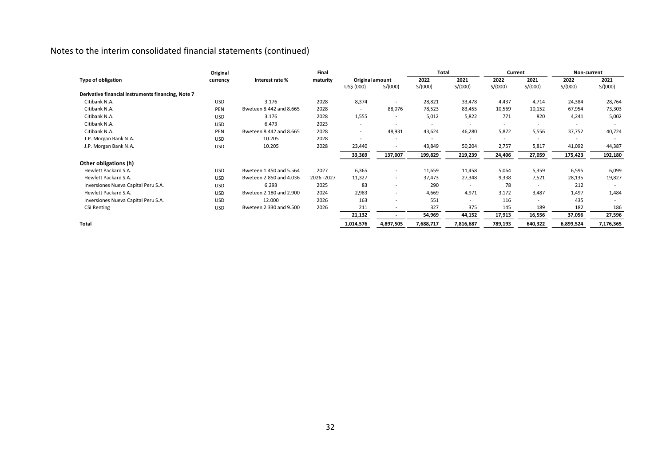|                                                    | Original   |                         | Final     |                          |                          | <b>Total</b>             |                          | Current                  |                          | Non-current |           |
|----------------------------------------------------|------------|-------------------------|-----------|--------------------------|--------------------------|--------------------------|--------------------------|--------------------------|--------------------------|-------------|-----------|
| Type of obligation                                 | currency   | Interest rate %         | maturity  | Original amount          |                          | 2022                     | 2021                     | 2022                     | 2021                     | 2022        | 2021      |
|                                                    |            |                         |           | US\$ (000)               | S/(000)                  | S/(000)                  | S/(000)                  | S/(000)                  | S/(000)                  | S/(000)     | S/(000)   |
| Derivative financial instruments financing, Note 7 |            |                         |           |                          |                          |                          |                          |                          |                          |             |           |
| Citibank N.A.                                      | <b>USD</b> | 3.176                   | 2028      | 8,374                    |                          | 28,821                   | 33,478                   | 4,437                    | 4,714                    | 24,384      | 28,764    |
| Citibank N.A.                                      | PEN        | Bweteen 8.442 and 8.665 | 2028      | $\sim$                   | 88,076                   | 78,523                   | 83,455                   | 10,569                   | 10,152                   | 67,954      | 73,303    |
| Citibank N.A.                                      | <b>USD</b> | 3.176                   | 2028      | 1,555                    | $\overline{\phantom{a}}$ | 5,012                    | 5,822                    | 771                      | 820                      | 4,241       | 5,002     |
| Citibank N.A.                                      | <b>USD</b> | 6.473                   | 2023      | $\overline{\phantom{a}}$ |                          | $\overline{\phantom{a}}$ |                          |                          |                          |             |           |
| Citibank N.A.                                      | PEN        | Bweteen 8.442 and 8.665 | 2028      | $\sim$                   | 48,931                   | 43,624                   | 46,280                   | 5,872                    | 5,556                    | 37,752      | 40,724    |
| J.P. Morgan Bank N.A.                              | <b>USD</b> | 10.205                  | 2028      | ٠                        |                          |                          | $\overline{\phantom{a}}$ | $\overline{\phantom{a}}$ |                          |             |           |
| J.P. Morgan Bank N.A.                              | <b>USD</b> | 10.205                  | 2028      | 23,440                   |                          | 43,849                   | 50,204                   | 2,757                    | 5,817                    | 41,092      | 44,387    |
|                                                    |            |                         |           | 33,369                   | 137,007                  | 199,829                  | 219,239                  | 24,406                   | 27,059                   | 175,423     | 192,180   |
| Other obligations (h)                              |            |                         |           |                          |                          |                          |                          |                          |                          |             |           |
| Hewlett Packard S.A.                               | <b>USD</b> | Bweteen 1.450 and 5.564 | 2027      | 6,365                    | $\overline{\phantom{a}}$ | 11,659                   | 11,458                   | 5,064                    | 5,359                    | 6,595       | 6,099     |
| Hewlett Packard S.A.                               | <b>USD</b> | Bweteen 2.850 and 4.036 | 2026-2027 | 11,327                   | $\overline{\phantom{a}}$ | 37,473                   | 27,348                   | 9,338                    | 7,521                    | 28,135      | 19,827    |
| Inversiones Nueva Capital Peru S.A.                | <b>USD</b> | 6.293                   | 2025      | 83                       | $\overline{\phantom{a}}$ | 290                      | $\overline{\phantom{a}}$ | 78                       | $\overline{\phantom{a}}$ | 212         |           |
| Hewlett Packard S.A.                               | <b>USD</b> | Bweteen 2.180 and 2.900 | 2024      | 2,983                    | $\sim$                   | 4,669                    | 4,971                    | 3,172                    | 3,487                    | 1,497       | 1,484     |
| Inversiones Nueva Capital Peru S.A.                | <b>USD</b> | 12.000                  | 2026      | 163                      |                          | 551                      | ۰.                       | 116                      | $\sim$                   | 435         |           |
| <b>CSI Renting</b>                                 | <b>USD</b> | Bweteen 2.330 and 9.500 | 2026      | 211                      |                          | 327                      | 375                      | 145                      | 189                      | 182         | 186       |
|                                                    |            |                         |           | 21,132                   |                          | 54,969                   | 44,152                   | 17,913                   | 16,556                   | 37,056      | 27,596    |
| <b>Total</b>                                       |            |                         |           | 1,014,576                | 4,897,505                | 7,688,717                | 7,816,687                | 789,193                  | 640,322                  | 6,899,524   | 7,176,365 |
|                                                    |            |                         |           |                          |                          |                          |                          |                          |                          |             |           |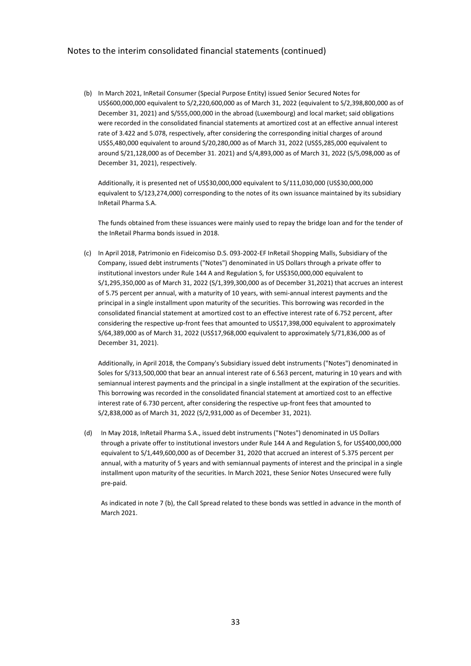(b) In March 2021, InRetail Consumer (Special Purpose Entity) issued Senior Secured Notes for US\$600,000,000 equivalent to S/2,220,600,000 as of March 31, 2022 (equivalent to S/2,398,800,000 as of December 31, 2021) and S/555,000,000 in the abroad (Luxembourg) and local market; said obligations were recorded in the consolidated financial statements at amortized cost at an effective annual interest rate of 3.422 and 5.078, respectively, after considering the corresponding initial charges of around US\$5,480,000 equivalent to around S/20,280,000 as of March 31, 2022 (US\$5,285,000 equivalent to around S/21,128,000 as of December 31. 2021) and S/4,893,000 as of March 31, 2022 (S/5,098,000 as of December 31, 2021), respectively.

Additionally, it is presented net of US\$30,000,000 equivalent to S/111,030,000 (US\$30,000,000 equivalent to S/123,274,000) corresponding to the notes of its own issuance maintained by its subsidiary InRetail Pharma S.A.

The funds obtained from these issuances were mainly used to repay the bridge loan and for the tender of the InRetail Pharma bonds issued in 2018.

(c) In April 2018, Patrimonio en Fideicomiso D.S. 093-2002-EF InRetail Shopping Malls, Subsidiary of the Company, issued debt instruments ("Notes") denominated in US Dollars through a private offer to institutional investors under Rule 144 A and Regulation S, for US\$350,000,000 equivalent to S/1,295,350,000 as of March 31, 2022 (S/1,399,300,000 as of December 31,2021) that accrues an interest of 5.75 percent per annual, with a maturity of 10 years, with semi-annual interest payments and the principal in a single installment upon maturity of the securities. This borrowing was recorded in the consolidated financial statement at amortized cost to an effective interest rate of 6.752 percent, after considering the respective up-front fees that amounted to US\$17,398,000 equivalent to approximately S/64,389,000 as of March 31, 2022 (US\$17,968,000 equivalent to approximately S/71,836,000 as of December 31, 2021).

Additionally, in April 2018, the Company's Subsidiary issued debt instruments ("Notes") denominated in Soles for S/313,500,000 that bear an annual interest rate of 6.563 percent, maturing in 10 years and with semiannual interest payments and the principal in a single installment at the expiration of the securities. This borrowing was recorded in the consolidated financial statement at amortized cost to an effective interest rate of 6.730 percent, after considering the respective up-front fees that amounted to S/2,838,000 as of March 31, 2022 (S/2,931,000 as of December 31, 2021).

(d) In May 2018, InRetail Pharma S.A., issued debt instruments ("Notes") denominated in US Dollars through a private offer to institutional investors under Rule 144 A and Regulation S, for US\$400,000,000 equivalent to S/1,449,600,000 as of December 31, 2020 that accrued an interest of 5.375 percent per annual, with a maturity of 5 years and with semiannual payments of interest and the principal in a single installment upon maturity of the securities. In March 2021, these Senior Notes Unsecured were fully pre-paid.

As indicated in note 7 (b), the Call Spread related to these bonds was settled in advance in the month of March 2021.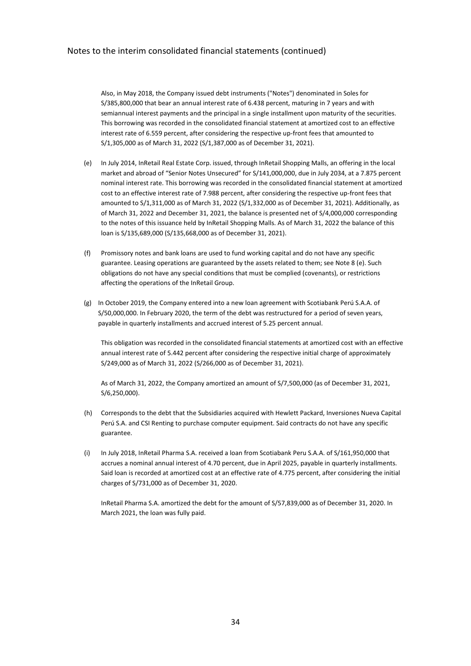Also, in May 2018, the Company issued debt instruments ("Notes") denominated in Soles for S/385,800,000 that bear an annual interest rate of 6.438 percent, maturing in 7 years and with semiannual interest payments and the principal in a single installment upon maturity of the securities. This borrowing was recorded in the consolidated financial statement at amortized cost to an effective interest rate of 6.559 percent, after considering the respective up-front fees that amounted to S/1,305,000 as of March 31, 2022 (S/1,387,000 as of December 31, 2021).

- (e) In July 2014, InRetail Real Estate Corp. issued, through InRetail Shopping Malls, an offering in the local market and abroad of "Senior Notes Unsecured" for S/141,000,000, due in July 2034, at a 7.875 percent nominal interest rate. This borrowing was recorded in the consolidated financial statement at amortized cost to an effective interest rate of 7.988 percent, after considering the respective up-front fees that amounted to S/1,311,000 as of March 31, 2022 (S/1,332,000 as of December 31, 2021). Additionally, as of March 31, 2022 and December 31, 2021, the balance is presented net of S/4,000,000 corresponding to the notes of this issuance held by InRetail Shopping Malls. As of March 31, 2022 the balance of this loan is S/135,689,000 (S/135,668,000 as of December 31, 2021).
- (f) Promissory notes and bank loans are used to fund working capital and do not have any specific guarantee. Leasing operations are guaranteed by the assets related to them; see Note 8 (e). Such obligations do not have any special conditions that must be complied (covenants), or restrictions affecting the operations of the InRetail Group.
- (g) In October 2019, the Company entered into a new loan agreement with Scotiabank Perú S.A.A. of S/50,000,000. In February 2020, the term of the debt was restructured for a period of seven years, payable in quarterly installments and accrued interest of 5.25 percent annual.

This obligation was recorded in the consolidated financial statements at amortized cost with an effective annual interest rate of 5.442 percent after considering the respective initial charge of approximately S/249,000 as of March 31, 2022 (S/266,000 as of December 31, 2021).

As of March 31, 2022, the Company amortized an amount of S/7,500,000 (as of December 31, 2021, S/6,250,000).

- (h) Corresponds to the debt that the Subsidiaries acquired with Hewlett Packard, Inversiones Nueva Capital Perú S.A. and CSI Renting to purchase computer equipment. Said contracts do not have any specific guarantee.
- (i) In July 2018, InRetail Pharma S.A. received a loan from Scotiabank Peru S.A.A. of S/161,950,000 that accrues a nominal annual interest of 4.70 percent, due in April 2025, payable in quarterly installments. Said loan is recorded at amortized cost at an effective rate of 4.775 percent, after considering the initial charges of S/731,000 as of December 31, 2020.

InRetail Pharma S.A. amortized the debt for the amount of S/57,839,000 as of December 31, 2020. In March 2021, the loan was fully paid.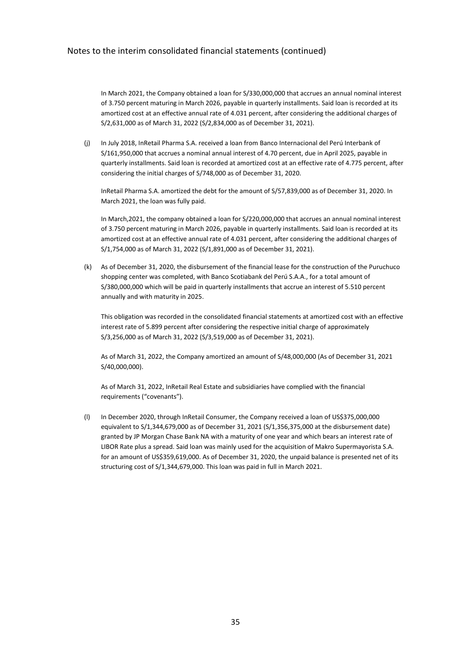In March 2021, the Company obtained a loan for S/330,000,000 that accrues an annual nominal interest of 3.750 percent maturing in March 2026, payable in quarterly installments. Said loan is recorded at its amortized cost at an effective annual rate of 4.031 percent, after considering the additional charges of S/2,631,000 as of March 31, 2022 (S/2,834,000 as of December 31, 2021).

(j) In July 2018, InRetail Pharma S.A. received a loan from Banco Internacional del Perú Interbank of S/161,950,000 that accrues a nominal annual interest of 4.70 percent, due in April 2025, payable in quarterly installments. Said loan is recorded at amortized cost at an effective rate of 4.775 percent, after considering the initial charges of S/748,000 as of December 31, 2020.

InRetail Pharma S.A. amortized the debt for the amount of S/57,839,000 as of December 31, 2020. In March 2021, the loan was fully paid.

In March,2021, the company obtained a loan for S/220,000,000 that accrues an annual nominal interest of 3.750 percent maturing in March 2026, payable in quarterly installments. Said loan is recorded at its amortized cost at an effective annual rate of 4.031 percent, after considering the additional charges of S/1,754,000 as of March 31, 2022 (S/1,891,000 as of December 31, 2021).

(k) As of December 31, 2020, the disbursement of the financial lease for the construction of the Puruchuco shopping center was completed, with Banco Scotiabank del Perú S.A.A., for a total amount of S/380,000,000 which will be paid in quarterly installments that accrue an interest of 5.510 percent annually and with maturity in 2025.

This obligation was recorded in the consolidated financial statements at amortized cost with an effective interest rate of 5.899 percent after considering the respective initial charge of approximately S/3,256,000 as of March 31, 2022 (S/3,519,000 as of December 31, 2021).

As of March 31, 2022, the Company amortized an amount of S/48,000,000 (As of December 31, 2021 S/40,000,000).

As of March 31, 2022, InRetail Real Estate and subsidiaries have complied with the financial requirements ("covenants").

(l) In December 2020, through InRetail Consumer, the Company received a loan of US\$375,000,000 equivalent to S/1,344,679,000 as of December 31, 2021 (S/1,356,375,000 at the disbursement date) granted by JP Morgan Chase Bank NA with a maturity of one year and which bears an interest rate of LIBOR Rate plus a spread. Said loan was mainly used for the acquisition of Makro Supermayorista S.A. for an amount of US\$359,619,000. As of December 31, 2020, the unpaid balance is presented net of its structuring cost of S/1,344,679,000. This loan was paid in full in March 2021.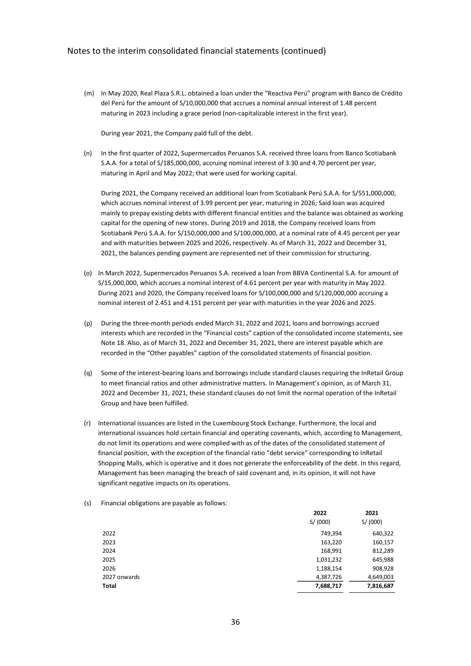(m) In May 2020, Real Plaza S.R.L. obtained a loan under the "Reactiva Perú" program with Banco de Crédito del Perú for the amount of S/10,000,000 that accrues a nominal annual interest of 1.48 percent maturing in 2023 including a grace period (non-capitalizable interest in the first year).

During year 2021, the Company paid full of the debt.

(n) In the first quarter of 2022, Supermercados Peruanos S.A. received three loans from Banco Scotiabank S.A.A. for a total of S/185,000,000, accruing nominal interest of 3.30 and 4.70 percent per year, maturing in April and May 2022; that were used for working capital.

During 2021, the Company received an additional loan from Scotiabank Perú S.A.A. for S/551,000,000, which accrues nominal interest of 3.99 percent per year, maturing in 2026; Said loan was acquired mainly to prepay existing debts with different financial entities and the balance was obtained as working capital for the opening of new stores. During 2019 and 2018, the Company received loans from Scotiabank Perú S.A.A. for S/150,000,000 and S/100,000,000, at a nominal rate of 4.45 percent per year and with maturities between 2025 and 2026, respectively. As of March 31, 2022 and December 31, 2021, the balances pending payment are represented net of their commission for structuring.

- (o) In March 2022, Supermercados Peruanos S.A. received a loan from BBVA Continental S.A. for amount of S/15,000,000, which accrues a nominal interest of 4.61 percent per year with maturity in May 2022. During 2021 and 2020, the Company received loans for S/100,000,000 and S/120,000,000 accruing a nominal interest of 2.451 and 4.151 percent per year with maturities in the year 2026 and 2025.
- (p) During the three-month periods ended March 31, 2022 and 2021, loans and borrowings accrued interests which are recorded in the "Financial costs" caption of the consolidated income statements, see Note 18. Also, as of March 31, 2022 and December 31, 2021, there are interest payable which are recorded in the "Other payables" caption of the consolidated statements of financial position.
- (q) Some of the interest-bearing loans and borrowings include standard clauses requiring the InRetail Group to meet financial ratios and other administrative matters. In Management's opinion, as of March 31, 2022 and December 31, 2021, these standard clauses do not limit the normal operation of the InRetail Group and have been fulfilled.
- (r) International issuances are listed in the Luxembourg Stock Exchange. Furthermore, the local and international issuances hold certain financial and operating covenants, which, according to Management, do not limit its operations and were complied with as of the dates of the consolidated statement of financial position, with the exception of the financial ratio "debt service" corresponding to InRetail Shopping Malls, which is operative and it does not generate the enforceability of the debt. In this regard, Management has been managing the breach of said covenant and, in its opinion, it will not have significant negative impacts on its operations.
- (s) Financial obligations are payable as follows:

| 2022      | 2021      |
|-----------|-----------|
| S/(000)   | S/ (000)  |
| 749,394   | 640,322   |
| 163,220   | 160,157   |
| 168,991   | 812,289   |
| 1,031,232 | 645,988   |
| 1,188,154 | 908,928   |
| 4,387,726 | 4,649,003 |
| 7,688,717 | 7,816,687 |
|           |           |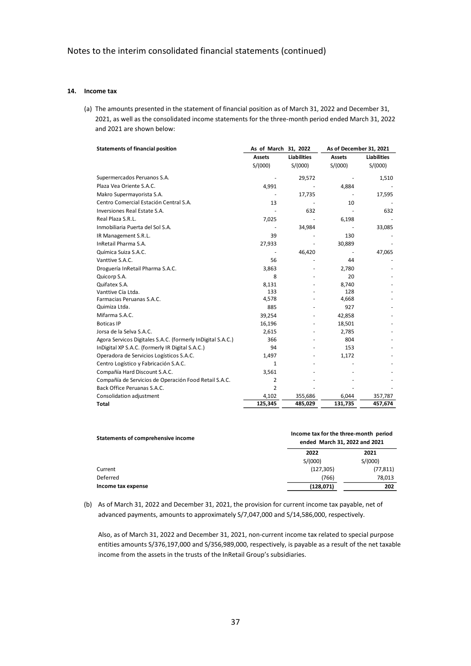### **14. Income tax**

(a) The amounts presented in the statement of financial position as of March 31, 2022 and December 31, 2021, as well as the consolidated income statements for the three-month period ended March 31, 2022 and 2021 are shown below:

| <b>Statements of financial position</b>                     | As of March 31, 2022 |                    |               | As of December 31, 2021 |
|-------------------------------------------------------------|----------------------|--------------------|---------------|-------------------------|
|                                                             | <b>Assets</b>        | <b>Liabilities</b> | <b>Assets</b> | <b>Liabilities</b>      |
|                                                             | S/(000)              | S/(000)            | S/(000)       | S/(000)                 |
| Supermercados Peruanos S.A.                                 |                      | 29,572             |               | 1,510                   |
| Plaza Vea Oriente S.A.C.                                    | 4,991                |                    | 4,884         |                         |
| Makro Supermayorista S.A.                                   |                      | 17,735             |               | 17,595                  |
| Centro Comercial Estación Central S.A.                      | 13                   |                    | 10            |                         |
| Inversiones Real Estate S.A.                                |                      | 632                |               | 632                     |
| Real Plaza S.R.L.                                           | 7,025                |                    | 6,198         |                         |
| Inmobiliaria Puerta del Sol S.A.                            |                      | 34,984             |               | 33,085                  |
| IR Management S.R.L.                                        | 39                   |                    | 130           |                         |
| InRetail Pharma S.A.                                        | 27,933               |                    | 30,889        |                         |
| Química Suiza S.A.C.                                        |                      | 46,420             |               | 47,065                  |
| Vanttive S.A.C.                                             | 56                   |                    | 44            |                         |
| Droguería InRetail Pharma S.A.C.                            | 3,863                |                    | 2,780         |                         |
| Quicorp S.A.                                                | 8                    |                    | 20            |                         |
| Quifatex S.A.                                               | 8.131                |                    | 8.740         |                         |
| Vanttive Cía Ltda.                                          | 133                  |                    | 128           |                         |
| Farmacias Peruanas S.A.C.                                   | 4,578                |                    | 4,668         |                         |
| Quimiza Ltda.                                               | 885                  |                    | 927           |                         |
| Mifarma S.A.C.                                              | 39,254               |                    | 42,858        |                         |
| <b>Boticas IP</b>                                           | 16,196               |                    | 18,501        |                         |
| Jorsa de la Selva S.A.C.                                    | 2,615                |                    | 2,785         |                         |
| Agora Servicos Digitales S.A.C. (formerly InDigital S.A.C.) | 366                  |                    | 804           |                         |
| InDigital XP S.A.C. (formerly IR Digital S.A.C.)            | 94                   |                    | 153           |                         |
| Operadora de Servicios Logísticos S.A.C.                    | 1,497                |                    | 1,172         |                         |
| Centro Logístico y Fabricación S.A.C.                       | 1                    |                    |               |                         |
| Compañía Hard Discount S.A.C.                               | 3,561                |                    |               |                         |
| Compañía de Servicios de Operación Food Retail S.A.C.       | 2                    |                    |               |                         |
| Back Office Peruanas S.A.C.                                 | $\overline{2}$       |                    |               |                         |
| Consolidation adjustment                                    | 4,102                | 355,686            | 6,044         | 357,787                 |
| <b>Total</b>                                                | 125,345              | 485,029            | 131,735       | 457,674                 |

| Statements of comprehensive income | Income tax for the three-month period<br>ended March 31, 2022 and 2021 |           |  |  |  |
|------------------------------------|------------------------------------------------------------------------|-----------|--|--|--|
|                                    | 2022                                                                   | 2021      |  |  |  |
|                                    | S/(000)                                                                | S/(000)   |  |  |  |
| Current                            | (127, 305)                                                             | (77, 811) |  |  |  |
| Deferred                           | (766)                                                                  | 78,013    |  |  |  |
| Income tax expense                 | (128, 071)                                                             | 202       |  |  |  |

(b) As of March 31, 2022 and December 31, 2021, the provision for current income tax payable, net of advanced payments, amounts to approximately S/7,047,000 and S/14,586,000, respectively.

Also, as of March 31, 2022 and December 31, 2021, non-current income tax related to special purpose entities amounts S/376,197,000 and S/356,989,000, respectively, is payable as a result of the net taxable income from the assets in the trusts of the InRetail Group's subsidiaries.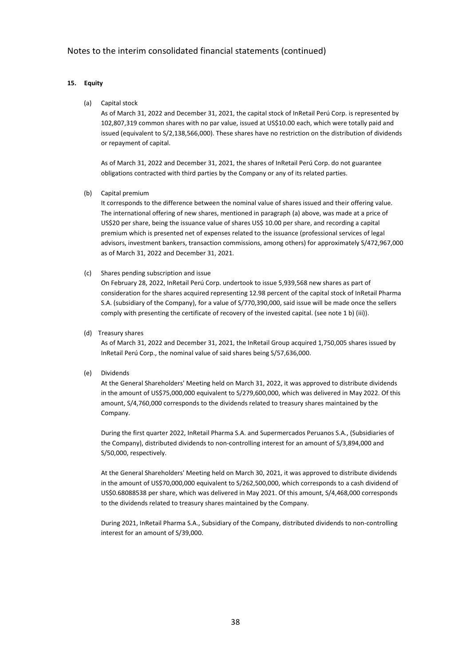# **15. Equity**

(a) Capital stock

As of March 31, 2022 and December 31, 2021, the capital stock of InRetail Perú Corp. is represented by 102,807,319 common shares with no par value, issued at US\$10.00 each, which were totally paid and issued (equivalent to S/2,138,566,000). These shares have no restriction on the distribution of dividends or repayment of capital.

As of March 31, 2022 and December 31, 2021, the shares of InRetail Perú Corp. do not guarantee obligations contracted with third parties by the Company or any of its related parties.

(b) Capital premium

It corresponds to the difference between the nominal value of shares issued and their offering value. The international offering of new shares, mentioned in paragraph (a) above, was made at a price of US\$20 per share, being the issuance value of shares US\$ 10.00 per share, and recording a capital premium which is presented net of expenses related to the issuance (professional services of legal advisors, investment bankers, transaction commissions, among others) for approximately S/472,967,000 as of March 31, 2022 and December 31, 2021.

(c) Shares pending subscription and issue

On February 28, 2022, InRetail Perú Corp. undertook to issue 5,939,568 new shares as part of consideration for the shares acquired representing 12.98 percent of the capital stock of InRetail Pharma S.A. (subsidiary of the Company), for a value of S/770,390,000, said issue will be made once the sellers comply with presenting the certificate of recovery of the invested capital. (see note 1 b) (iii)).

(d) Treasury shares

As of March 31, 2022 and December 31, 2021, the InRetail Group acquired 1,750,005 shares issued by InRetail Perú Corp., the nominal value of said shares being S/57,636,000.

(e) Dividends

At the General Shareholders' Meeting held on March 31, 2022, it was approved to distribute dividends in the amount of US\$75,000,000 equivalent to S/279,600,000, which was delivered in May 2022. Of this amount, S/4,760,000 corresponds to the dividends related to treasury shares maintained by the Company.

During the first quarter 2022, InRetail Pharma S.A. and Supermercados Peruanos S.A., (Subsidiaries of the Company), distributed dividends to non-controlling interest for an amount of S/3,894,000 and S/50,000, respectively.

At the General Shareholders' Meeting held on March 30, 2021, it was approved to distribute dividends in the amount of US\$70,000,000 equivalent to S/262,500,000, which corresponds to a cash dividend of US\$0.68088538 per share, which was delivered in May 2021. Of this amount, S/4,468,000 corresponds to the dividends related to treasury shares maintained by the Company.

During 2021, InRetail Pharma S.A., Subsidiary of the Company, distributed dividends to non-controlling interest for an amount of S/39,000.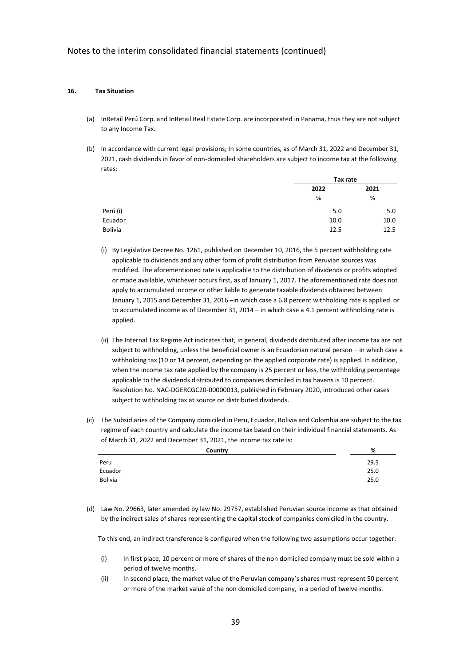#### **16. Tax Situation**

- (a) InRetail Perú Corp. and InRetail Real Estate Corp. are incorporated in Panama, thus they are not subject to any Income Tax.
- (b) In accordance with current legal provisions; In some countries, as of March 31, 2022 and December 31, 2021, cash dividends in favor of non-domiciled shareholders are subject to income tax at the following rates:

|                |      | Tax rate |  |  |
|----------------|------|----------|--|--|
|                | 2022 | 2021     |  |  |
|                | %    | %        |  |  |
| Perú (i)       | 5.0  | 5.0      |  |  |
| Ecuador        | 10.0 | 10.0     |  |  |
| <b>Bolivia</b> | 12.5 | 12.5     |  |  |

- (i) By Legislative Decree No. 1261, published on December 10, 2016, the 5 percent withholding rate applicable to dividends and any other form of profit distribution from Peruvian sources was modified. The aforementioned rate is applicable to the distribution of dividends or profits adopted or made available, whichever occurs first, as of January 1, 2017. The aforementioned rate does not apply to accumulated income or other liable to generate taxable dividends obtained between January 1, 2015 and December 31, 2016 –in which case a 6.8 percent withholding rate is applied or to accumulated income as of December 31, 2014 – in which case a 4.1 percent withholding rate is applied.
- (ii) The Internal Tax Regime Act indicates that, in general, dividends distributed after income tax are not subject to withholding, unless the beneficial owner is an Ecuadorian natural person – in which case a withholding tax (10 or 14 percent, depending on the applied corporate rate) is applied. In addition, when the income tax rate applied by the company is 25 percent or less, the withholding percentage applicable to the dividends distributed to companies domiciled in tax havens is 10 percent. Resolution No. NAC-DGERCGC20-00000013, published in February 2020, introduced other cases subject to withholding tax at source on distributed dividends.
- (c) The Subsidiaries of the Company domiciled in Peru, Ecuador, Bolivia and Colombia are subject to the tax regime of each country and calculate the income tax based on their individual financial statements. As of March 31, 2022 and December 31, 2021, the income tax rate is:

| Country        | %    |
|----------------|------|
| Peru           | 29.5 |
| Ecuador        | 25.0 |
| <b>Bolivia</b> | 25.0 |

(d) Law No. 29663, later amended by law No. 29757, established Peruvian source income as that obtained by the indirect sales of shares representing the capital stock of companies domiciled in the country.

To this end, an indirect transference is configured when the following two assumptions occur together:

- (i) In first place, 10 percent or more of shares of the non domiciled company must be sold within a period of twelve months.
- (ii) In second place, the market value of the Peruvian company's shares must represent 50 percent or more of the market value of the non domiciled company, in a period of twelve months.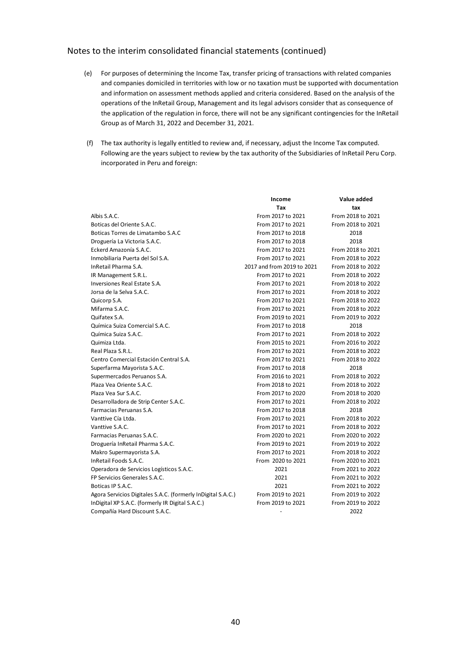- (e) For purposes of determining the Income Tax, transfer pricing of transactions with related companies and companies domiciled in territories with low or no taxation must be supported with documentation and information on assessment methods applied and criteria considered. Based on the analysis of the operations of the InRetail Group, Management and its legal advisors consider that as consequence of the application of the regulation in force, there will not be any significant contingencies for the InRetail Group as of March 31, 2022 and December 31, 2021.
- (f) The tax authority is legally entitled to review and, if necessary, adjust the Income Tax computed. Following are the years subject to review by the tax authority of the Subsidiaries of InRetail Peru Corp. incorporated in Peru and foreign:

|                                                              | Income                     | Value added       |
|--------------------------------------------------------------|----------------------------|-------------------|
|                                                              | Tax                        | tax               |
| Albis S.A.C.                                                 | From 2017 to 2021          | From 2018 to 2021 |
| Boticas del Oriente S.A.C.                                   | From 2017 to 2021          | From 2018 to 2021 |
| Boticas Torres de Limatambo S.A.C                            | From 2017 to 2018          | 2018              |
| Droguería La Victoria S.A.C.                                 | From 2017 to 2018          | 2018              |
| Eckerd Amazonía S.A.C.                                       | From 2017 to 2021          | From 2018 to 2021 |
| Inmobiliaria Puerta del Sol S.A.                             | From 2017 to 2021          | From 2018 to 2022 |
| InRetail Pharma S.A.                                         | 2017 and from 2019 to 2021 | From 2018 to 2022 |
| IR Management S.R.L.                                         | From 2017 to 2021          | From 2018 to 2022 |
| Inversiones Real Estate S.A.                                 | From 2017 to 2021          | From 2018 to 2022 |
| Jorsa de la Selva S.A.C.                                     | From 2017 to 2021          | From 2018 to 2022 |
| Quicorp S.A.                                                 | From 2017 to 2021          | From 2018 to 2022 |
| Mifarma S.A.C.                                               | From 2017 to 2021          | From 2018 to 2022 |
| Quifatex S.A.                                                | From 2019 to 2021          | From 2019 to 2022 |
| Química Suiza Comercial S.A.C.                               | From 2017 to 2018          | 2018              |
| Química Suiza S.A.C.                                         | From 2017 to 2021          | From 2018 to 2022 |
| Quimiza Ltda.                                                | From 2015 to 2021          | From 2016 to 2022 |
| Real Plaza S.R.L.                                            | From 2017 to 2021          | From 2018 to 2022 |
| Centro Comercial Estación Central S.A.                       | From 2017 to 2021          | From 2018 to 2022 |
| Superfarma Mayorista S.A.C.                                  | From 2017 to 2018          | 2018              |
| Supermercados Peruanos S.A.                                  | From 2016 to 2021          | From 2018 to 2022 |
| Plaza Vea Oriente S.A.C.                                     | From 2018 to 2021          | From 2018 to 2022 |
| Plaza Vea Sur S.A.C.                                         | From 2017 to 2020          | From 2018 to 2020 |
| Desarrolladora de Strip Center S.A.C.                        | From 2017 to 2021          | From 2018 to 2022 |
| Farmacias Peruanas S.A.                                      | From 2017 to 2018          | 2018              |
| Vanttive Cía Ltda.                                           | From 2017 to 2021          | From 2018 to 2022 |
| Vanttive S.A.C.                                              | From 2017 to 2021          | From 2018 to 2022 |
| Farmacias Peruanas S.A.C.                                    | From 2020 to 2021          | From 2020 to 2022 |
| Droguería InRetail Pharma S.A.C.                             | From 2019 to 2021          | From 2019 to 2022 |
| Makro Supermayorista S.A.                                    | From 2017 to 2021          | From 2018 to 2022 |
| InRetail Foods S.A.C.                                        | From 2020 to 2021          | From 2020 to 2021 |
| Operadora de Servicios Logísticos S.A.C.                     | 2021                       | From 2021 to 2022 |
| FP Servicios Generales S.A.C.                                | 2021                       | From 2021 to 2022 |
| Boticas IP S.A.C.                                            | 2021                       | From 2021 to 2022 |
| Agora Servicios Digitales S.A.C. (formerly InDigital S.A.C.) | From 2019 to 2021          | From 2019 to 2022 |
| InDigital XP S.A.C. (formerly IR Digital S.A.C.)             | From 2019 to 2021          | From 2019 to 2022 |
| Compañía Hard Discount S.A.C.                                |                            | 2022              |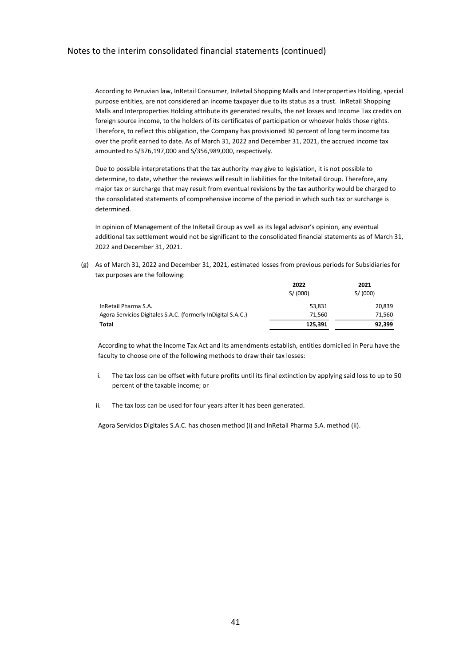According to Peruvian law, InRetail Consumer, InRetail Shopping Malls and Interproperties Holding, special purpose entities, are not considered an income taxpayer due to its status as a trust. InRetail Shopping Malls and Interproperties Holding attribute its generated results, the net losses and Income Tax credits on foreign source income, to the holders of its certificates of participation or whoever holds those rights. Therefore, to reflect this obligation, the Company has provisioned 30 percent of long term income tax over the profit earned to date. As of March 31, 2022 and December 31, 2021, the accrued income tax amounted to S/376,197,000 and S/356,989,000, respectively.

Due to possible interpretations that the tax authority may give to legislation, it is not possible to determine, to date, whether the reviews will result in liabilities for the InRetail Group. Therefore, any major tax or surcharge that may result from eventual revisions by the tax authority would be charged to the consolidated statements of comprehensive income of the period in which such tax or surcharge is determined.

In opinion of Management of the InRetail Group as well as its legal advisor's opinion, any eventual additional tax settlement would not be significant to the consolidated financial statements as of March 31, 2022 and December 31, 2021.

(g) As of March 31, 2022 and December 31, 2021, estimated losses from previous periods for Subsidiaries for tax purposes are the following:

|                                                              | 2022     | 2021     |
|--------------------------------------------------------------|----------|----------|
|                                                              | S/ (000) | S/ (000) |
| InRetail Pharma S.A.                                         | 53,831   | 20,839   |
| Agora Servicios Digitales S.A.C. (formerly InDigital S.A.C.) | 71.560   | 71,560   |
| Total                                                        | 125,391  | 92,399   |

According to what the Income Tax Act and its amendments establish, entities domiciled in Peru have the faculty to choose one of the following methods to draw their tax losses:

- i. The tax loss can be offset with future profits until its final extinction by applying said loss to up to 50 percent of the taxable income; or
- ii. The tax loss can be used for four years after it has been generated.

Agora Servicios Digitales S.A.C. has chosen method (i) and InRetail Pharma S.A. method (ii).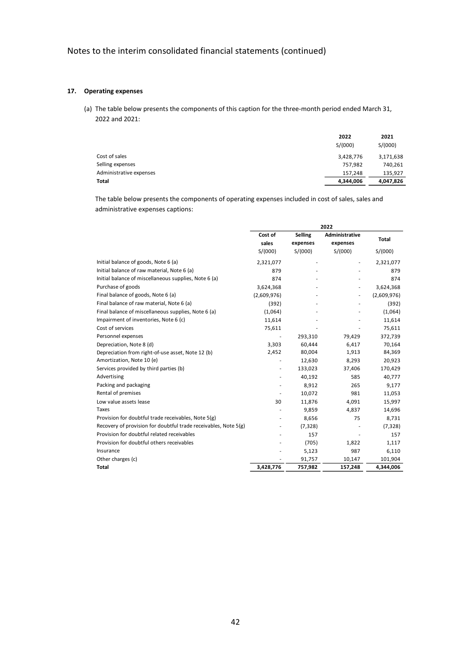### **17. Operating expenses**

(a) The table below presents the components of this caption for the three-month period ended March 31, 2022 and 2021:

|                         | 2022<br>S/(000) | 2021<br>S/(000) |
|-------------------------|-----------------|-----------------|
| Cost of sales           | 3,428,776       | 3,171,638       |
| Selling expenses        | 757,982         | 740,261         |
| Administrative expenses | 157,248         | 135,927         |
| <b>Total</b>            | 4,344,006       | 4,047,826       |

The table below presents the components of operating expenses included in cost of sales, sales and administrative expenses captions:

|                                                                 | 2022             |                            |                            |              |  |  |
|-----------------------------------------------------------------|------------------|----------------------------|----------------------------|--------------|--|--|
|                                                                 | Cost of<br>sales | <b>Selling</b><br>expenses | Administrative<br>expenses | <b>Total</b> |  |  |
|                                                                 | S/(000)          | S/(000)                    | S/(000)                    | S/(000)      |  |  |
| Initial balance of goods, Note 6 (a)                            | 2,321,077        |                            |                            | 2,321,077    |  |  |
| Initial balance of raw material, Note 6 (a)                     | 879              |                            |                            | 879          |  |  |
| Initial balance of miscellaneous supplies, Note 6 (a)           | 874              |                            |                            | 874          |  |  |
| Purchase of goods                                               | 3,624,368        |                            |                            | 3,624,368    |  |  |
| Final balance of goods, Note 6 (a)                              | (2,609,976)      |                            |                            | (2,609,976)  |  |  |
| Final balance of raw material, Note 6 (a)                       | (392)            |                            |                            | (392)        |  |  |
| Final balance of miscellaneous supplies, Note 6 (a)             | (1,064)          |                            |                            | (1,064)      |  |  |
| Impairment of inventories, Note 6 (c)                           | 11,614           |                            |                            | 11,614       |  |  |
| Cost of services                                                | 75,611           |                            |                            | 75,611       |  |  |
| Personnel expenses                                              | ٠                | 293,310                    | 79,429                     | 372,739      |  |  |
| Depreciation, Note 8 (d)                                        | 3,303            | 60,444                     | 6,417                      | 70,164       |  |  |
| Depreciation from right-of-use asset, Note 12 (b)               | 2,452            | 80,004                     | 1,913                      | 84,369       |  |  |
| Amortization, Note 10 (e)                                       |                  | 12,630                     | 8,293                      | 20,923       |  |  |
| Services provided by third parties (b)                          | ٠                | 133,023                    | 37,406                     | 170,429      |  |  |
| Advertising                                                     | ä,               | 40,192                     | 585                        | 40,777       |  |  |
| Packing and packaging                                           |                  | 8,912                      | 265                        | 9,177        |  |  |
| Rental of premises                                              |                  | 10,072                     | 981                        | 11,053       |  |  |
| Low value assets lease                                          | 30               | 11,876                     | 4,091                      | 15,997       |  |  |
| Taxes                                                           |                  | 9,859                      | 4,837                      | 14,696       |  |  |
| Provision for doubtful trade receivables, Note 5(g)             |                  | 8,656                      | 75                         | 8,731        |  |  |
| Recovery of provision for doubtful trade receivables, Note 5(g) |                  | (7, 328)                   |                            | (7, 328)     |  |  |
| Provision for doubtful related receivables                      |                  | 157                        |                            | 157          |  |  |
| Provision for doubtful others receivables                       |                  | (705)                      | 1,822                      | 1,117        |  |  |
| Insurance                                                       |                  | 5,123                      | 987                        | 6,110        |  |  |
| Other charges (c)                                               |                  | 91,757                     | 10,147                     | 101,904      |  |  |
| <b>Total</b>                                                    | 3,428,776        | 757,982                    | 157,248                    | 4,344,006    |  |  |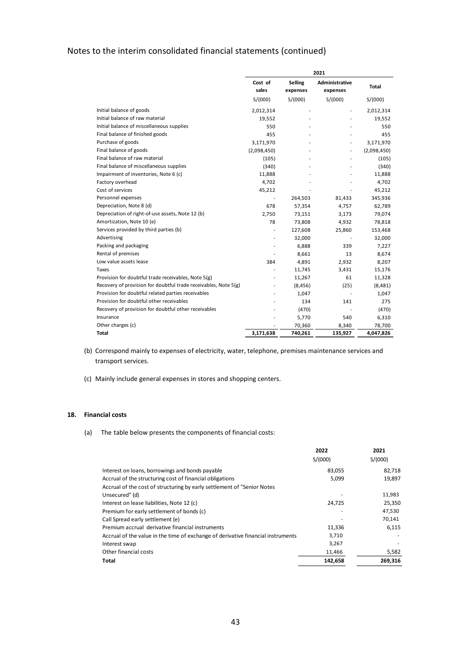|                                                                 | 2021             |                            |                            |             |  |
|-----------------------------------------------------------------|------------------|----------------------------|----------------------------|-------------|--|
|                                                                 | Cost of<br>sales | <b>Selling</b><br>expenses | Administrative<br>expenses | Total       |  |
|                                                                 | S/(000)          | S/(000)                    | S/(000)                    | S/(000)     |  |
| Initial balance of goods                                        | 2,012,314        |                            |                            | 2,012,314   |  |
| Initial balance of raw material                                 | 19,552           |                            |                            | 19,552      |  |
| Initial balance of miscellaneous supplies                       | 550              |                            |                            | 550         |  |
| Final balance of finished goods                                 | 455              |                            |                            | 455         |  |
| Purchase of goods                                               | 3,171,970        |                            |                            | 3,171,970   |  |
| Final balance of goods                                          | (2,098,450)      |                            |                            | (2,098,450) |  |
| Final balance of raw material                                   | (105)            |                            |                            | (105)       |  |
| Final balance of miscellaneous supplies                         | (340)            |                            |                            | (340)       |  |
| Impairment of inventories, Note 6 (c)                           | 11,888           |                            |                            | 11,888      |  |
| Factory overhead                                                | 4,702            |                            |                            | 4,702       |  |
| Cost of services                                                | 45,212           |                            |                            | 45,212      |  |
| Personnel expenses                                              |                  | 264,503                    | 81,433                     | 345,936     |  |
| Depreciation, Note 8 (d)                                        | 678              | 57,354                     | 4,757                      | 62,789      |  |
| Depreciation of right-of-use assets, Note 12 (b)                | 2,750            | 73,151                     | 3,173                      | 79,074      |  |
| Amortization, Note 10 (e)                                       | 78               | 73,808                     | 4,932                      | 78,818      |  |
| Services provided by third parties (b)                          | $\overline{a}$   | 127,608                    | 25,860                     | 153,468     |  |
| Advertising                                                     |                  | 32,000                     |                            | 32,000      |  |
| Packing and packaging                                           |                  | 6,888                      | 339                        | 7,227       |  |
| Rental of premises                                              |                  | 8,661                      | 13                         | 8,674       |  |
| Low value assets lease                                          | 384              | 4,891                      | 2,932                      | 8,207       |  |
| Taxes                                                           |                  | 11,745                     | 3,431                      | 15,176      |  |
| Provision for doubtful trade receivables, Note 5(g)             |                  | 11,267                     | 61                         | 11,328      |  |
| Recovery of provision for doubtful trade receivables, Note 5(g) | $\overline{a}$   | (8, 456)                   | (25)                       | (8,481)     |  |
| Provision for doubtful related parties receivables              |                  | 1,047                      |                            | 1,047       |  |
| Provision for doubtful other receivables                        |                  | 134                        | 141                        | 275         |  |
| Recovery of provision for doubtful other receivables            |                  | (470)                      |                            | (470)       |  |
| Insurance                                                       |                  | 5,770                      | 540                        | 6,310       |  |
| Other charges (c)                                               |                  | 70,360                     | 8,340                      | 78,700      |  |
| Total                                                           | 3,171,638        | 740,261                    | 135,927                    | 4,047,826   |  |

- (b) Correspond mainly to expenses of electricity, water, telephone, premises maintenance services and transport services.
- (c) Mainly include general expenses in stores and shopping centers.

### **18. Financial costs**

(a) The table below presents the components of financial costs:

|                                                                                  | 2022    | 2021    |
|----------------------------------------------------------------------------------|---------|---------|
|                                                                                  | S/(000) | S/(000) |
| Interest on loans, borrowings and bonds payable                                  | 83,055  | 82,718  |
| Accrual of the structuring cost of financial obligations                         | 5,099   | 19,897  |
| Accrual of the cost of structuring by early settlement of "Senior Notes"         |         |         |
| Unsecured" (d)                                                                   |         | 11,983  |
| Interest on lease liabilities, Note 12 (c)                                       | 24,725  | 25,350  |
| Premium for early settlement of bonds (c)                                        |         | 47,530  |
| Call Spread early settlement (e)                                                 |         | 70,141  |
| Premium accrual derivative financial instruments                                 | 11,336  | 6,115   |
| Accrual of the value in the time of exchange of derivative financial instruments | 3,710   |         |
| Interest swap                                                                    | 3,267   |         |
| Other financial costs                                                            | 11,466  | 5,582   |
| Total                                                                            | 142,658 | 269,316 |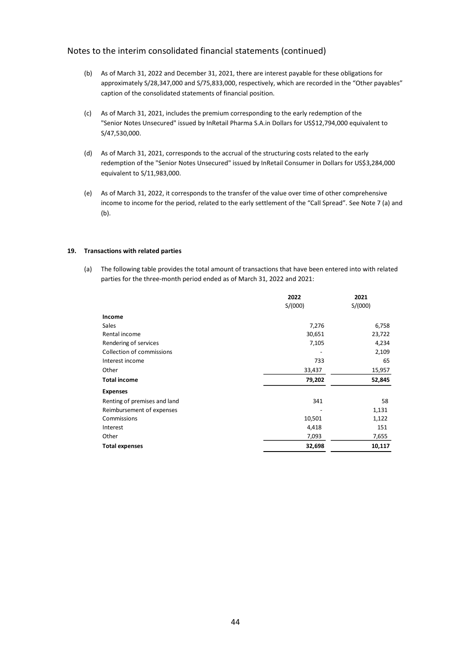- (b) As of March 31, 2022 and December 31, 2021, there are interest payable for these obligations for approximately S/28,347,000 and S/75,833,000, respectively, which are recorded in the "Other payables" caption of the consolidated statements of financial position.
- (c) As of March 31, 2021, includes the premium corresponding to the early redemption of the "Senior Notes Unsecured" issued by InRetail Pharma S.A.in Dollars for US\$12,794,000 equivalent to S/47,530,000.
- (d) As of March 31, 2021, corresponds to the accrual of the structuring costs related to the early redemption of the "Senior Notes Unsecured" issued by InRetail Consumer in Dollars for US\$3,284,000 equivalent to S/11,983,000.
- (e) As of March 31, 2022, it corresponds to the transfer of the value over time of other comprehensive income to income for the period, related to the early settlement of the "Call Spread". See Note 7 (a) and (b).

#### **19. Transactions with related parties**

(a) The following table provides the total amount of transactions that have been entered into with related parties for the three-month period ended as of March 31, 2022 and 2021:

|                              | 2022    | 2021    |
|------------------------------|---------|---------|
|                              | S/(000) | S/(000) |
| Income                       |         |         |
| Sales                        | 7,276   | 6,758   |
| Rental income                | 30,651  | 23,722  |
| Rendering of services        | 7,105   | 4,234   |
| Collection of commissions    |         | 2,109   |
| Interest income              | 733     | 65      |
| Other                        | 33,437  | 15,957  |
| <b>Total income</b>          | 79,202  | 52,845  |
| <b>Expenses</b>              |         |         |
| Renting of premises and land | 341     | 58      |
| Reimbursement of expenses    |         | 1,131   |
| Commissions                  | 10,501  | 1,122   |
| Interest                     | 4,418   | 151     |
| Other                        | 7,093   | 7,655   |
| <b>Total expenses</b>        | 32,698  | 10,117  |
|                              |         |         |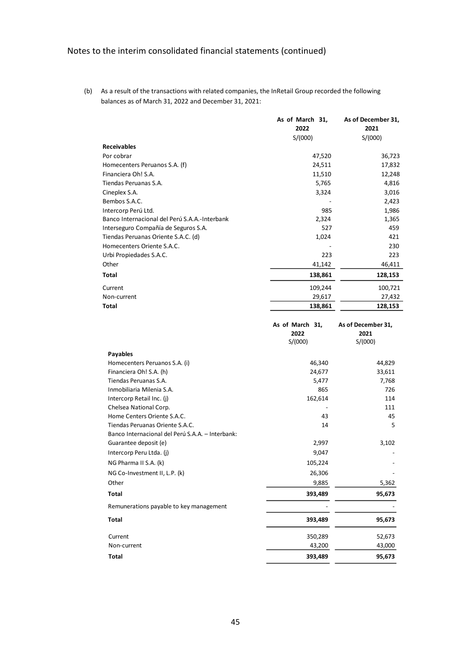(b) As a result of the transactions with related companies, the InRetail Group recorded the following balances as of March 31, 2022 and December 31, 2021:

|                                               | As of March 31, | As of December 31, |
|-----------------------------------------------|-----------------|--------------------|
|                                               | 2022            | 2021               |
|                                               | S/(000)         | S/(000)            |
| <b>Receivables</b>                            |                 |                    |
| Por cobrar                                    | 47,520          | 36,723             |
| Homecenters Peruanos S.A. (f)                 | 24,511          | 17,832             |
| Financiera Oh! S.A.                           | 11,510          | 12,248             |
| Tiendas Peruanas S.A.                         | 5,765           | 4,816              |
| Cineplex S.A.                                 | 3,324           | 3,016              |
| Bembos S.A.C.                                 |                 | 2,423              |
| Intercorp Perú Ltd.                           | 985             | 1,986              |
| Banco Internacional del Perú S.A.A.-Interbank | 2,324           | 1,365              |
| Interseguro Compañía de Seguros S.A.          | 527             | 459                |
| Tiendas Peruanas Oriente S.A.C. (d)           | 1,024           | 421                |
| Homecenters Oriente S.A.C.                    |                 | 230                |
| Urbi Propiedades S.A.C.                       | 223             | 223                |
| Other                                         | 41,142          | 46,411             |
| <b>Total</b>                                  | 138,861         | 128,153            |
| Current                                       | 109,244         | 100,721            |
| Non-current                                   | 29,617          | 27,432             |
| <b>Total</b>                                  | 138,861         | 128,153            |
|                                               |                 |                    |

|                                                  | As of March 31, | As of December 31, |
|--------------------------------------------------|-----------------|--------------------|
|                                                  | 2022            | 2021               |
|                                                  | S/(000)         | S/(000)            |
| <b>Payables</b>                                  |                 |                    |
| Homecenters Peruanos S.A. (i)                    | 46,340          | 44,829             |
| Financiera Oh! S.A. (h)                          | 24,677          | 33,611             |
| Tiendas Peruanas S.A.                            | 5,477           | 7,768              |
| Inmobiliaria Milenia S.A.                        | 865             | 726                |
| Intercorp Retail Inc. (j)                        | 162,614         | 114                |
| Chelsea National Corp.                           |                 | 111                |
| Home Centers Oriente S.A.C.                      | 43              | 45                 |
| Tiendas Peruanas Oriente S.A.C.                  | 14              | 5                  |
| Banco Internacional del Perú S.A.A. - Interbank: |                 |                    |
| Guarantee deposit (e)                            | 2,997           | 3,102              |
| Intercorp Peru Ltda. (j)                         | 9,047           |                    |
| NG Pharma II S.A. (k)                            | 105,224         |                    |
| NG Co-Investment II, L.P. (k)                    | 26,306          |                    |
| Other                                            | 9,885           | 5,362              |
| Total                                            | 393,489         | 95,673             |
| Remunerations payable to key management          |                 |                    |
| <b>Total</b>                                     | 393,489         | 95,673             |
| Current                                          | 350,289         | 52,673             |
| Non-current                                      | 43,200          | 43,000             |
| <b>Total</b>                                     | 393,489         | 95,673             |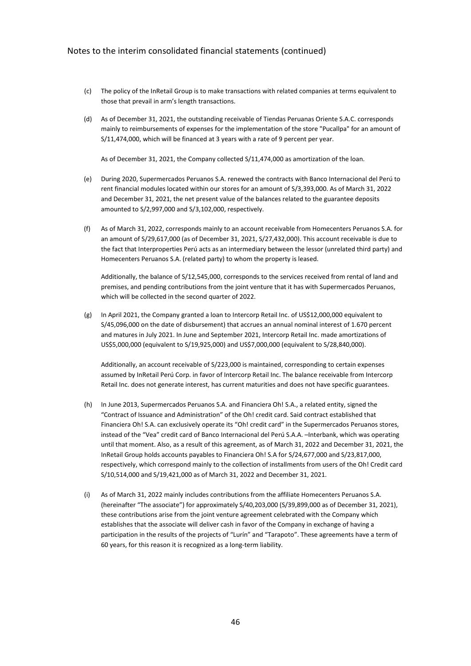- (c) The policy of the InRetail Group is to make transactions with related companies at terms equivalent to those that prevail in arm's length transactions.
- (d) As of December 31, 2021, the outstanding receivable of Tiendas Peruanas Oriente S.A.C. corresponds mainly to reimbursements of expenses for the implementation of the store "Pucallpa" for an amount of S/11,474,000, which will be financed at 3 years with a rate of 9 percent per year.

As of December 31, 2021, the Company collected S/11,474,000 as amortization of the loan.

- (e) During 2020, Supermercados Peruanos S.A. renewed the contracts with Banco Internacional del Perú to rent financial modules located within our stores for an amount of S/3,393,000. As of March 31, 2022 and December 31, 2021, the net present value of the balances related to the guarantee deposits amounted to S/2,997,000 and S/3,102,000, respectively.
- (f) As of March 31, 2022, corresponds mainly to an account receivable from Homecenters Peruanos S.A. for an amount of S/29,617,000 (as of December 31, 2021, S/27,432,000). This account receivable is due to the fact that Interproperties Perú acts as an intermediary between the lessor (unrelated third party) and Homecenters Peruanos S.A. (related party) to whom the property is leased.

Additionally, the balance of S/12,545,000, corresponds to the services received from rental of land and premises, and pending contributions from the joint venture that it has with Supermercados Peruanos, which will be collected in the second quarter of 2022.

(g) In April 2021, the Company granted a loan to Intercorp Retail Inc. of US\$12,000,000 equivalent to S/45,096,000 on the date of disbursement) that accrues an annual nominal interest of 1.670 percent and matures in July 2021. In June and September 2021, Intercorp Retail Inc. made amortizations of US\$5,000,000 (equivalent to S/19,925,000) and US\$7,000,000 (equivalent to S/28,840,000).

Additionally, an account receivable of S/223,000 is maintained, corresponding to certain expenses assumed by InRetail Perú Corp. in favor of Intercorp Retail Inc. The balance receivable from Intercorp Retail Inc. does not generate interest, has current maturities and does not have specific guarantees.

- (h) In June 2013, Supermercados Peruanos S.A. and Financiera Oh! S.A., a related entity, signed the "Contract of Issuance and Administration" of the Oh! credit card. Said contract established that Financiera Oh! S.A. can exclusively operate its "Oh! credit card" in the Supermercados Peruanos stores, instead of the "Vea" credit card of Banco Internacional del Perú S.A.A. –Interbank, which was operating until that moment. Also, as a result of this agreement, as of March 31, 2022 and December 31, 2021, the InRetail Group holds accounts payables to Financiera Oh! S.A for S/24,677,000 and S/23,817,000, respectively, which correspond mainly to the collection of installments from users of the Oh! Credit card S/10,514,000 and S/19,421,000 as of March 31, 2022 and December 31, 2021.
- (i) As of March 31, 2022 mainly includes contributions from the affiliate Homecenters Peruanos S.A. (hereinafter "The associate") for approximately S/40,203,000 (S/39,899,000 as of December 31, 2021), these contributions arise from the joint venture agreement celebrated with the Company which establishes that the associate will deliver cash in favor of the Company in exchange of having a participation in the results of the projects of "Lurín" and "Tarapoto". These agreements have a term of 60 years, for this reason it is recognized as a long-term liability.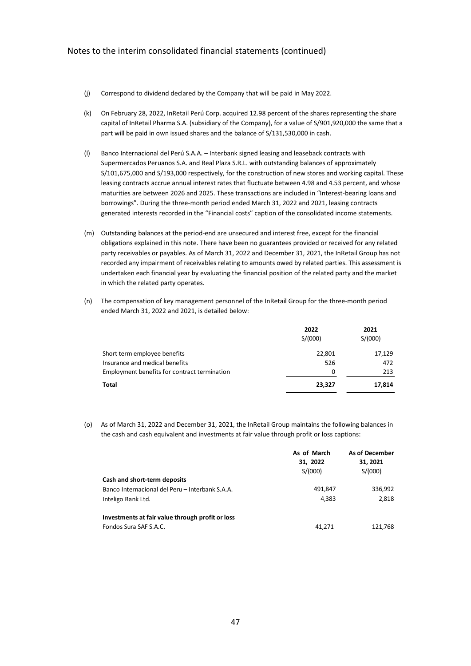- (j) Correspond to dividend declared by the Company that will be paid in May 2022.
- (k) On February 28, 2022, InRetail Perú Corp. acquired 12.98 percent of the shares representing the share capital of InRetail Pharma S.A. (subsidiary of the Company), for a value of S/901,920,000 the same that a part will be paid in own issued shares and the balance of S/131,530,000 in cash.
- (l) Banco Internacional del Perú S.A.A. Interbank signed leasing and leaseback contracts with Supermercados Peruanos S.A. and Real Plaza S.R.L. with outstanding balances of approximately S/101,675,000 and S/193,000 respectively, for the construction of new stores and working capital. These leasing contracts accrue annual interest rates that fluctuate between 4.98 and 4.53 percent, and whose maturities are between 2026 and 2025. These transactions are included in "Interest-bearing loans and borrowings". During the three-month period ended March 31, 2022 and 2021, leasing contracts generated interests recorded in the "Financial costs" caption of the consolidated income statements.
- (m) Outstanding balances at the period-end are unsecured and interest free, except for the financial obligations explained in this note. There have been no guarantees provided or received for any related party receivables or payables. As of March 31, 2022 and December 31, 2021, the InRetail Group has not recorded any impairment of receivables relating to amounts owed by related parties. This assessment is undertaken each financial year by evaluating the financial position of the related party and the market in which the related party operates.
- (n) The compensation of key management personnel of the InRetail Group for the three-month period ended March 31, 2022 and 2021, is detailed below:

|                                              | 2022<br>S/(000) | 2021<br>S/(000) |
|----------------------------------------------|-----------------|-----------------|
| Short term employee benefits                 | 22,801          | 17,129          |
| Insurance and medical benefits               | 526             | 472             |
| Employment benefits for contract termination | 0               | 213             |
| Total                                        | 23,327          | 17,814          |

(o) As of March 31, 2022 and December 31, 2021, the InRetail Group maintains the following balances in the cash and cash equivalent and investments at fair value through profit or loss captions:

|                                                  | As of March<br>31, 2022<br>S/(000) | <b>As of December</b><br>31, 2021<br>S/(000) |
|--------------------------------------------------|------------------------------------|----------------------------------------------|
| Cash and short-term deposits                     |                                    |                                              |
| Banco Internacional del Peru – Interbank S.A.A.  | 491,847                            | 336,992                                      |
| Inteligo Bank Ltd.                               | 4,383                              | 2,818                                        |
| Investments at fair value through profit or loss |                                    |                                              |
| Fondos Sura SAF S.A.C.                           | 41.271                             | 121.768                                      |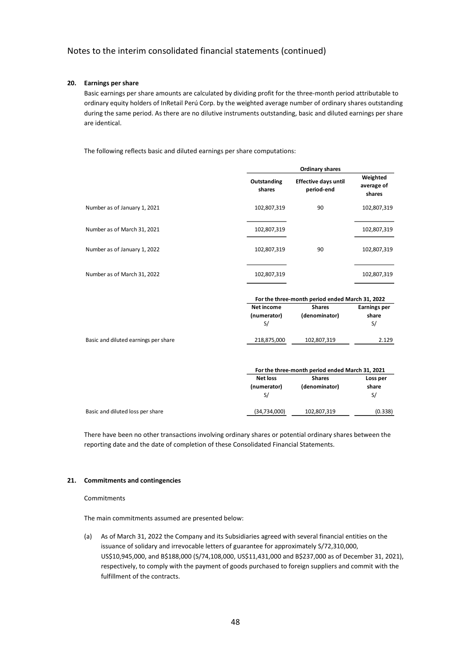# **20. Earnings per share**

Basic earnings per share amounts are calculated by dividing profit for the three-month period attributable to ordinary equity holders of InRetail Perú Corp. by the weighted average number of ordinary shares outstanding during the same period. As there are no dilutive instruments outstanding, basic and diluted earnings per share are identical.

The following reflects basic and diluted earnings per share computations:

|                                      |                       | <b>Ordinary shares</b>                          |                                  |  |  |  |
|--------------------------------------|-----------------------|-------------------------------------------------|----------------------------------|--|--|--|
|                                      | Outstanding<br>shares | <b>Effective days until</b><br>period-end       | Weighted<br>average of<br>shares |  |  |  |
| Number as of January 1, 2021         | 102,807,319           | 90                                              | 102,807,319                      |  |  |  |
| Number as of March 31, 2021          | 102,807,319           |                                                 | 102,807,319                      |  |  |  |
| Number as of January 1, 2022         | 102,807,319           | 90                                              | 102,807,319                      |  |  |  |
| Number as of March 31, 2022          | 102,807,319           |                                                 | 102,807,319                      |  |  |  |
|                                      |                       | For the three-month period ended March 31, 2022 |                                  |  |  |  |
|                                      | <b>Net income</b>     | <b>Shares</b>                                   | <b>Earnings per</b>              |  |  |  |
|                                      | (numerator)           | (denominator)                                   | share                            |  |  |  |
|                                      | S/                    |                                                 | S/                               |  |  |  |
| Basic and diluted earnings per share | 218,875,000           | 102,807,319                                     | 2.129                            |  |  |  |
|                                      |                       | For the three-month period ended March 31, 2021 |                                  |  |  |  |
|                                      | <b>Net loss</b>       | <b>Shares</b>                                   | Loss per                         |  |  |  |
|                                      | (numerator)           | (denominator)                                   | share                            |  |  |  |
|                                      | S/                    |                                                 | S/                               |  |  |  |
| Basic and diluted loss per share     | (34, 734, 000)        | 102,807,319                                     | (0.338)                          |  |  |  |

There have been no other transactions involving ordinary shares or potential ordinary shares between the reporting date and the date of completion of these Consolidated Financial Statements.

#### **21. Commitments and contingencies**

**Commitments** 

The main commitments assumed are presented below:

(a) As of March 31, 2022 the Company and its Subsidiaries agreed with several financial entities on the issuance of solidary and irrevocable letters of guarantee for approximately S/72,310,000, US\$10,945,000, and B\$188,000 (S/74,108,000, US\$11,431,000 and B\$237,000 as of December 31, 2021), respectively, to comply with the payment of goods purchased to foreign suppliers and commit with the fulfillment of the contracts.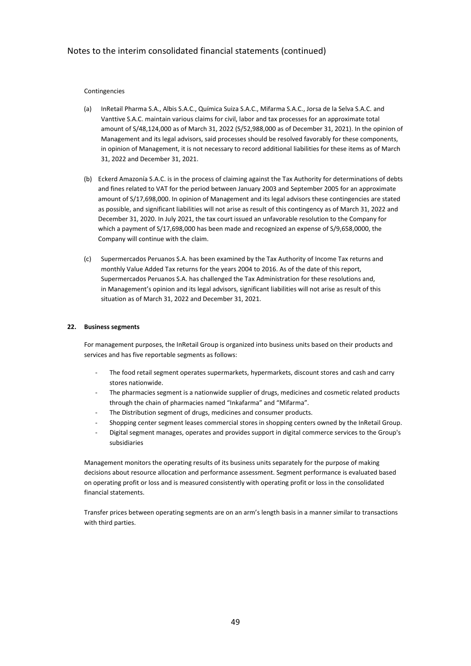### Contingencies

- (a) InRetail Pharma S.A., Albis S.A.C., Química Suiza S.A.C., Mifarma S.A.C., Jorsa de la Selva S.A.C. and Vanttive S.A.C. maintain various claims for civil, labor and tax processes for an approximate total amount of S/48,124,000 as of March 31, 2022 (S/52,988,000 as of December 31, 2021). In the opinion of Management and its legal advisors, said processes should be resolved favorably for these components, in opinion of Management, it is not necessary to record additional liabilities for these items as of March 31, 2022 and December 31, 2021.
- (b) Eckerd Amazonía S.A.C. is in the process of claiming against the Tax Authority for determinations of debts and fines related to VAT for the period between January 2003 and September 2005 for an approximate amount of S/17,698,000. In opinion of Management and its legal advisors these contingencies are stated as possible, and significant liabilities will not arise as result of this contingency as of March 31, 2022 and December 31, 2020. In July 2021, the tax court issued an unfavorable resolution to the Company for which a payment of S/17,698,000 has been made and recognized an expense of S/9,658,0000, the Company will continue with the claim.
- (c) Supermercados Peruanos S.A. has been examined by the Tax Authority of Income Tax returns and monthly Value Added Tax returns for the years 2004 to 2016. As of the date of this report, Supermercados Peruanos S.A. has challenged the Tax Administration for these resolutions and, in Management's opinion and its legal advisors, significant liabilities will not arise as result of this situation as of March 31, 2022 and December 31, 2021.

#### **22. Business segments**

For management purposes, the InRetail Group is organized into business units based on their products and services and has five reportable segments as follows:

- The food retail segment operates supermarkets, hypermarkets, discount stores and cash and carry stores nationwide.
- The pharmacies segment is a nationwide supplier of drugs, medicines and cosmetic related products through the chain of pharmacies named "Inkafarma" and "Mifarma".
- The Distribution segment of drugs, medicines and consumer products.
- Shopping center segment leases commercial stores in shopping centers owned by the InRetail Group.
- Digital segment manages, operates and provides support in digital commerce services to the Group's subsidiaries

Management monitors the operating results of its business units separately for the purpose of making decisions about resource allocation and performance assessment. Segment performance is evaluated based on operating profit or loss and is measured consistently with operating profit or loss in the consolidated financial statements.

Transfer prices between operating segments are on an arm's length basis in a manner similar to transactions with third parties.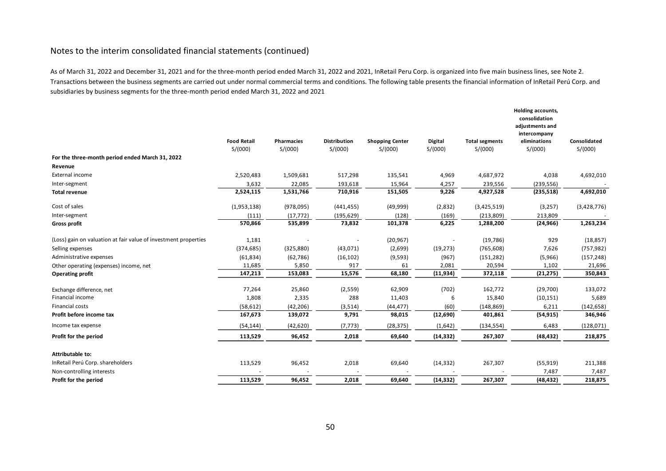As of March 31, 2022 and December 31, 2021 and for the three-month period ended March 31, 2022 and 2021, InRetail Peru Corp. is organized into five main business lines, see Note 2. Transactions between the business segments are carried out under normal commercial terms and conditions. The following table presents the financial information of InRetail Perú Corp. and subsidiaries by business segments for the three-month period ended March 31, 2022 and 2021

|                                                                 |                               |                              |                                |                                   |                           |                                  | Holding accounts,<br>consolidation<br>adjustments and<br>intercompany |                         |
|-----------------------------------------------------------------|-------------------------------|------------------------------|--------------------------------|-----------------------------------|---------------------------|----------------------------------|-----------------------------------------------------------------------|-------------------------|
|                                                                 | <b>Food Retail</b><br>S/(000) | <b>Pharmacies</b><br>S/(000) | <b>Distribution</b><br>S/(000) | <b>Shopping Center</b><br>S/(000) | <b>Digital</b><br>S/(000) | <b>Total segments</b><br>S/(000) | eliminations<br>S/(000)                                               | Consolidated<br>S/(000) |
| For the three-month period ended March 31, 2022                 |                               |                              |                                |                                   |                           |                                  |                                                                       |                         |
| Revenue                                                         |                               |                              |                                |                                   |                           |                                  |                                                                       |                         |
| External income                                                 | 2,520,483                     | 1,509,681                    | 517,298                        | 135,541                           | 4,969                     | 4,687,972                        | 4,038                                                                 | 4,692,010               |
| Inter-segment                                                   | 3,632                         | 22,085                       | 193,618                        | 15,964                            | 4,257                     | 239,556                          | (239, 556)                                                            |                         |
| <b>Total revenue</b>                                            | 2,524,115                     | 1,531,766                    | 710,916                        | 151,505                           | 9,226                     | 4,927,528                        | (235, 518)                                                            | 4,692,010               |
| Cost of sales                                                   | (1,953,138)                   | (978, 095)                   | (441, 455)                     | (49,999)                          | (2,832)                   | (3,425,519)                      | (3, 257)                                                              | (3,428,776)             |
| Inter-segment                                                   | (111)                         | (17, 772)                    | (195, 629)                     | (128)                             | (169)                     | (213, 809)                       | 213,809                                                               |                         |
| <b>Gross profit</b>                                             | 570,866                       | 535,899                      | 73,832                         | 101,378                           | 6,225                     | 1,288,200                        | (24, 966)                                                             | 1,263,234               |
| (Loss) gain on valuation at fair value of investment properties | 1,181                         |                              |                                | (20, 967)                         |                           | (19, 786)                        | 929                                                                   | (18, 857)               |
| Selling expenses                                                | (374, 685)                    | (325, 880)                   | (43,071)                       | (2,699)                           | (19, 273)                 | (765, 608)                       | 7,626                                                                 | (757, 982)              |
| Administrative expenses                                         | (61, 834)                     | (62, 786)                    | (16, 102)                      | (9, 593)                          | (967)                     | (151, 282)                       | (5,966)                                                               | (157, 248)              |
| Other operating (expenses) income, net                          | 11,685                        | 5,850                        | 917                            | 61                                | 2,081                     | 20,594                           | 1,102                                                                 | 21,696                  |
| <b>Operating profit</b>                                         | 147,213                       | 153,083                      | 15,576                         | 68,180                            | (11, 934)                 | 372,118                          | (21, 275)                                                             | 350,843                 |
| Exchange difference, net                                        | 77,264                        | 25,860                       | (2,559)                        | 62,909                            | (702)                     | 162,772                          | (29,700)                                                              | 133,072                 |
| Financial income                                                | 1,808                         | 2,335                        | 288                            | 11,403                            | 6                         | 15,840                           | (10, 151)                                                             | 5,689                   |
| <b>Financial costs</b>                                          | (58, 612)                     | (42, 206)                    | (3,514)                        | (44, 477)                         | (60)                      | (148, 869)                       | 6,211                                                                 | (142, 658)              |
| Profit before income tax                                        | 167,673                       | 139,072                      | 9,791                          | 98,015                            | (12,690)                  | 401,861                          | (54, 915)                                                             | 346,946                 |
| Income tax expense                                              | (54, 144)                     | (42, 620)                    | (7, 773)                       | (28, 375)                         | (1,642)                   | (134, 554)                       | 6,483                                                                 | (128,071)               |
| Profit for the period                                           | 113,529                       | 96,452                       | 2,018                          | 69,640                            | (14, 332)                 | 267,307                          | (48, 432)                                                             | 218,875                 |
| Attributable to:                                                |                               |                              |                                |                                   |                           |                                  |                                                                       |                         |
| InRetail Perú Corp. shareholders                                | 113,529                       | 96,452                       | 2,018                          | 69,640                            | (14, 332)                 | 267,307                          | (55, 919)                                                             | 211,388                 |
| Non-controlling interests                                       |                               |                              |                                |                                   |                           |                                  | 7,487                                                                 | 7,487                   |
| Profit for the period                                           | 113,529                       | 96,452                       | 2,018                          | 69,640                            | (14, 332)                 | 267,307                          | (48, 432)                                                             | 218,875                 |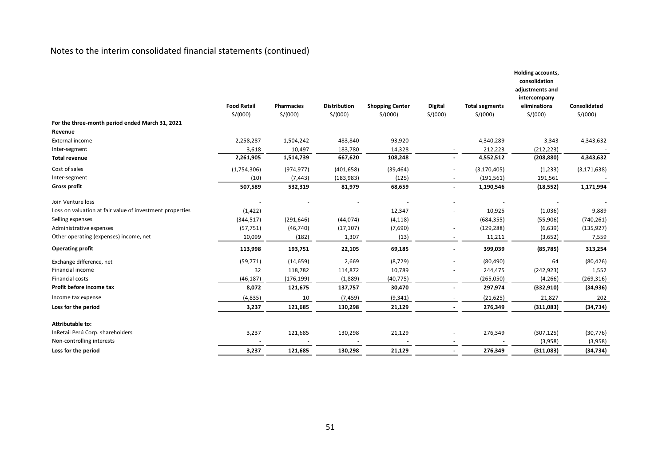|                                                          | <b>Food Retail</b> | <b>Pharmacies</b> | <b>Distribution</b> |                                   |                           |                                  | Holding accounts,<br>consolidation<br>adjustments and<br>intercompany<br>eliminations | Consolidated  |
|----------------------------------------------------------|--------------------|-------------------|---------------------|-----------------------------------|---------------------------|----------------------------------|---------------------------------------------------------------------------------------|---------------|
|                                                          | S/(000)            | S/(000)           | S/(000)             | <b>Shopping Center</b><br>S/(000) | <b>Digital</b><br>S/(000) | <b>Total segments</b><br>S/(000) | S/(000)                                                                               | S/(000)       |
| For the three-month period ended March 31, 2021          |                    |                   |                     |                                   |                           |                                  |                                                                                       |               |
| Revenue                                                  |                    |                   |                     |                                   |                           |                                  |                                                                                       |               |
| External income                                          | 2,258,287          | 1,504,242         | 483,840             | 93,920                            |                           | 4,340,289                        | 3,343                                                                                 | 4,343,632     |
| Inter-segment                                            | 3,618              | 10,497            | 183,780             | 14,328                            |                           | 212,223                          | (212, 223)                                                                            |               |
| <b>Total revenue</b>                                     | 2,261,905          | 1,514,739         | 667,620             | 108,248                           |                           | 4,552,512                        | (208, 880)                                                                            | 4,343,632     |
| Cost of sales                                            | (1,754,306)        | (974, 977)        | (401, 658)          | (39, 464)                         |                           | (3, 170, 405)                    | (1,233)                                                                               | (3, 171, 638) |
| Inter-segment                                            | (10)               | (7, 443)          | (183, 983)          | (125)                             | $\overline{\phantom{a}}$  | (191, 561)                       | 191,561                                                                               |               |
| <b>Gross profit</b>                                      | 507,589            | 532,319           | 81,979              | 68,659                            | $\blacksquare$            | 1,190,546                        | (18, 552)                                                                             | 1,171,994     |
| Join Venture loss                                        |                    |                   |                     |                                   |                           |                                  |                                                                                       |               |
| Loss on valuation at fair value of investment properties | (1, 422)           |                   |                     | 12,347                            |                           | 10,925                           | (1,036)                                                                               | 9,889         |
| Selling expenses                                         | (344, 517)         | (291, 646)        | (44, 074)           | (4, 118)                          |                           | (684, 355)                       | (55,906)                                                                              | (740, 261)    |
| Administrative expenses                                  | (57, 751)          | (46, 740)         | (17, 107)           | (7,690)                           |                           | (129, 288)                       | (6,639)                                                                               | (135, 927)    |
| Other operating (expenses) income, net                   | 10,099             | (182)             | 1,307               | (13)                              |                           | 11,211                           | (3,652)                                                                               | 7,559         |
| <b>Operating profit</b>                                  | 113,998            | 193,751           | 22,105              | 69,185                            |                           | 399,039                          | (85, 785)                                                                             | 313,254       |
| Exchange difference, net                                 | (59, 771)          | (14, 659)         | 2,669               | (8, 729)                          |                           | (80, 490)                        | 64                                                                                    | (80, 426)     |
| Financial income                                         | 32                 | 118,782           | 114,872             | 10,789                            |                           | 244,475                          | (242, 923)                                                                            | 1,552         |
| Financial costs                                          | (46, 187)          | (176, 199)        | (1,889)             | (40, 775)                         |                           | (265,050)                        | (4, 266)                                                                              | (269, 316)    |
| Profit before income tax                                 | 8,072              | 121,675           | 137,757             | 30,470                            |                           | 297,974                          | (332,910)                                                                             | (34, 936)     |
| Income tax expense                                       | (4,835)            | 10                | (7, 459)            | (9, 341)                          |                           | (21, 625)                        | 21,827                                                                                | 202           |
| Loss for the period                                      | 3,237              | 121,685           | 130,298             | 21,129                            |                           | 276,349                          | (311,083)                                                                             | (34, 734)     |
| Attributable to:                                         |                    |                   |                     |                                   |                           |                                  |                                                                                       |               |
| InRetail Perú Corp. shareholders                         | 3,237              | 121,685           | 130,298             | 21,129                            |                           | 276,349                          | (307, 125)                                                                            | (30, 776)     |
| Non-controlling interests                                |                    |                   |                     |                                   |                           |                                  | (3,958)                                                                               | (3,958)       |
| Loss for the period                                      | 3,237              | 121,685           | 130,298             | 21,129                            |                           | 276,349                          | (311,083)                                                                             | (34, 734)     |
|                                                          |                    |                   |                     |                                   |                           |                                  |                                                                                       |               |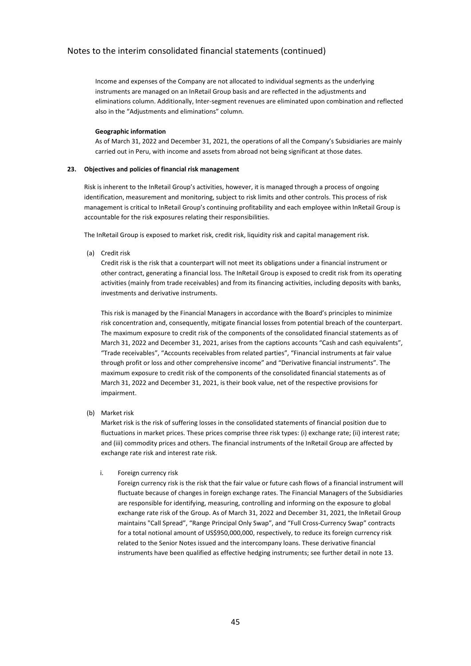Income and expenses of the Company are not allocated to individual segments as the underlying instruments are managed on an InRetail Group basis and are reflected in the adjustments and eliminations column. Additionally, Inter-segment revenues are eliminated upon combination and reflected also in the "Adjustments and eliminations" column.

### **Geographic information**

As of March 31, 2022 and December 31, 2021, the operations of all the Company's Subsidiaries are mainly carried out in Peru, with income and assets from abroad not being significant at those dates.

### **23. Objectives and policies of financial risk management**

Risk is inherent to the InRetail Group's activities, however, it is managed through a process of ongoing identification, measurement and monitoring, subject to risk limits and other controls. This process of risk management is critical to InRetail Group's continuing profitability and each employee within InRetail Group is accountable for the risk exposures relating their responsibilities.

The InRetail Group is exposed to market risk, credit risk, liquidity risk and capital management risk.

(a) Credit risk

Credit risk is the risk that a counterpart will not meet its obligations under a financial instrument or other contract, generating a financial loss. The InRetail Group is exposed to credit risk from its operating activities (mainly from trade receivables) and from its financing activities, including deposits with banks, investments and derivative instruments.

This risk is managed by the Financial Managers in accordance with the Board's principles to minimize risk concentration and, consequently, mitigate financial losses from potential breach of the counterpart. The maximum exposure to credit risk of the components of the consolidated financial statements as of March 31, 2022 and December 31, 2021, arises from the captions accounts "Cash and cash equivalents", "Trade receivables", "Accounts receivables from related parties", "Financial instruments at fair value through profit or loss and other comprehensive income" and "Derivative financial instruments". The maximum exposure to credit risk of the components of the consolidated financial statements as of March 31, 2022 and December 31, 2021, is their book value, net of the respective provisions for impairment.

(b) Market risk

Market risk is the risk of suffering losses in the consolidated statements of financial position due to fluctuations in market prices. These prices comprise three risk types: (i) exchange rate; (ii) interest rate; and (iii) commodity prices and others. The financial instruments of the InRetail Group are affected by exchange rate risk and interest rate risk.

### i. Foreign currency risk

Foreign currency risk is the risk that the fair value or future cash flows of a financial instrument will fluctuate because of changes in foreign exchange rates. The Financial Managers of the Subsidiaries are responsible for identifying, measuring, controlling and informing on the exposure to global exchange rate risk of the Group. As of March 31, 2022 and December 31, 2021, the InRetail Group maintains "Call Spread", "Range Principal Only Swap", and "Full Cross-Currency Swap" contracts for a total notional amount of US\$950,000,000, respectively, to reduce its foreign currency risk related to the Senior Notes issued and the intercompany loans. These derivative financial instruments have been qualified as effective hedging instruments; see further detail in note 13.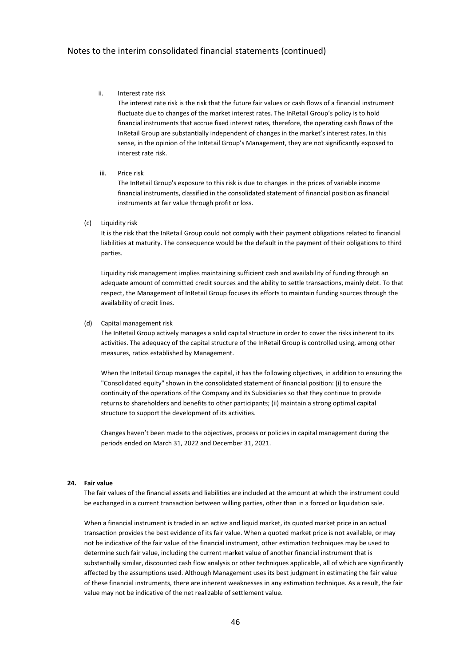#### ii. Interest rate risk

The interest rate risk is the risk that the future fair values or cash flows of a financial instrument fluctuate due to changes of the market interest rates. The InRetail Group's policy is to hold financial instruments that accrue fixed interest rates, therefore, the operating cash flows of the InRetail Group are substantially independent of changes in the market's interest rates. In this sense, in the opinion of the InRetail Group's Management, they are not significantly exposed to interest rate risk.

#### iii. Price risk

The InRetail Group's exposure to this risk is due to changes in the prices of variable income financial instruments, classified in the consolidated statement of financial position as financial instruments at fair value through profit or loss.

#### (c) Liquidity risk

It is the risk that the InRetail Group could not comply with their payment obligations related to financial liabilities at maturity. The consequence would be the default in the payment of their obligations to third parties.

Liquidity risk management implies maintaining sufficient cash and availability of funding through an adequate amount of committed credit sources and the ability to settle transactions, mainly debt. To that respect, the Management of InRetail Group focuses its efforts to maintain funding sources through the availability of credit lines.

#### (d) Capital management risk

The InRetail Group actively manages a solid capital structure in order to cover the risks inherent to its activities. The adequacy of the capital structure of the InRetail Group is controlled using, among other measures, ratios established by Management.

When the InRetail Group manages the capital, it has the following objectives, in addition to ensuring the "Consolidated equity" shown in the consolidated statement of financial position: (i) to ensure the continuity of the operations of the Company and its Subsidiaries so that they continue to provide returns to shareholders and benefits to other participants; (ii) maintain a strong optimal capital structure to support the development of its activities.

Changes haven't been made to the objectives, process or policies in capital management during the periods ended on March 31, 2022 and December 31, 2021.

#### **24. Fair value**

The fair values of the financial assets and liabilities are included at the amount at which the instrument could be exchanged in a current transaction between willing parties, other than in a forced or liquidation sale.

When a financial instrument is traded in an active and liquid market, its quoted market price in an actual transaction provides the best evidence of its fair value. When a quoted market price is not available, or may not be indicative of the fair value of the financial instrument, other estimation techniques may be used to determine such fair value, including the current market value of another financial instrument that is substantially similar, discounted cash flow analysis or other techniques applicable, all of which are significantly affected by the assumptions used. Although Management uses its best judgment in estimating the fair value of these financial instruments, there are inherent weaknesses in any estimation technique. As a result, the fair value may not be indicative of the net realizable of settlement value.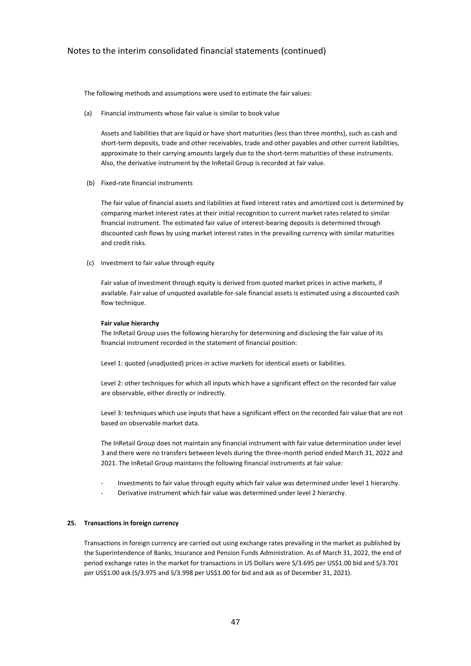The following methods and assumptions were used to estimate the fair values:

(a) Financial instruments whose fair value is similar to book value

Assets and liabilities that are liquid or have short maturities (less than three months), such as cash and short-term deposits, trade and other receivables, trade and other payables and other current liabilities, approximate to their carrying amounts largely due to the short-term maturities of these instruments. Also, the derivative instrument by the InRetail Group is recorded at fair value.

(b) Fixed-rate financial instruments

The fair value of financial assets and liabilities at fixed interest rates and amortized cost is determined by comparing market interest rates at their initial recognition to current market rates related to similar financial instrument. The estimated fair value of interest-bearing deposits is determined through discounted cash flows by using market interest rates in the prevailing currency with similar maturities and credit risks.

(c) Investment to fair value through equity

Fair value of investment through equity is derived from quoted market prices in active markets, if available. Fair value of unquoted available-for-sale financial assets is estimated using a discounted cash flow technique.

#### **Fair value hierarchy**

The InRetail Group uses the following hierarchy for determining and disclosing the fair value of its financial instrument recorded in the statement of financial position:

Level 1: quoted (unadjusted) prices in active markets for identical assets or liabilities.

Level 2: other techniques for which all inputs which have a significant effect on the recorded fair value are observable, either directly or indirectly.

Level 3: techniques which use inputs that have a significant effect on the recorded fair value that are not based on observable market data.

The InRetail Group does not maintain any financial instrument with fair value determination under level 3 and there were no transfers between levels during the three-month period ended March 31, 2022 and 2021. The InRetail Group maintains the following financial instruments at fair value:

- Investments to fair value through equity which fair value was determined under level 1 hierarchy.
- Derivative instrument which fair value was determined under level 2 hierarchy.

#### **25. Transactions in foreign currency**

Transactions in foreign currency are carried out using exchange rates prevailing in the market as published by the Superintendence of Banks, Insurance and Pension Funds Administration. As of March 31, 2022, the end of period exchange rates in the market for transactions in US Dollars were S/3.695 per US\$1.00 bid and S/3.701 per US\$1.00 ask (S/3.975 and S/3.998 per US\$1.00 for bid and ask as of December 31, 2021).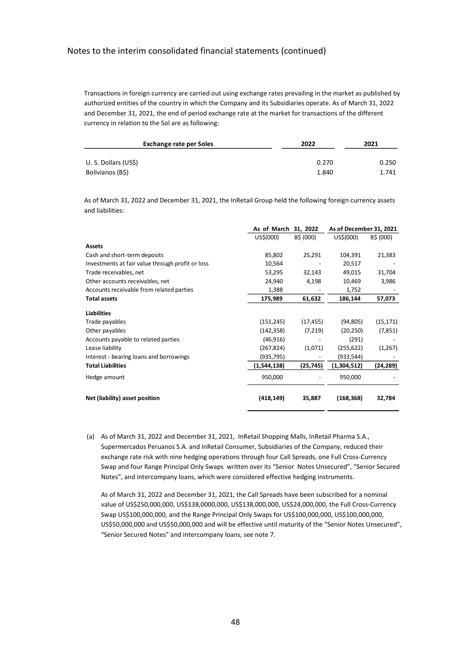Transactions in foreign currency are carried out using exchange rates prevailing in the market as published by authorized entities of the country in which the Company and its Subsidiaries operate. As of March 31, 2022 and December 31, 2021, the end of period exchange rate at the market for transactions of the different currency in relation to the Sol are as following:

| <b>Exchange rate per Soles</b> | 2022  | 2021  |  |
|--------------------------------|-------|-------|--|
|                                |       |       |  |
| U. S. Dollars (US\$)           | 0.270 | 0.250 |  |
| Bolivianos (B\$)               | 1.840 | 1.741 |  |

As of March 31, 2022 and December 31, 2021, the InRetail Group held the following foreign currency assets and liabilities:

|                                                  | As of March<br>31, 2022 |           | As of December 31, 2021 |           |
|--------------------------------------------------|-------------------------|-----------|-------------------------|-----------|
|                                                  | US\$(000)               | B\$ (000) | US\$(000)               | B\$ (000) |
| <b>Assets</b>                                    |                         |           |                         |           |
| Cash and short-term deposits                     | 85,802                  | 25,291    | 104,391                 | 21,383    |
| Investments at fair value through profit or loss | 10,564                  |           | 20,517                  |           |
| Trade receivables, net                           | 53,295                  | 32,143    | 49,015                  | 31,704    |
| Other accounts receivables, net                  | 24,940                  | 4,198     | 10,469                  | 3,986     |
| Accounts receivable from related parties         | 1,388                   |           | 1,752                   |           |
| <b>Total assets</b>                              | 175,989                 | 61,632    | 186,144                 | 57,073    |
| <b>Liabilities</b>                               |                         |           |                         |           |
| Trade payables                                   | (151, 245)              | (17, 455) | (94, 805)               | (15, 171) |
| Other payables                                   | (142, 358)              | (7,219)   | (20, 250)               | (7, 851)  |
| Accounts payable to related parties              | (46, 916)               |           | (291)                   |           |
| Lease liability                                  | (267, 824)              | (1,071)   | (255, 622)              | (1,267)   |
| Interest - bearing loans and borrowings          | (935,795)               |           | (933,544)               |           |
| <b>Total Liabilities</b>                         | (1,544,138)             | (25, 745) | (1,304,512)             | (24,289)  |
| Hedge amount                                     | 950,000                 |           | 950,000                 |           |
| Net (liability) asset position                   | (418,149)               | 35,887    | (168, 368)              | 32,784    |

(a) As of March 31, 2022 and December 31, 2021, InRetail Shopping Malls, InRetail Pharma S.A., Supermercados Peruanos S.A. and InRetail Consumer, Subsidiaries of the Company, reduced their exchange rate risk with nine hedging operations through four Call Spreads, one Full Cross-Currency Swap and four Range Principal Only Swaps written over its "Senior Notes Unsecured", "Senior Secured Notes", and intercompany loans, which were considered effective hedging instruments.

As of March 31, 2022 and December 31, 2021, the Call Spreads have been subscribed for a nominal value of US\$250,000,000, US\$138,0000,000, US\$138,000,000, US\$24,000,000, the Full Cross-Currency Swap US\$100,000,000, and the Range Principal Only Swaps for US\$100,000,000, US\$100,000,000, US\$50,000,000 and US\$50,000,000 and will be effective until maturity of the "Senior Notes Unsecured", "Senior Secured Notes" and intercompany loans, see note 7.